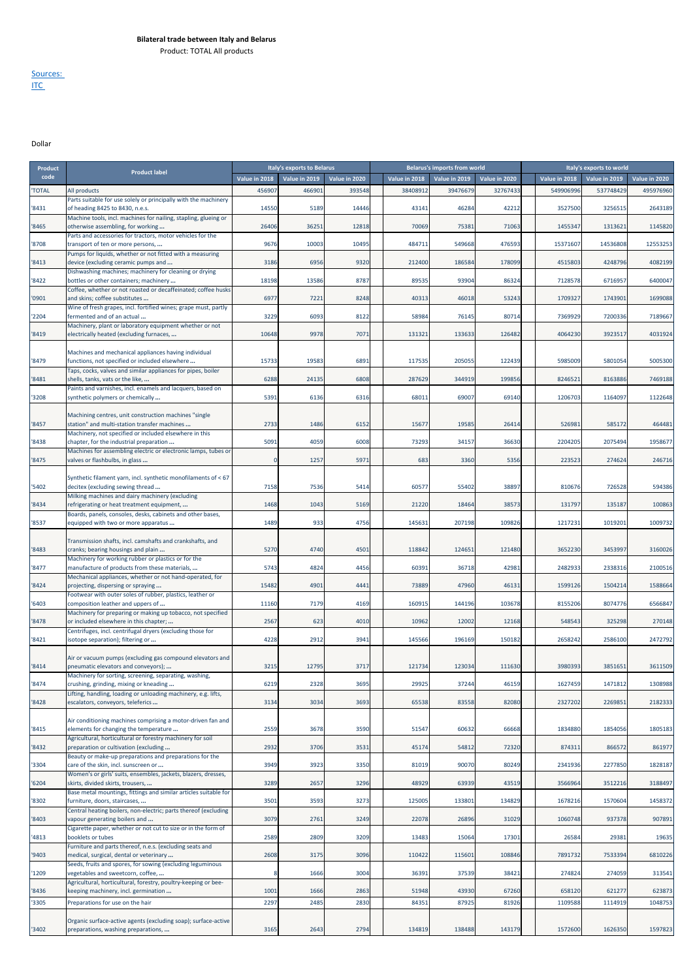Product: TOTAL All products

## Sources: <u>ITC</u>

Dollar

| code<br>Value in 2018<br>Value in 2019<br>Value in 2020<br>Value in 2018<br>Value in 2019<br>Value in 2020<br>Value in 2018<br>Value in 2019<br>Value in 2020<br>38408912<br>39476679<br>32767433<br>549906996<br>537748429<br>'TOTAL<br>All products<br>456907<br>46690<br>393548<br>495976960<br>Parts suitable for use solely or principally with the machinery<br>of heading 8425 to 8430, n.e.s.<br>14550<br>5189<br>43141<br>46284<br>42212<br>3527500<br>3256515<br>2643189<br>'8431<br>14446<br>Machine tools, incl. machines for nailing, stapling, glueing or<br>'8465<br>26406<br>36251<br>12818<br>70069<br>75381<br>71063<br>1455347<br>1313621<br>1145820<br>otherwise assembling, for working<br>Parts and accessories for tractors, motor vehicles for the<br>'8708<br>9676<br>1000<br>10495<br>484711<br>549668<br>476593<br>15371607<br>14536808<br>12553253<br>transport of ten or more persons,<br>Pumps for liquids, whether or not fitted with a measuring<br>4082199<br>3186<br>6956<br>9320<br>212400<br>186584<br>178099<br>4515803<br>4248796<br>'8413<br>device (excluding ceramic pumps and<br>Dishwashing machines; machinery for cleaning or drying<br>'8422<br>bottles or other containers; machinery<br>18198<br>13586<br>8787<br>89535<br>93904<br>86324<br>7128578<br>6716957<br>6400047<br>Coffee, whether or not roasted or decaffeinated; coffee husks<br>'0901<br>6977<br>7221<br>8248<br>40313<br>46018<br>53243<br>1709327<br>1743901<br>1699088<br>and skins; coffee substitutes<br>Wine of fresh grapes, incl. fortified wines; grape must, partly<br>3229<br>6093<br>8122<br>58984<br>80714<br>7369929<br>7200336<br>7189667<br>'2204<br>fermented and of an actual<br>76145<br>Machinery, plant or laboratory equipment whether or not<br>9978<br>7071<br>4031924<br>'8419<br>electrically heated (excluding furnaces,<br>10648<br>131321<br>133633<br>126482<br>4064230<br>3923517<br>Machines and mechanical appliances having individual<br>'8479<br>functions, not specified or included elsewhere<br>15733<br>19583<br>6891<br>117535<br>205055<br>122439<br>5985009<br>5801054<br>5005300<br>Taps, cocks, valves and similar appliances for pipes, boiler<br>6288<br>24135<br>6808<br>287629<br>344919<br>199856<br>8246521<br>8163886<br>7469188<br>'8481<br>shells, tanks, vats or the like,<br>Paints and varnishes, incl. enamels and lacquers, based on<br>68011<br>1164097<br>1122648<br>'3208<br>synthetic polymers or chemically<br>5391<br>6136<br>6316<br>69007<br>69140<br>1206703<br>Machining centres, unit construction machines "single<br>'8457<br>station" and multi-station transfer machines<br>2733<br>1486<br>6152<br>15677<br>19585<br>26414<br>526981<br>585172<br>464481<br>Machinery, not specified or included elsewhere in this<br>5091<br>2075494<br>1958677<br>4059<br>6008<br>73293<br>34157<br>36630<br>2204205<br>'8438<br>chapter, for the industrial preparation<br>Machines for assembling electric or electronic lamps, tubes or<br>246716<br>'8475<br>valves or flashbulbs, in glass<br>$\mathbf{0}$<br>1257<br>5971<br>683<br>3360<br>5356<br>223523<br>274624<br>Synthetic filament yarn, incl. synthetic monofilaments of <67<br>'5402<br>7158<br>7536<br>5414<br>60577<br>55402<br>38897<br>810676<br>726528<br>594386<br>decitex (excluding sewing thread<br>Milking machines and dairy machinery (excluding<br>1468<br>1043<br>5169<br>21220<br>18464<br>38573<br>131797<br>135187<br>100863<br>'8434<br>refrigerating or heat treatment equipment,<br>Boards, panels, consoles, desks, cabinets and other bases,<br>1489<br>933<br>4756<br>145631<br>207198<br>109826<br>1217231<br>1019201<br>1009732<br>'8537<br>equipped with two or more apparatus<br>Transmission shafts, incl. camshafts and crankshafts, and<br>'8483<br>tranks; bearing housings and plain<br>5270<br>4740<br>4501<br>118842<br>124651<br>121480<br>3652230<br>3453997<br>3160026<br>Machinery for working rubber or plastics or for the<br>2482933<br>2100516<br>'8477<br>5743<br>4824<br>4456<br>60391<br>36718<br>42981<br>2338316<br>manufacture of products from these materials,<br>Mechanical appliances, whether or not hand-operated, for<br>15482<br>4901<br>4441<br>73889<br>47960<br>46131<br>1599126<br>1504214<br>1588664<br>'8424<br>projecting, dispersing or spraying<br>Footwear with outer soles of rubber, plastics, leather or<br>'6403<br>11160<br>7179<br>4169<br>160915<br>144196<br>103678<br>8155206<br>8074776<br>6566847<br>composition leather and uppers of<br>Machinery for preparing or making up tobacco, not specified<br>'8478<br>2567<br>623<br>4010<br>10962<br>12002<br>12168<br>548543<br>325298<br>270148<br>or included elsewhere in this chapter;<br>Centrifuges, incl. centrifugal dryers (excluding those for<br>4228<br>2472792<br>'8421<br>isotope separation); filtering or<br>2912<br>3941<br>145566<br>196169<br>150182<br>2658242<br>2586100<br>Air or vacuum pumps (excluding gas compound elevators and<br>'8414<br>3215<br>12795<br>3717<br>121734<br>123034<br>111630<br>3980393<br>3851651<br>3611509<br>pneumatic elevators and conveyors);<br>Machinery for sorting, screening, separating, washing,<br>'8474<br>6219<br>2328<br>3695<br>29925<br>37244<br>46159<br>1627459<br>1471812<br>1308988<br>crushing, grinding, mixing or kneading<br>Lifting, handling, loading or unloading machinery, e.g. lifts,<br>'8428<br>3134<br>3034<br>3693<br>65538<br>83558<br>82080<br>2327202<br>2269851<br>2182333<br>escalators, conveyors, teleferics<br>Air conditioning machines comprising a motor-driven fan and<br>'8415<br>elements for changing the temperature<br>2559<br>3678<br>3590<br>51547<br>60632<br>66668<br>1834880<br>1854056<br>1805183<br>Agricultural, horticultural or forestry machinery for soil<br>2932<br>861977<br>'8432<br>3706<br>3531<br>45174<br>54812<br>72320<br>874311<br>866572<br>preparation or cultivation (excluding<br>Beauty or make-up preparations and preparations for the<br>'3304<br>care of the skin, incl. sunscreen or<br>3949<br>3923<br>3350<br>81019<br>90070<br>80249<br>2341936<br>2277850<br>1828187<br>Women's or girls' suits, ensembles, jackets, blazers, dresses,<br>'6204<br>skirts, divided skirts, trousers,<br>3289<br>2657<br>3296<br>48929<br>63939<br>43519<br>3566964<br>3512216<br>3188497<br>Base metal mountings, fittings and similar articles suitable for<br>3501<br>3593<br>3273<br>125005<br>133801<br>134829<br>1678216<br>1570604<br>1458372<br>'8302<br>furniture, doors, staircases,<br>Central heating boilers, non-electric; parts thereof (excluding<br>3079<br>3249<br>22078<br>26896<br>31029<br>1060748<br>937378<br>907891<br>'8403<br>vapour generating boilers and<br>2761<br>Cigarette paper, whether or not cut to size or in the form of<br>'4813<br>2589<br>2809<br>3209<br>13483<br>15064<br>17301<br>26584<br>29381<br>19635<br>booklets or tubes<br>Furniture and parts thereof, n.e.s. (excluding seats and<br>108846<br>6810226<br>'9403<br>2608<br>3175<br>3096<br>110422<br>115601<br>7891732<br>7533394<br>medical, surgical, dental or veterinary<br>Seeds, fruits and spores, for sowing (excluding leguminous<br>'1209<br>3004<br>36391<br>37539<br>38421<br>274824<br>274059<br>313541<br>vegetables and sweetcorn, coffee,<br>8<br>1666<br>Agricultural, horticultural, forestry, poultry-keeping or bee-<br>'8436<br>1001<br>1666<br>2863<br>51948<br>43930<br>67260<br>658120<br>621277<br>623873<br>keeping machinery, incl. germination<br>2297<br>'3305<br>Preparations for use on the hair<br>2485<br>2830<br>84351<br>87925<br>81926<br>1109588<br>1114919<br>1048753<br>Organic surface-active agents (excluding soap); surface-active<br>2794<br>143179<br>'3402<br>preparations, washing preparations,<br>3165<br>2643<br>134819<br>138488<br>1572600<br>1626350<br>1597823 | Product |                      | Italy's exports to Belarus |  |  |  | <b>Belarus's imports from world</b> |  | Italy's exports to world |  |
|--------------------------------------------------------------------------------------------------------------------------------------------------------------------------------------------------------------------------------------------------------------------------------------------------------------------------------------------------------------------------------------------------------------------------------------------------------------------------------------------------------------------------------------------------------------------------------------------------------------------------------------------------------------------------------------------------------------------------------------------------------------------------------------------------------------------------------------------------------------------------------------------------------------------------------------------------------------------------------------------------------------------------------------------------------------------------------------------------------------------------------------------------------------------------------------------------------------------------------------------------------------------------------------------------------------------------------------------------------------------------------------------------------------------------------------------------------------------------------------------------------------------------------------------------------------------------------------------------------------------------------------------------------------------------------------------------------------------------------------------------------------------------------------------------------------------------------------------------------------------------------------------------------------------------------------------------------------------------------------------------------------------------------------------------------------------------------------------------------------------------------------------------------------------------------------------------------------------------------------------------------------------------------------------------------------------------------------------------------------------------------------------------------------------------------------------------------------------------------------------------------------------------------------------------------------------------------------------------------------------------------------------------------------------------------------------------------------------------------------------------------------------------------------------------------------------------------------------------------------------------------------------------------------------------------------------------------------------------------------------------------------------------------------------------------------------------------------------------------------------------------------------------------------------------------------------------------------------------------------------------------------------------------------------------------------------------------------------------------------------------------------------------------------------------------------------------------------------------------------------------------------------------------------------------------------------------------------------------------------------------------------------------------------------------------------------------------------------------------------------------------------------------------------------------------------------------------------------------------------------------------------------------------------------------------------------------------------------------------------------------------------------------------------------------------------------------------------------------------------------------------------------------------------------------------------------------------------------------------------------------------------------------------------------------------------------------------------------------------------------------------------------------------------------------------------------------------------------------------------------------------------------------------------------------------------------------------------------------------------------------------------------------------------------------------------------------------------------------------------------------------------------------------------------------------------------------------------------------------------------------------------------------------------------------------------------------------------------------------------------------------------------------------------------------------------------------------------------------------------------------------------------------------------------------------------------------------------------------------------------------------------------------------------------------------------------------------------------------------------------------------------------------------------------------------------------------------------------------------------------------------------------------------------------------------------------------------------------------------------------------------------------------------------------------------------------------------------------------------------------------------------------------------------------------------------------------------------------------------------------------------------------------------------------------------------------------------------------------------------------------------------------------------------------------------------------------------------------------------------------------------------------------------------------------------------------------------------------------------------------------------------------------------------------------------------------------------------------------------------------------------------------------------------------------------------------------------------------------------------------------------------------------------------------------------------------------------------------------------------------------------------------------------------------------------------------------------------------------------------------------------------------------------------------------------------------------------------------------------------------------------------------------------------------------------------------------------------------------------------------------------------------------------------------------------------------------------------------------------------------------------------------------------------------------------------------------------------------------------------------------------------------------------------------------------------------------------------------------------------------------------------------------------------------------------------------------------------------------------------------------------------------------------------------------------------------------------------------------------------------------------------------------------------------------------------------------------------------------------------------------------------------------------------------------------------------------------------------------------------------------------------------------------------------------|---------|----------------------|----------------------------|--|--|--|-------------------------------------|--|--------------------------|--|
|                                                                                                                                                                                                                                                                                                                                                                                                                                                                                                                                                                                                                                                                                                                                                                                                                                                                                                                                                                                                                                                                                                                                                                                                                                                                                                                                                                                                                                                                                                                                                                                                                                                                                                                                                                                                                                                                                                                                                                                                                                                                                                                                                                                                                                                                                                                                                                                                                                                                                                                                                                                                                                                                                                                                                                                                                                                                                                                                                                                                                                                                                                                                                                                                                                                                                                                                                                                                                                                                                                                                                                                                                                                                                                                                                                                                                                                                                                                                                                                                                                                                                                                                                                                                                                                                                                                                                                                                                                                                                                                                                                                                                                                                                                                                                                                                                                                                                                                                                                                                                                                                                                                                                                                                                                                                                                                                                                                                                                                                                                                                                                                                                                                                                                                                                                                                                                                                                                                                                                                                                                                                                                                                                                                                                                                                                                                                                                                                                                                                                                                                                                                                                                                                                                                                                                                                                                                                                                                                                                                                                                                                                                                                                                                                                                                                                                                                                                                                                                                                                                                                                                                                                                                                                                                                                                                                                                                                                                                          |         | <b>Product label</b> |                            |  |  |  |                                     |  |                          |  |
|                                                                                                                                                                                                                                                                                                                                                                                                                                                                                                                                                                                                                                                                                                                                                                                                                                                                                                                                                                                                                                                                                                                                                                                                                                                                                                                                                                                                                                                                                                                                                                                                                                                                                                                                                                                                                                                                                                                                                                                                                                                                                                                                                                                                                                                                                                                                                                                                                                                                                                                                                                                                                                                                                                                                                                                                                                                                                                                                                                                                                                                                                                                                                                                                                                                                                                                                                                                                                                                                                                                                                                                                                                                                                                                                                                                                                                                                                                                                                                                                                                                                                                                                                                                                                                                                                                                                                                                                                                                                                                                                                                                                                                                                                                                                                                                                                                                                                                                                                                                                                                                                                                                                                                                                                                                                                                                                                                                                                                                                                                                                                                                                                                                                                                                                                                                                                                                                                                                                                                                                                                                                                                                                                                                                                                                                                                                                                                                                                                                                                                                                                                                                                                                                                                                                                                                                                                                                                                                                                                                                                                                                                                                                                                                                                                                                                                                                                                                                                                                                                                                                                                                                                                                                                                                                                                                                                                                                                                                          |         |                      |                            |  |  |  |                                     |  |                          |  |
|                                                                                                                                                                                                                                                                                                                                                                                                                                                                                                                                                                                                                                                                                                                                                                                                                                                                                                                                                                                                                                                                                                                                                                                                                                                                                                                                                                                                                                                                                                                                                                                                                                                                                                                                                                                                                                                                                                                                                                                                                                                                                                                                                                                                                                                                                                                                                                                                                                                                                                                                                                                                                                                                                                                                                                                                                                                                                                                                                                                                                                                                                                                                                                                                                                                                                                                                                                                                                                                                                                                                                                                                                                                                                                                                                                                                                                                                                                                                                                                                                                                                                                                                                                                                                                                                                                                                                                                                                                                                                                                                                                                                                                                                                                                                                                                                                                                                                                                                                                                                                                                                                                                                                                                                                                                                                                                                                                                                                                                                                                                                                                                                                                                                                                                                                                                                                                                                                                                                                                                                                                                                                                                                                                                                                                                                                                                                                                                                                                                                                                                                                                                                                                                                                                                                                                                                                                                                                                                                                                                                                                                                                                                                                                                                                                                                                                                                                                                                                                                                                                                                                                                                                                                                                                                                                                                                                                                                                                                          |         |                      |                            |  |  |  |                                     |  |                          |  |
|                                                                                                                                                                                                                                                                                                                                                                                                                                                                                                                                                                                                                                                                                                                                                                                                                                                                                                                                                                                                                                                                                                                                                                                                                                                                                                                                                                                                                                                                                                                                                                                                                                                                                                                                                                                                                                                                                                                                                                                                                                                                                                                                                                                                                                                                                                                                                                                                                                                                                                                                                                                                                                                                                                                                                                                                                                                                                                                                                                                                                                                                                                                                                                                                                                                                                                                                                                                                                                                                                                                                                                                                                                                                                                                                                                                                                                                                                                                                                                                                                                                                                                                                                                                                                                                                                                                                                                                                                                                                                                                                                                                                                                                                                                                                                                                                                                                                                                                                                                                                                                                                                                                                                                                                                                                                                                                                                                                                                                                                                                                                                                                                                                                                                                                                                                                                                                                                                                                                                                                                                                                                                                                                                                                                                                                                                                                                                                                                                                                                                                                                                                                                                                                                                                                                                                                                                                                                                                                                                                                                                                                                                                                                                                                                                                                                                                                                                                                                                                                                                                                                                                                                                                                                                                                                                                                                                                                                                                                          |         |                      |                            |  |  |  |                                     |  |                          |  |
|                                                                                                                                                                                                                                                                                                                                                                                                                                                                                                                                                                                                                                                                                                                                                                                                                                                                                                                                                                                                                                                                                                                                                                                                                                                                                                                                                                                                                                                                                                                                                                                                                                                                                                                                                                                                                                                                                                                                                                                                                                                                                                                                                                                                                                                                                                                                                                                                                                                                                                                                                                                                                                                                                                                                                                                                                                                                                                                                                                                                                                                                                                                                                                                                                                                                                                                                                                                                                                                                                                                                                                                                                                                                                                                                                                                                                                                                                                                                                                                                                                                                                                                                                                                                                                                                                                                                                                                                                                                                                                                                                                                                                                                                                                                                                                                                                                                                                                                                                                                                                                                                                                                                                                                                                                                                                                                                                                                                                                                                                                                                                                                                                                                                                                                                                                                                                                                                                                                                                                                                                                                                                                                                                                                                                                                                                                                                                                                                                                                                                                                                                                                                                                                                                                                                                                                                                                                                                                                                                                                                                                                                                                                                                                                                                                                                                                                                                                                                                                                                                                                                                                                                                                                                                                                                                                                                                                                                                                                          |         |                      |                            |  |  |  |                                     |  |                          |  |
|                                                                                                                                                                                                                                                                                                                                                                                                                                                                                                                                                                                                                                                                                                                                                                                                                                                                                                                                                                                                                                                                                                                                                                                                                                                                                                                                                                                                                                                                                                                                                                                                                                                                                                                                                                                                                                                                                                                                                                                                                                                                                                                                                                                                                                                                                                                                                                                                                                                                                                                                                                                                                                                                                                                                                                                                                                                                                                                                                                                                                                                                                                                                                                                                                                                                                                                                                                                                                                                                                                                                                                                                                                                                                                                                                                                                                                                                                                                                                                                                                                                                                                                                                                                                                                                                                                                                                                                                                                                                                                                                                                                                                                                                                                                                                                                                                                                                                                                                                                                                                                                                                                                                                                                                                                                                                                                                                                                                                                                                                                                                                                                                                                                                                                                                                                                                                                                                                                                                                                                                                                                                                                                                                                                                                                                                                                                                                                                                                                                                                                                                                                                                                                                                                                                                                                                                                                                                                                                                                                                                                                                                                                                                                                                                                                                                                                                                                                                                                                                                                                                                                                                                                                                                                                                                                                                                                                                                                                                          |         |                      |                            |  |  |  |                                     |  |                          |  |
|                                                                                                                                                                                                                                                                                                                                                                                                                                                                                                                                                                                                                                                                                                                                                                                                                                                                                                                                                                                                                                                                                                                                                                                                                                                                                                                                                                                                                                                                                                                                                                                                                                                                                                                                                                                                                                                                                                                                                                                                                                                                                                                                                                                                                                                                                                                                                                                                                                                                                                                                                                                                                                                                                                                                                                                                                                                                                                                                                                                                                                                                                                                                                                                                                                                                                                                                                                                                                                                                                                                                                                                                                                                                                                                                                                                                                                                                                                                                                                                                                                                                                                                                                                                                                                                                                                                                                                                                                                                                                                                                                                                                                                                                                                                                                                                                                                                                                                                                                                                                                                                                                                                                                                                                                                                                                                                                                                                                                                                                                                                                                                                                                                                                                                                                                                                                                                                                                                                                                                                                                                                                                                                                                                                                                                                                                                                                                                                                                                                                                                                                                                                                                                                                                                                                                                                                                                                                                                                                                                                                                                                                                                                                                                                                                                                                                                                                                                                                                                                                                                                                                                                                                                                                                                                                                                                                                                                                                                                          |         |                      |                            |  |  |  |                                     |  |                          |  |
|                                                                                                                                                                                                                                                                                                                                                                                                                                                                                                                                                                                                                                                                                                                                                                                                                                                                                                                                                                                                                                                                                                                                                                                                                                                                                                                                                                                                                                                                                                                                                                                                                                                                                                                                                                                                                                                                                                                                                                                                                                                                                                                                                                                                                                                                                                                                                                                                                                                                                                                                                                                                                                                                                                                                                                                                                                                                                                                                                                                                                                                                                                                                                                                                                                                                                                                                                                                                                                                                                                                                                                                                                                                                                                                                                                                                                                                                                                                                                                                                                                                                                                                                                                                                                                                                                                                                                                                                                                                                                                                                                                                                                                                                                                                                                                                                                                                                                                                                                                                                                                                                                                                                                                                                                                                                                                                                                                                                                                                                                                                                                                                                                                                                                                                                                                                                                                                                                                                                                                                                                                                                                                                                                                                                                                                                                                                                                                                                                                                                                                                                                                                                                                                                                                                                                                                                                                                                                                                                                                                                                                                                                                                                                                                                                                                                                                                                                                                                                                                                                                                                                                                                                                                                                                                                                                                                                                                                                                                          |         |                      |                            |  |  |  |                                     |  |                          |  |
|                                                                                                                                                                                                                                                                                                                                                                                                                                                                                                                                                                                                                                                                                                                                                                                                                                                                                                                                                                                                                                                                                                                                                                                                                                                                                                                                                                                                                                                                                                                                                                                                                                                                                                                                                                                                                                                                                                                                                                                                                                                                                                                                                                                                                                                                                                                                                                                                                                                                                                                                                                                                                                                                                                                                                                                                                                                                                                                                                                                                                                                                                                                                                                                                                                                                                                                                                                                                                                                                                                                                                                                                                                                                                                                                                                                                                                                                                                                                                                                                                                                                                                                                                                                                                                                                                                                                                                                                                                                                                                                                                                                                                                                                                                                                                                                                                                                                                                                                                                                                                                                                                                                                                                                                                                                                                                                                                                                                                                                                                                                                                                                                                                                                                                                                                                                                                                                                                                                                                                                                                                                                                                                                                                                                                                                                                                                                                                                                                                                                                                                                                                                                                                                                                                                                                                                                                                                                                                                                                                                                                                                                                                                                                                                                                                                                                                                                                                                                                                                                                                                                                                                                                                                                                                                                                                                                                                                                                                                          |         |                      |                            |  |  |  |                                     |  |                          |  |
|                                                                                                                                                                                                                                                                                                                                                                                                                                                                                                                                                                                                                                                                                                                                                                                                                                                                                                                                                                                                                                                                                                                                                                                                                                                                                                                                                                                                                                                                                                                                                                                                                                                                                                                                                                                                                                                                                                                                                                                                                                                                                                                                                                                                                                                                                                                                                                                                                                                                                                                                                                                                                                                                                                                                                                                                                                                                                                                                                                                                                                                                                                                                                                                                                                                                                                                                                                                                                                                                                                                                                                                                                                                                                                                                                                                                                                                                                                                                                                                                                                                                                                                                                                                                                                                                                                                                                                                                                                                                                                                                                                                                                                                                                                                                                                                                                                                                                                                                                                                                                                                                                                                                                                                                                                                                                                                                                                                                                                                                                                                                                                                                                                                                                                                                                                                                                                                                                                                                                                                                                                                                                                                                                                                                                                                                                                                                                                                                                                                                                                                                                                                                                                                                                                                                                                                                                                                                                                                                                                                                                                                                                                                                                                                                                                                                                                                                                                                                                                                                                                                                                                                                                                                                                                                                                                                                                                                                                                                          |         |                      |                            |  |  |  |                                     |  |                          |  |
|                                                                                                                                                                                                                                                                                                                                                                                                                                                                                                                                                                                                                                                                                                                                                                                                                                                                                                                                                                                                                                                                                                                                                                                                                                                                                                                                                                                                                                                                                                                                                                                                                                                                                                                                                                                                                                                                                                                                                                                                                                                                                                                                                                                                                                                                                                                                                                                                                                                                                                                                                                                                                                                                                                                                                                                                                                                                                                                                                                                                                                                                                                                                                                                                                                                                                                                                                                                                                                                                                                                                                                                                                                                                                                                                                                                                                                                                                                                                                                                                                                                                                                                                                                                                                                                                                                                                                                                                                                                                                                                                                                                                                                                                                                                                                                                                                                                                                                                                                                                                                                                                                                                                                                                                                                                                                                                                                                                                                                                                                                                                                                                                                                                                                                                                                                                                                                                                                                                                                                                                                                                                                                                                                                                                                                                                                                                                                                                                                                                                                                                                                                                                                                                                                                                                                                                                                                                                                                                                                                                                                                                                                                                                                                                                                                                                                                                                                                                                                                                                                                                                                                                                                                                                                                                                                                                                                                                                                                                          |         |                      |                            |  |  |  |                                     |  |                          |  |
|                                                                                                                                                                                                                                                                                                                                                                                                                                                                                                                                                                                                                                                                                                                                                                                                                                                                                                                                                                                                                                                                                                                                                                                                                                                                                                                                                                                                                                                                                                                                                                                                                                                                                                                                                                                                                                                                                                                                                                                                                                                                                                                                                                                                                                                                                                                                                                                                                                                                                                                                                                                                                                                                                                                                                                                                                                                                                                                                                                                                                                                                                                                                                                                                                                                                                                                                                                                                                                                                                                                                                                                                                                                                                                                                                                                                                                                                                                                                                                                                                                                                                                                                                                                                                                                                                                                                                                                                                                                                                                                                                                                                                                                                                                                                                                                                                                                                                                                                                                                                                                                                                                                                                                                                                                                                                                                                                                                                                                                                                                                                                                                                                                                                                                                                                                                                                                                                                                                                                                                                                                                                                                                                                                                                                                                                                                                                                                                                                                                                                                                                                                                                                                                                                                                                                                                                                                                                                                                                                                                                                                                                                                                                                                                                                                                                                                                                                                                                                                                                                                                                                                                                                                                                                                                                                                                                                                                                                                                          |         |                      |                            |  |  |  |                                     |  |                          |  |
|                                                                                                                                                                                                                                                                                                                                                                                                                                                                                                                                                                                                                                                                                                                                                                                                                                                                                                                                                                                                                                                                                                                                                                                                                                                                                                                                                                                                                                                                                                                                                                                                                                                                                                                                                                                                                                                                                                                                                                                                                                                                                                                                                                                                                                                                                                                                                                                                                                                                                                                                                                                                                                                                                                                                                                                                                                                                                                                                                                                                                                                                                                                                                                                                                                                                                                                                                                                                                                                                                                                                                                                                                                                                                                                                                                                                                                                                                                                                                                                                                                                                                                                                                                                                                                                                                                                                                                                                                                                                                                                                                                                                                                                                                                                                                                                                                                                                                                                                                                                                                                                                                                                                                                                                                                                                                                                                                                                                                                                                                                                                                                                                                                                                                                                                                                                                                                                                                                                                                                                                                                                                                                                                                                                                                                                                                                                                                                                                                                                                                                                                                                                                                                                                                                                                                                                                                                                                                                                                                                                                                                                                                                                                                                                                                                                                                                                                                                                                                                                                                                                                                                                                                                                                                                                                                                                                                                                                                                                          |         |                      |                            |  |  |  |                                     |  |                          |  |
|                                                                                                                                                                                                                                                                                                                                                                                                                                                                                                                                                                                                                                                                                                                                                                                                                                                                                                                                                                                                                                                                                                                                                                                                                                                                                                                                                                                                                                                                                                                                                                                                                                                                                                                                                                                                                                                                                                                                                                                                                                                                                                                                                                                                                                                                                                                                                                                                                                                                                                                                                                                                                                                                                                                                                                                                                                                                                                                                                                                                                                                                                                                                                                                                                                                                                                                                                                                                                                                                                                                                                                                                                                                                                                                                                                                                                                                                                                                                                                                                                                                                                                                                                                                                                                                                                                                                                                                                                                                                                                                                                                                                                                                                                                                                                                                                                                                                                                                                                                                                                                                                                                                                                                                                                                                                                                                                                                                                                                                                                                                                                                                                                                                                                                                                                                                                                                                                                                                                                                                                                                                                                                                                                                                                                                                                                                                                                                                                                                                                                                                                                                                                                                                                                                                                                                                                                                                                                                                                                                                                                                                                                                                                                                                                                                                                                                                                                                                                                                                                                                                                                                                                                                                                                                                                                                                                                                                                                                                          |         |                      |                            |  |  |  |                                     |  |                          |  |
|                                                                                                                                                                                                                                                                                                                                                                                                                                                                                                                                                                                                                                                                                                                                                                                                                                                                                                                                                                                                                                                                                                                                                                                                                                                                                                                                                                                                                                                                                                                                                                                                                                                                                                                                                                                                                                                                                                                                                                                                                                                                                                                                                                                                                                                                                                                                                                                                                                                                                                                                                                                                                                                                                                                                                                                                                                                                                                                                                                                                                                                                                                                                                                                                                                                                                                                                                                                                                                                                                                                                                                                                                                                                                                                                                                                                                                                                                                                                                                                                                                                                                                                                                                                                                                                                                                                                                                                                                                                                                                                                                                                                                                                                                                                                                                                                                                                                                                                                                                                                                                                                                                                                                                                                                                                                                                                                                                                                                                                                                                                                                                                                                                                                                                                                                                                                                                                                                                                                                                                                                                                                                                                                                                                                                                                                                                                                                                                                                                                                                                                                                                                                                                                                                                                                                                                                                                                                                                                                                                                                                                                                                                                                                                                                                                                                                                                                                                                                                                                                                                                                                                                                                                                                                                                                                                                                                                                                                                                          |         |                      |                            |  |  |  |                                     |  |                          |  |
|                                                                                                                                                                                                                                                                                                                                                                                                                                                                                                                                                                                                                                                                                                                                                                                                                                                                                                                                                                                                                                                                                                                                                                                                                                                                                                                                                                                                                                                                                                                                                                                                                                                                                                                                                                                                                                                                                                                                                                                                                                                                                                                                                                                                                                                                                                                                                                                                                                                                                                                                                                                                                                                                                                                                                                                                                                                                                                                                                                                                                                                                                                                                                                                                                                                                                                                                                                                                                                                                                                                                                                                                                                                                                                                                                                                                                                                                                                                                                                                                                                                                                                                                                                                                                                                                                                                                                                                                                                                                                                                                                                                                                                                                                                                                                                                                                                                                                                                                                                                                                                                                                                                                                                                                                                                                                                                                                                                                                                                                                                                                                                                                                                                                                                                                                                                                                                                                                                                                                                                                                                                                                                                                                                                                                                                                                                                                                                                                                                                                                                                                                                                                                                                                                                                                                                                                                                                                                                                                                                                                                                                                                                                                                                                                                                                                                                                                                                                                                                                                                                                                                                                                                                                                                                                                                                                                                                                                                                                          |         |                      |                            |  |  |  |                                     |  |                          |  |
|                                                                                                                                                                                                                                                                                                                                                                                                                                                                                                                                                                                                                                                                                                                                                                                                                                                                                                                                                                                                                                                                                                                                                                                                                                                                                                                                                                                                                                                                                                                                                                                                                                                                                                                                                                                                                                                                                                                                                                                                                                                                                                                                                                                                                                                                                                                                                                                                                                                                                                                                                                                                                                                                                                                                                                                                                                                                                                                                                                                                                                                                                                                                                                                                                                                                                                                                                                                                                                                                                                                                                                                                                                                                                                                                                                                                                                                                                                                                                                                                                                                                                                                                                                                                                                                                                                                                                                                                                                                                                                                                                                                                                                                                                                                                                                                                                                                                                                                                                                                                                                                                                                                                                                                                                                                                                                                                                                                                                                                                                                                                                                                                                                                                                                                                                                                                                                                                                                                                                                                                                                                                                                                                                                                                                                                                                                                                                                                                                                                                                                                                                                                                                                                                                                                                                                                                                                                                                                                                                                                                                                                                                                                                                                                                                                                                                                                                                                                                                                                                                                                                                                                                                                                                                                                                                                                                                                                                                                                          |         |                      |                            |  |  |  |                                     |  |                          |  |
|                                                                                                                                                                                                                                                                                                                                                                                                                                                                                                                                                                                                                                                                                                                                                                                                                                                                                                                                                                                                                                                                                                                                                                                                                                                                                                                                                                                                                                                                                                                                                                                                                                                                                                                                                                                                                                                                                                                                                                                                                                                                                                                                                                                                                                                                                                                                                                                                                                                                                                                                                                                                                                                                                                                                                                                                                                                                                                                                                                                                                                                                                                                                                                                                                                                                                                                                                                                                                                                                                                                                                                                                                                                                                                                                                                                                                                                                                                                                                                                                                                                                                                                                                                                                                                                                                                                                                                                                                                                                                                                                                                                                                                                                                                                                                                                                                                                                                                                                                                                                                                                                                                                                                                                                                                                                                                                                                                                                                                                                                                                                                                                                                                                                                                                                                                                                                                                                                                                                                                                                                                                                                                                                                                                                                                                                                                                                                                                                                                                                                                                                                                                                                                                                                                                                                                                                                                                                                                                                                                                                                                                                                                                                                                                                                                                                                                                                                                                                                                                                                                                                                                                                                                                                                                                                                                                                                                                                                                                          |         |                      |                            |  |  |  |                                     |  |                          |  |
|                                                                                                                                                                                                                                                                                                                                                                                                                                                                                                                                                                                                                                                                                                                                                                                                                                                                                                                                                                                                                                                                                                                                                                                                                                                                                                                                                                                                                                                                                                                                                                                                                                                                                                                                                                                                                                                                                                                                                                                                                                                                                                                                                                                                                                                                                                                                                                                                                                                                                                                                                                                                                                                                                                                                                                                                                                                                                                                                                                                                                                                                                                                                                                                                                                                                                                                                                                                                                                                                                                                                                                                                                                                                                                                                                                                                                                                                                                                                                                                                                                                                                                                                                                                                                                                                                                                                                                                                                                                                                                                                                                                                                                                                                                                                                                                                                                                                                                                                                                                                                                                                                                                                                                                                                                                                                                                                                                                                                                                                                                                                                                                                                                                                                                                                                                                                                                                                                                                                                                                                                                                                                                                                                                                                                                                                                                                                                                                                                                                                                                                                                                                                                                                                                                                                                                                                                                                                                                                                                                                                                                                                                                                                                                                                                                                                                                                                                                                                                                                                                                                                                                                                                                                                                                                                                                                                                                                                                                                          |         |                      |                            |  |  |  |                                     |  |                          |  |
|                                                                                                                                                                                                                                                                                                                                                                                                                                                                                                                                                                                                                                                                                                                                                                                                                                                                                                                                                                                                                                                                                                                                                                                                                                                                                                                                                                                                                                                                                                                                                                                                                                                                                                                                                                                                                                                                                                                                                                                                                                                                                                                                                                                                                                                                                                                                                                                                                                                                                                                                                                                                                                                                                                                                                                                                                                                                                                                                                                                                                                                                                                                                                                                                                                                                                                                                                                                                                                                                                                                                                                                                                                                                                                                                                                                                                                                                                                                                                                                                                                                                                                                                                                                                                                                                                                                                                                                                                                                                                                                                                                                                                                                                                                                                                                                                                                                                                                                                                                                                                                                                                                                                                                                                                                                                                                                                                                                                                                                                                                                                                                                                                                                                                                                                                                                                                                                                                                                                                                                                                                                                                                                                                                                                                                                                                                                                                                                                                                                                                                                                                                                                                                                                                                                                                                                                                                                                                                                                                                                                                                                                                                                                                                                                                                                                                                                                                                                                                                                                                                                                                                                                                                                                                                                                                                                                                                                                                                                          |         |                      |                            |  |  |  |                                     |  |                          |  |
|                                                                                                                                                                                                                                                                                                                                                                                                                                                                                                                                                                                                                                                                                                                                                                                                                                                                                                                                                                                                                                                                                                                                                                                                                                                                                                                                                                                                                                                                                                                                                                                                                                                                                                                                                                                                                                                                                                                                                                                                                                                                                                                                                                                                                                                                                                                                                                                                                                                                                                                                                                                                                                                                                                                                                                                                                                                                                                                                                                                                                                                                                                                                                                                                                                                                                                                                                                                                                                                                                                                                                                                                                                                                                                                                                                                                                                                                                                                                                                                                                                                                                                                                                                                                                                                                                                                                                                                                                                                                                                                                                                                                                                                                                                                                                                                                                                                                                                                                                                                                                                                                                                                                                                                                                                                                                                                                                                                                                                                                                                                                                                                                                                                                                                                                                                                                                                                                                                                                                                                                                                                                                                                                                                                                                                                                                                                                                                                                                                                                                                                                                                                                                                                                                                                                                                                                                                                                                                                                                                                                                                                                                                                                                                                                                                                                                                                                                                                                                                                                                                                                                                                                                                                                                                                                                                                                                                                                                                                          |         |                      |                            |  |  |  |                                     |  |                          |  |
|                                                                                                                                                                                                                                                                                                                                                                                                                                                                                                                                                                                                                                                                                                                                                                                                                                                                                                                                                                                                                                                                                                                                                                                                                                                                                                                                                                                                                                                                                                                                                                                                                                                                                                                                                                                                                                                                                                                                                                                                                                                                                                                                                                                                                                                                                                                                                                                                                                                                                                                                                                                                                                                                                                                                                                                                                                                                                                                                                                                                                                                                                                                                                                                                                                                                                                                                                                                                                                                                                                                                                                                                                                                                                                                                                                                                                                                                                                                                                                                                                                                                                                                                                                                                                                                                                                                                                                                                                                                                                                                                                                                                                                                                                                                                                                                                                                                                                                                                                                                                                                                                                                                                                                                                                                                                                                                                                                                                                                                                                                                                                                                                                                                                                                                                                                                                                                                                                                                                                                                                                                                                                                                                                                                                                                                                                                                                                                                                                                                                                                                                                                                                                                                                                                                                                                                                                                                                                                                                                                                                                                                                                                                                                                                                                                                                                                                                                                                                                                                                                                                                                                                                                                                                                                                                                                                                                                                                                                                          |         |                      |                            |  |  |  |                                     |  |                          |  |
|                                                                                                                                                                                                                                                                                                                                                                                                                                                                                                                                                                                                                                                                                                                                                                                                                                                                                                                                                                                                                                                                                                                                                                                                                                                                                                                                                                                                                                                                                                                                                                                                                                                                                                                                                                                                                                                                                                                                                                                                                                                                                                                                                                                                                                                                                                                                                                                                                                                                                                                                                                                                                                                                                                                                                                                                                                                                                                                                                                                                                                                                                                                                                                                                                                                                                                                                                                                                                                                                                                                                                                                                                                                                                                                                                                                                                                                                                                                                                                                                                                                                                                                                                                                                                                                                                                                                                                                                                                                                                                                                                                                                                                                                                                                                                                                                                                                                                                                                                                                                                                                                                                                                                                                                                                                                                                                                                                                                                                                                                                                                                                                                                                                                                                                                                                                                                                                                                                                                                                                                                                                                                                                                                                                                                                                                                                                                                                                                                                                                                                                                                                                                                                                                                                                                                                                                                                                                                                                                                                                                                                                                                                                                                                                                                                                                                                                                                                                                                                                                                                                                                                                                                                                                                                                                                                                                                                                                                                                          |         |                      |                            |  |  |  |                                     |  |                          |  |
|                                                                                                                                                                                                                                                                                                                                                                                                                                                                                                                                                                                                                                                                                                                                                                                                                                                                                                                                                                                                                                                                                                                                                                                                                                                                                                                                                                                                                                                                                                                                                                                                                                                                                                                                                                                                                                                                                                                                                                                                                                                                                                                                                                                                                                                                                                                                                                                                                                                                                                                                                                                                                                                                                                                                                                                                                                                                                                                                                                                                                                                                                                                                                                                                                                                                                                                                                                                                                                                                                                                                                                                                                                                                                                                                                                                                                                                                                                                                                                                                                                                                                                                                                                                                                                                                                                                                                                                                                                                                                                                                                                                                                                                                                                                                                                                                                                                                                                                                                                                                                                                                                                                                                                                                                                                                                                                                                                                                                                                                                                                                                                                                                                                                                                                                                                                                                                                                                                                                                                                                                                                                                                                                                                                                                                                                                                                                                                                                                                                                                                                                                                                                                                                                                                                                                                                                                                                                                                                                                                                                                                                                                                                                                                                                                                                                                                                                                                                                                                                                                                                                                                                                                                                                                                                                                                                                                                                                                                                          |         |                      |                            |  |  |  |                                     |  |                          |  |
|                                                                                                                                                                                                                                                                                                                                                                                                                                                                                                                                                                                                                                                                                                                                                                                                                                                                                                                                                                                                                                                                                                                                                                                                                                                                                                                                                                                                                                                                                                                                                                                                                                                                                                                                                                                                                                                                                                                                                                                                                                                                                                                                                                                                                                                                                                                                                                                                                                                                                                                                                                                                                                                                                                                                                                                                                                                                                                                                                                                                                                                                                                                                                                                                                                                                                                                                                                                                                                                                                                                                                                                                                                                                                                                                                                                                                                                                                                                                                                                                                                                                                                                                                                                                                                                                                                                                                                                                                                                                                                                                                                                                                                                                                                                                                                                                                                                                                                                                                                                                                                                                                                                                                                                                                                                                                                                                                                                                                                                                                                                                                                                                                                                                                                                                                                                                                                                                                                                                                                                                                                                                                                                                                                                                                                                                                                                                                                                                                                                                                                                                                                                                                                                                                                                                                                                                                                                                                                                                                                                                                                                                                                                                                                                                                                                                                                                                                                                                                                                                                                                                                                                                                                                                                                                                                                                                                                                                                                                          |         |                      |                            |  |  |  |                                     |  |                          |  |
|                                                                                                                                                                                                                                                                                                                                                                                                                                                                                                                                                                                                                                                                                                                                                                                                                                                                                                                                                                                                                                                                                                                                                                                                                                                                                                                                                                                                                                                                                                                                                                                                                                                                                                                                                                                                                                                                                                                                                                                                                                                                                                                                                                                                                                                                                                                                                                                                                                                                                                                                                                                                                                                                                                                                                                                                                                                                                                                                                                                                                                                                                                                                                                                                                                                                                                                                                                                                                                                                                                                                                                                                                                                                                                                                                                                                                                                                                                                                                                                                                                                                                                                                                                                                                                                                                                                                                                                                                                                                                                                                                                                                                                                                                                                                                                                                                                                                                                                                                                                                                                                                                                                                                                                                                                                                                                                                                                                                                                                                                                                                                                                                                                                                                                                                                                                                                                                                                                                                                                                                                                                                                                                                                                                                                                                                                                                                                                                                                                                                                                                                                                                                                                                                                                                                                                                                                                                                                                                                                                                                                                                                                                                                                                                                                                                                                                                                                                                                                                                                                                                                                                                                                                                                                                                                                                                                                                                                                                                          |         |                      |                            |  |  |  |                                     |  |                          |  |
|                                                                                                                                                                                                                                                                                                                                                                                                                                                                                                                                                                                                                                                                                                                                                                                                                                                                                                                                                                                                                                                                                                                                                                                                                                                                                                                                                                                                                                                                                                                                                                                                                                                                                                                                                                                                                                                                                                                                                                                                                                                                                                                                                                                                                                                                                                                                                                                                                                                                                                                                                                                                                                                                                                                                                                                                                                                                                                                                                                                                                                                                                                                                                                                                                                                                                                                                                                                                                                                                                                                                                                                                                                                                                                                                                                                                                                                                                                                                                                                                                                                                                                                                                                                                                                                                                                                                                                                                                                                                                                                                                                                                                                                                                                                                                                                                                                                                                                                                                                                                                                                                                                                                                                                                                                                                                                                                                                                                                                                                                                                                                                                                                                                                                                                                                                                                                                                                                                                                                                                                                                                                                                                                                                                                                                                                                                                                                                                                                                                                                                                                                                                                                                                                                                                                                                                                                                                                                                                                                                                                                                                                                                                                                                                                                                                                                                                                                                                                                                                                                                                                                                                                                                                                                                                                                                                                                                                                                                                          |         |                      |                            |  |  |  |                                     |  |                          |  |
|                                                                                                                                                                                                                                                                                                                                                                                                                                                                                                                                                                                                                                                                                                                                                                                                                                                                                                                                                                                                                                                                                                                                                                                                                                                                                                                                                                                                                                                                                                                                                                                                                                                                                                                                                                                                                                                                                                                                                                                                                                                                                                                                                                                                                                                                                                                                                                                                                                                                                                                                                                                                                                                                                                                                                                                                                                                                                                                                                                                                                                                                                                                                                                                                                                                                                                                                                                                                                                                                                                                                                                                                                                                                                                                                                                                                                                                                                                                                                                                                                                                                                                                                                                                                                                                                                                                                                                                                                                                                                                                                                                                                                                                                                                                                                                                                                                                                                                                                                                                                                                                                                                                                                                                                                                                                                                                                                                                                                                                                                                                                                                                                                                                                                                                                                                                                                                                                                                                                                                                                                                                                                                                                                                                                                                                                                                                                                                                                                                                                                                                                                                                                                                                                                                                                                                                                                                                                                                                                                                                                                                                                                                                                                                                                                                                                                                                                                                                                                                                                                                                                                                                                                                                                                                                                                                                                                                                                                                                          |         |                      |                            |  |  |  |                                     |  |                          |  |
|                                                                                                                                                                                                                                                                                                                                                                                                                                                                                                                                                                                                                                                                                                                                                                                                                                                                                                                                                                                                                                                                                                                                                                                                                                                                                                                                                                                                                                                                                                                                                                                                                                                                                                                                                                                                                                                                                                                                                                                                                                                                                                                                                                                                                                                                                                                                                                                                                                                                                                                                                                                                                                                                                                                                                                                                                                                                                                                                                                                                                                                                                                                                                                                                                                                                                                                                                                                                                                                                                                                                                                                                                                                                                                                                                                                                                                                                                                                                                                                                                                                                                                                                                                                                                                                                                                                                                                                                                                                                                                                                                                                                                                                                                                                                                                                                                                                                                                                                                                                                                                                                                                                                                                                                                                                                                                                                                                                                                                                                                                                                                                                                                                                                                                                                                                                                                                                                                                                                                                                                                                                                                                                                                                                                                                                                                                                                                                                                                                                                                                                                                                                                                                                                                                                                                                                                                                                                                                                                                                                                                                                                                                                                                                                                                                                                                                                                                                                                                                                                                                                                                                                                                                                                                                                                                                                                                                                                                                                          |         |                      |                            |  |  |  |                                     |  |                          |  |
|                                                                                                                                                                                                                                                                                                                                                                                                                                                                                                                                                                                                                                                                                                                                                                                                                                                                                                                                                                                                                                                                                                                                                                                                                                                                                                                                                                                                                                                                                                                                                                                                                                                                                                                                                                                                                                                                                                                                                                                                                                                                                                                                                                                                                                                                                                                                                                                                                                                                                                                                                                                                                                                                                                                                                                                                                                                                                                                                                                                                                                                                                                                                                                                                                                                                                                                                                                                                                                                                                                                                                                                                                                                                                                                                                                                                                                                                                                                                                                                                                                                                                                                                                                                                                                                                                                                                                                                                                                                                                                                                                                                                                                                                                                                                                                                                                                                                                                                                                                                                                                                                                                                                                                                                                                                                                                                                                                                                                                                                                                                                                                                                                                                                                                                                                                                                                                                                                                                                                                                                                                                                                                                                                                                                                                                                                                                                                                                                                                                                                                                                                                                                                                                                                                                                                                                                                                                                                                                                                                                                                                                                                                                                                                                                                                                                                                                                                                                                                                                                                                                                                                                                                                                                                                                                                                                                                                                                                                                          |         |                      |                            |  |  |  |                                     |  |                          |  |
|                                                                                                                                                                                                                                                                                                                                                                                                                                                                                                                                                                                                                                                                                                                                                                                                                                                                                                                                                                                                                                                                                                                                                                                                                                                                                                                                                                                                                                                                                                                                                                                                                                                                                                                                                                                                                                                                                                                                                                                                                                                                                                                                                                                                                                                                                                                                                                                                                                                                                                                                                                                                                                                                                                                                                                                                                                                                                                                                                                                                                                                                                                                                                                                                                                                                                                                                                                                                                                                                                                                                                                                                                                                                                                                                                                                                                                                                                                                                                                                                                                                                                                                                                                                                                                                                                                                                                                                                                                                                                                                                                                                                                                                                                                                                                                                                                                                                                                                                                                                                                                                                                                                                                                                                                                                                                                                                                                                                                                                                                                                                                                                                                                                                                                                                                                                                                                                                                                                                                                                                                                                                                                                                                                                                                                                                                                                                                                                                                                                                                                                                                                                                                                                                                                                                                                                                                                                                                                                                                                                                                                                                                                                                                                                                                                                                                                                                                                                                                                                                                                                                                                                                                                                                                                                                                                                                                                                                                                                          |         |                      |                            |  |  |  |                                     |  |                          |  |
|                                                                                                                                                                                                                                                                                                                                                                                                                                                                                                                                                                                                                                                                                                                                                                                                                                                                                                                                                                                                                                                                                                                                                                                                                                                                                                                                                                                                                                                                                                                                                                                                                                                                                                                                                                                                                                                                                                                                                                                                                                                                                                                                                                                                                                                                                                                                                                                                                                                                                                                                                                                                                                                                                                                                                                                                                                                                                                                                                                                                                                                                                                                                                                                                                                                                                                                                                                                                                                                                                                                                                                                                                                                                                                                                                                                                                                                                                                                                                                                                                                                                                                                                                                                                                                                                                                                                                                                                                                                                                                                                                                                                                                                                                                                                                                                                                                                                                                                                                                                                                                                                                                                                                                                                                                                                                                                                                                                                                                                                                                                                                                                                                                                                                                                                                                                                                                                                                                                                                                                                                                                                                                                                                                                                                                                                                                                                                                                                                                                                                                                                                                                                                                                                                                                                                                                                                                                                                                                                                                                                                                                                                                                                                                                                                                                                                                                                                                                                                                                                                                                                                                                                                                                                                                                                                                                                                                                                                                                          |         |                      |                            |  |  |  |                                     |  |                          |  |
|                                                                                                                                                                                                                                                                                                                                                                                                                                                                                                                                                                                                                                                                                                                                                                                                                                                                                                                                                                                                                                                                                                                                                                                                                                                                                                                                                                                                                                                                                                                                                                                                                                                                                                                                                                                                                                                                                                                                                                                                                                                                                                                                                                                                                                                                                                                                                                                                                                                                                                                                                                                                                                                                                                                                                                                                                                                                                                                                                                                                                                                                                                                                                                                                                                                                                                                                                                                                                                                                                                                                                                                                                                                                                                                                                                                                                                                                                                                                                                                                                                                                                                                                                                                                                                                                                                                                                                                                                                                                                                                                                                                                                                                                                                                                                                                                                                                                                                                                                                                                                                                                                                                                                                                                                                                                                                                                                                                                                                                                                                                                                                                                                                                                                                                                                                                                                                                                                                                                                                                                                                                                                                                                                                                                                                                                                                                                                                                                                                                                                                                                                                                                                                                                                                                                                                                                                                                                                                                                                                                                                                                                                                                                                                                                                                                                                                                                                                                                                                                                                                                                                                                                                                                                                                                                                                                                                                                                                                                          |         |                      |                            |  |  |  |                                     |  |                          |  |
|                                                                                                                                                                                                                                                                                                                                                                                                                                                                                                                                                                                                                                                                                                                                                                                                                                                                                                                                                                                                                                                                                                                                                                                                                                                                                                                                                                                                                                                                                                                                                                                                                                                                                                                                                                                                                                                                                                                                                                                                                                                                                                                                                                                                                                                                                                                                                                                                                                                                                                                                                                                                                                                                                                                                                                                                                                                                                                                                                                                                                                                                                                                                                                                                                                                                                                                                                                                                                                                                                                                                                                                                                                                                                                                                                                                                                                                                                                                                                                                                                                                                                                                                                                                                                                                                                                                                                                                                                                                                                                                                                                                                                                                                                                                                                                                                                                                                                                                                                                                                                                                                                                                                                                                                                                                                                                                                                                                                                                                                                                                                                                                                                                                                                                                                                                                                                                                                                                                                                                                                                                                                                                                                                                                                                                                                                                                                                                                                                                                                                                                                                                                                                                                                                                                                                                                                                                                                                                                                                                                                                                                                                                                                                                                                                                                                                                                                                                                                                                                                                                                                                                                                                                                                                                                                                                                                                                                                                                                          |         |                      |                            |  |  |  |                                     |  |                          |  |
|                                                                                                                                                                                                                                                                                                                                                                                                                                                                                                                                                                                                                                                                                                                                                                                                                                                                                                                                                                                                                                                                                                                                                                                                                                                                                                                                                                                                                                                                                                                                                                                                                                                                                                                                                                                                                                                                                                                                                                                                                                                                                                                                                                                                                                                                                                                                                                                                                                                                                                                                                                                                                                                                                                                                                                                                                                                                                                                                                                                                                                                                                                                                                                                                                                                                                                                                                                                                                                                                                                                                                                                                                                                                                                                                                                                                                                                                                                                                                                                                                                                                                                                                                                                                                                                                                                                                                                                                                                                                                                                                                                                                                                                                                                                                                                                                                                                                                                                                                                                                                                                                                                                                                                                                                                                                                                                                                                                                                                                                                                                                                                                                                                                                                                                                                                                                                                                                                                                                                                                                                                                                                                                                                                                                                                                                                                                                                                                                                                                                                                                                                                                                                                                                                                                                                                                                                                                                                                                                                                                                                                                                                                                                                                                                                                                                                                                                                                                                                                                                                                                                                                                                                                                                                                                                                                                                                                                                                                                          |         |                      |                            |  |  |  |                                     |  |                          |  |
|                                                                                                                                                                                                                                                                                                                                                                                                                                                                                                                                                                                                                                                                                                                                                                                                                                                                                                                                                                                                                                                                                                                                                                                                                                                                                                                                                                                                                                                                                                                                                                                                                                                                                                                                                                                                                                                                                                                                                                                                                                                                                                                                                                                                                                                                                                                                                                                                                                                                                                                                                                                                                                                                                                                                                                                                                                                                                                                                                                                                                                                                                                                                                                                                                                                                                                                                                                                                                                                                                                                                                                                                                                                                                                                                                                                                                                                                                                                                                                                                                                                                                                                                                                                                                                                                                                                                                                                                                                                                                                                                                                                                                                                                                                                                                                                                                                                                                                                                                                                                                                                                                                                                                                                                                                                                                                                                                                                                                                                                                                                                                                                                                                                                                                                                                                                                                                                                                                                                                                                                                                                                                                                                                                                                                                                                                                                                                                                                                                                                                                                                                                                                                                                                                                                                                                                                                                                                                                                                                                                                                                                                                                                                                                                                                                                                                                                                                                                                                                                                                                                                                                                                                                                                                                                                                                                                                                                                                                                          |         |                      |                            |  |  |  |                                     |  |                          |  |
|                                                                                                                                                                                                                                                                                                                                                                                                                                                                                                                                                                                                                                                                                                                                                                                                                                                                                                                                                                                                                                                                                                                                                                                                                                                                                                                                                                                                                                                                                                                                                                                                                                                                                                                                                                                                                                                                                                                                                                                                                                                                                                                                                                                                                                                                                                                                                                                                                                                                                                                                                                                                                                                                                                                                                                                                                                                                                                                                                                                                                                                                                                                                                                                                                                                                                                                                                                                                                                                                                                                                                                                                                                                                                                                                                                                                                                                                                                                                                                                                                                                                                                                                                                                                                                                                                                                                                                                                                                                                                                                                                                                                                                                                                                                                                                                                                                                                                                                                                                                                                                                                                                                                                                                                                                                                                                                                                                                                                                                                                                                                                                                                                                                                                                                                                                                                                                                                                                                                                                                                                                                                                                                                                                                                                                                                                                                                                                                                                                                                                                                                                                                                                                                                                                                                                                                                                                                                                                                                                                                                                                                                                                                                                                                                                                                                                                                                                                                                                                                                                                                                                                                                                                                                                                                                                                                                                                                                                                                          |         |                      |                            |  |  |  |                                     |  |                          |  |
|                                                                                                                                                                                                                                                                                                                                                                                                                                                                                                                                                                                                                                                                                                                                                                                                                                                                                                                                                                                                                                                                                                                                                                                                                                                                                                                                                                                                                                                                                                                                                                                                                                                                                                                                                                                                                                                                                                                                                                                                                                                                                                                                                                                                                                                                                                                                                                                                                                                                                                                                                                                                                                                                                                                                                                                                                                                                                                                                                                                                                                                                                                                                                                                                                                                                                                                                                                                                                                                                                                                                                                                                                                                                                                                                                                                                                                                                                                                                                                                                                                                                                                                                                                                                                                                                                                                                                                                                                                                                                                                                                                                                                                                                                                                                                                                                                                                                                                                                                                                                                                                                                                                                                                                                                                                                                                                                                                                                                                                                                                                                                                                                                                                                                                                                                                                                                                                                                                                                                                                                                                                                                                                                                                                                                                                                                                                                                                                                                                                                                                                                                                                                                                                                                                                                                                                                                                                                                                                                                                                                                                                                                                                                                                                                                                                                                                                                                                                                                                                                                                                                                                                                                                                                                                                                                                                                                                                                                                                          |         |                      |                            |  |  |  |                                     |  |                          |  |
|                                                                                                                                                                                                                                                                                                                                                                                                                                                                                                                                                                                                                                                                                                                                                                                                                                                                                                                                                                                                                                                                                                                                                                                                                                                                                                                                                                                                                                                                                                                                                                                                                                                                                                                                                                                                                                                                                                                                                                                                                                                                                                                                                                                                                                                                                                                                                                                                                                                                                                                                                                                                                                                                                                                                                                                                                                                                                                                                                                                                                                                                                                                                                                                                                                                                                                                                                                                                                                                                                                                                                                                                                                                                                                                                                                                                                                                                                                                                                                                                                                                                                                                                                                                                                                                                                                                                                                                                                                                                                                                                                                                                                                                                                                                                                                                                                                                                                                                                                                                                                                                                                                                                                                                                                                                                                                                                                                                                                                                                                                                                                                                                                                                                                                                                                                                                                                                                                                                                                                                                                                                                                                                                                                                                                                                                                                                                                                                                                                                                                                                                                                                                                                                                                                                                                                                                                                                                                                                                                                                                                                                                                                                                                                                                                                                                                                                                                                                                                                                                                                                                                                                                                                                                                                                                                                                                                                                                                                                          |         |                      |                            |  |  |  |                                     |  |                          |  |
|                                                                                                                                                                                                                                                                                                                                                                                                                                                                                                                                                                                                                                                                                                                                                                                                                                                                                                                                                                                                                                                                                                                                                                                                                                                                                                                                                                                                                                                                                                                                                                                                                                                                                                                                                                                                                                                                                                                                                                                                                                                                                                                                                                                                                                                                                                                                                                                                                                                                                                                                                                                                                                                                                                                                                                                                                                                                                                                                                                                                                                                                                                                                                                                                                                                                                                                                                                                                                                                                                                                                                                                                                                                                                                                                                                                                                                                                                                                                                                                                                                                                                                                                                                                                                                                                                                                                                                                                                                                                                                                                                                                                                                                                                                                                                                                                                                                                                                                                                                                                                                                                                                                                                                                                                                                                                                                                                                                                                                                                                                                                                                                                                                                                                                                                                                                                                                                                                                                                                                                                                                                                                                                                                                                                                                                                                                                                                                                                                                                                                                                                                                                                                                                                                                                                                                                                                                                                                                                                                                                                                                                                                                                                                                                                                                                                                                                                                                                                                                                                                                                                                                                                                                                                                                                                                                                                                                                                                                                          |         |                      |                            |  |  |  |                                     |  |                          |  |
|                                                                                                                                                                                                                                                                                                                                                                                                                                                                                                                                                                                                                                                                                                                                                                                                                                                                                                                                                                                                                                                                                                                                                                                                                                                                                                                                                                                                                                                                                                                                                                                                                                                                                                                                                                                                                                                                                                                                                                                                                                                                                                                                                                                                                                                                                                                                                                                                                                                                                                                                                                                                                                                                                                                                                                                                                                                                                                                                                                                                                                                                                                                                                                                                                                                                                                                                                                                                                                                                                                                                                                                                                                                                                                                                                                                                                                                                                                                                                                                                                                                                                                                                                                                                                                                                                                                                                                                                                                                                                                                                                                                                                                                                                                                                                                                                                                                                                                                                                                                                                                                                                                                                                                                                                                                                                                                                                                                                                                                                                                                                                                                                                                                                                                                                                                                                                                                                                                                                                                                                                                                                                                                                                                                                                                                                                                                                                                                                                                                                                                                                                                                                                                                                                                                                                                                                                                                                                                                                                                                                                                                                                                                                                                                                                                                                                                                                                                                                                                                                                                                                                                                                                                                                                                                                                                                                                                                                                                                          |         |                      |                            |  |  |  |                                     |  |                          |  |
|                                                                                                                                                                                                                                                                                                                                                                                                                                                                                                                                                                                                                                                                                                                                                                                                                                                                                                                                                                                                                                                                                                                                                                                                                                                                                                                                                                                                                                                                                                                                                                                                                                                                                                                                                                                                                                                                                                                                                                                                                                                                                                                                                                                                                                                                                                                                                                                                                                                                                                                                                                                                                                                                                                                                                                                                                                                                                                                                                                                                                                                                                                                                                                                                                                                                                                                                                                                                                                                                                                                                                                                                                                                                                                                                                                                                                                                                                                                                                                                                                                                                                                                                                                                                                                                                                                                                                                                                                                                                                                                                                                                                                                                                                                                                                                                                                                                                                                                                                                                                                                                                                                                                                                                                                                                                                                                                                                                                                                                                                                                                                                                                                                                                                                                                                                                                                                                                                                                                                                                                                                                                                                                                                                                                                                                                                                                                                                                                                                                                                                                                                                                                                                                                                                                                                                                                                                                                                                                                                                                                                                                                                                                                                                                                                                                                                                                                                                                                                                                                                                                                                                                                                                                                                                                                                                                                                                                                                                                          |         |                      |                            |  |  |  |                                     |  |                          |  |
|                                                                                                                                                                                                                                                                                                                                                                                                                                                                                                                                                                                                                                                                                                                                                                                                                                                                                                                                                                                                                                                                                                                                                                                                                                                                                                                                                                                                                                                                                                                                                                                                                                                                                                                                                                                                                                                                                                                                                                                                                                                                                                                                                                                                                                                                                                                                                                                                                                                                                                                                                                                                                                                                                                                                                                                                                                                                                                                                                                                                                                                                                                                                                                                                                                                                                                                                                                                                                                                                                                                                                                                                                                                                                                                                                                                                                                                                                                                                                                                                                                                                                                                                                                                                                                                                                                                                                                                                                                                                                                                                                                                                                                                                                                                                                                                                                                                                                                                                                                                                                                                                                                                                                                                                                                                                                                                                                                                                                                                                                                                                                                                                                                                                                                                                                                                                                                                                                                                                                                                                                                                                                                                                                                                                                                                                                                                                                                                                                                                                                                                                                                                                                                                                                                                                                                                                                                                                                                                                                                                                                                                                                                                                                                                                                                                                                                                                                                                                                                                                                                                                                                                                                                                                                                                                                                                                                                                                                                                          |         |                      |                            |  |  |  |                                     |  |                          |  |
|                                                                                                                                                                                                                                                                                                                                                                                                                                                                                                                                                                                                                                                                                                                                                                                                                                                                                                                                                                                                                                                                                                                                                                                                                                                                                                                                                                                                                                                                                                                                                                                                                                                                                                                                                                                                                                                                                                                                                                                                                                                                                                                                                                                                                                                                                                                                                                                                                                                                                                                                                                                                                                                                                                                                                                                                                                                                                                                                                                                                                                                                                                                                                                                                                                                                                                                                                                                                                                                                                                                                                                                                                                                                                                                                                                                                                                                                                                                                                                                                                                                                                                                                                                                                                                                                                                                                                                                                                                                                                                                                                                                                                                                                                                                                                                                                                                                                                                                                                                                                                                                                                                                                                                                                                                                                                                                                                                                                                                                                                                                                                                                                                                                                                                                                                                                                                                                                                                                                                                                                                                                                                                                                                                                                                                                                                                                                                                                                                                                                                                                                                                                                                                                                                                                                                                                                                                                                                                                                                                                                                                                                                                                                                                                                                                                                                                                                                                                                                                                                                                                                                                                                                                                                                                                                                                                                                                                                                                                          |         |                      |                            |  |  |  |                                     |  |                          |  |
|                                                                                                                                                                                                                                                                                                                                                                                                                                                                                                                                                                                                                                                                                                                                                                                                                                                                                                                                                                                                                                                                                                                                                                                                                                                                                                                                                                                                                                                                                                                                                                                                                                                                                                                                                                                                                                                                                                                                                                                                                                                                                                                                                                                                                                                                                                                                                                                                                                                                                                                                                                                                                                                                                                                                                                                                                                                                                                                                                                                                                                                                                                                                                                                                                                                                                                                                                                                                                                                                                                                                                                                                                                                                                                                                                                                                                                                                                                                                                                                                                                                                                                                                                                                                                                                                                                                                                                                                                                                                                                                                                                                                                                                                                                                                                                                                                                                                                                                                                                                                                                                                                                                                                                                                                                                                                                                                                                                                                                                                                                                                                                                                                                                                                                                                                                                                                                                                                                                                                                                                                                                                                                                                                                                                                                                                                                                                                                                                                                                                                                                                                                                                                                                                                                                                                                                                                                                                                                                                                                                                                                                                                                                                                                                                                                                                                                                                                                                                                                                                                                                                                                                                                                                                                                                                                                                                                                                                                                                          |         |                      |                            |  |  |  |                                     |  |                          |  |
|                                                                                                                                                                                                                                                                                                                                                                                                                                                                                                                                                                                                                                                                                                                                                                                                                                                                                                                                                                                                                                                                                                                                                                                                                                                                                                                                                                                                                                                                                                                                                                                                                                                                                                                                                                                                                                                                                                                                                                                                                                                                                                                                                                                                                                                                                                                                                                                                                                                                                                                                                                                                                                                                                                                                                                                                                                                                                                                                                                                                                                                                                                                                                                                                                                                                                                                                                                                                                                                                                                                                                                                                                                                                                                                                                                                                                                                                                                                                                                                                                                                                                                                                                                                                                                                                                                                                                                                                                                                                                                                                                                                                                                                                                                                                                                                                                                                                                                                                                                                                                                                                                                                                                                                                                                                                                                                                                                                                                                                                                                                                                                                                                                                                                                                                                                                                                                                                                                                                                                                                                                                                                                                                                                                                                                                                                                                                                                                                                                                                                                                                                                                                                                                                                                                                                                                                                                                                                                                                                                                                                                                                                                                                                                                                                                                                                                                                                                                                                                                                                                                                                                                                                                                                                                                                                                                                                                                                                                                          |         |                      |                            |  |  |  |                                     |  |                          |  |
|                                                                                                                                                                                                                                                                                                                                                                                                                                                                                                                                                                                                                                                                                                                                                                                                                                                                                                                                                                                                                                                                                                                                                                                                                                                                                                                                                                                                                                                                                                                                                                                                                                                                                                                                                                                                                                                                                                                                                                                                                                                                                                                                                                                                                                                                                                                                                                                                                                                                                                                                                                                                                                                                                                                                                                                                                                                                                                                                                                                                                                                                                                                                                                                                                                                                                                                                                                                                                                                                                                                                                                                                                                                                                                                                                                                                                                                                                                                                                                                                                                                                                                                                                                                                                                                                                                                                                                                                                                                                                                                                                                                                                                                                                                                                                                                                                                                                                                                                                                                                                                                                                                                                                                                                                                                                                                                                                                                                                                                                                                                                                                                                                                                                                                                                                                                                                                                                                                                                                                                                                                                                                                                                                                                                                                                                                                                                                                                                                                                                                                                                                                                                                                                                                                                                                                                                                                                                                                                                                                                                                                                                                                                                                                                                                                                                                                                                                                                                                                                                                                                                                                                                                                                                                                                                                                                                                                                                                                                          |         |                      |                            |  |  |  |                                     |  |                          |  |
|                                                                                                                                                                                                                                                                                                                                                                                                                                                                                                                                                                                                                                                                                                                                                                                                                                                                                                                                                                                                                                                                                                                                                                                                                                                                                                                                                                                                                                                                                                                                                                                                                                                                                                                                                                                                                                                                                                                                                                                                                                                                                                                                                                                                                                                                                                                                                                                                                                                                                                                                                                                                                                                                                                                                                                                                                                                                                                                                                                                                                                                                                                                                                                                                                                                                                                                                                                                                                                                                                                                                                                                                                                                                                                                                                                                                                                                                                                                                                                                                                                                                                                                                                                                                                                                                                                                                                                                                                                                                                                                                                                                                                                                                                                                                                                                                                                                                                                                                                                                                                                                                                                                                                                                                                                                                                                                                                                                                                                                                                                                                                                                                                                                                                                                                                                                                                                                                                                                                                                                                                                                                                                                                                                                                                                                                                                                                                                                                                                                                                                                                                                                                                                                                                                                                                                                                                                                                                                                                                                                                                                                                                                                                                                                                                                                                                                                                                                                                                                                                                                                                                                                                                                                                                                                                                                                                                                                                                                                          |         |                      |                            |  |  |  |                                     |  |                          |  |
|                                                                                                                                                                                                                                                                                                                                                                                                                                                                                                                                                                                                                                                                                                                                                                                                                                                                                                                                                                                                                                                                                                                                                                                                                                                                                                                                                                                                                                                                                                                                                                                                                                                                                                                                                                                                                                                                                                                                                                                                                                                                                                                                                                                                                                                                                                                                                                                                                                                                                                                                                                                                                                                                                                                                                                                                                                                                                                                                                                                                                                                                                                                                                                                                                                                                                                                                                                                                                                                                                                                                                                                                                                                                                                                                                                                                                                                                                                                                                                                                                                                                                                                                                                                                                                                                                                                                                                                                                                                                                                                                                                                                                                                                                                                                                                                                                                                                                                                                                                                                                                                                                                                                                                                                                                                                                                                                                                                                                                                                                                                                                                                                                                                                                                                                                                                                                                                                                                                                                                                                                                                                                                                                                                                                                                                                                                                                                                                                                                                                                                                                                                                                                                                                                                                                                                                                                                                                                                                                                                                                                                                                                                                                                                                                                                                                                                                                                                                                                                                                                                                                                                                                                                                                                                                                                                                                                                                                                                                          |         |                      |                            |  |  |  |                                     |  |                          |  |
|                                                                                                                                                                                                                                                                                                                                                                                                                                                                                                                                                                                                                                                                                                                                                                                                                                                                                                                                                                                                                                                                                                                                                                                                                                                                                                                                                                                                                                                                                                                                                                                                                                                                                                                                                                                                                                                                                                                                                                                                                                                                                                                                                                                                                                                                                                                                                                                                                                                                                                                                                                                                                                                                                                                                                                                                                                                                                                                                                                                                                                                                                                                                                                                                                                                                                                                                                                                                                                                                                                                                                                                                                                                                                                                                                                                                                                                                                                                                                                                                                                                                                                                                                                                                                                                                                                                                                                                                                                                                                                                                                                                                                                                                                                                                                                                                                                                                                                                                                                                                                                                                                                                                                                                                                                                                                                                                                                                                                                                                                                                                                                                                                                                                                                                                                                                                                                                                                                                                                                                                                                                                                                                                                                                                                                                                                                                                                                                                                                                                                                                                                                                                                                                                                                                                                                                                                                                                                                                                                                                                                                                                                                                                                                                                                                                                                                                                                                                                                                                                                                                                                                                                                                                                                                                                                                                                                                                                                                                          |         |                      |                            |  |  |  |                                     |  |                          |  |
|                                                                                                                                                                                                                                                                                                                                                                                                                                                                                                                                                                                                                                                                                                                                                                                                                                                                                                                                                                                                                                                                                                                                                                                                                                                                                                                                                                                                                                                                                                                                                                                                                                                                                                                                                                                                                                                                                                                                                                                                                                                                                                                                                                                                                                                                                                                                                                                                                                                                                                                                                                                                                                                                                                                                                                                                                                                                                                                                                                                                                                                                                                                                                                                                                                                                                                                                                                                                                                                                                                                                                                                                                                                                                                                                                                                                                                                                                                                                                                                                                                                                                                                                                                                                                                                                                                                                                                                                                                                                                                                                                                                                                                                                                                                                                                                                                                                                                                                                                                                                                                                                                                                                                                                                                                                                                                                                                                                                                                                                                                                                                                                                                                                                                                                                                                                                                                                                                                                                                                                                                                                                                                                                                                                                                                                                                                                                                                                                                                                                                                                                                                                                                                                                                                                                                                                                                                                                                                                                                                                                                                                                                                                                                                                                                                                                                                                                                                                                                                                                                                                                                                                                                                                                                                                                                                                                                                                                                                                          |         |                      |                            |  |  |  |                                     |  |                          |  |
|                                                                                                                                                                                                                                                                                                                                                                                                                                                                                                                                                                                                                                                                                                                                                                                                                                                                                                                                                                                                                                                                                                                                                                                                                                                                                                                                                                                                                                                                                                                                                                                                                                                                                                                                                                                                                                                                                                                                                                                                                                                                                                                                                                                                                                                                                                                                                                                                                                                                                                                                                                                                                                                                                                                                                                                                                                                                                                                                                                                                                                                                                                                                                                                                                                                                                                                                                                                                                                                                                                                                                                                                                                                                                                                                                                                                                                                                                                                                                                                                                                                                                                                                                                                                                                                                                                                                                                                                                                                                                                                                                                                                                                                                                                                                                                                                                                                                                                                                                                                                                                                                                                                                                                                                                                                                                                                                                                                                                                                                                                                                                                                                                                                                                                                                                                                                                                                                                                                                                                                                                                                                                                                                                                                                                                                                                                                                                                                                                                                                                                                                                                                                                                                                                                                                                                                                                                                                                                                                                                                                                                                                                                                                                                                                                                                                                                                                                                                                                                                                                                                                                                                                                                                                                                                                                                                                                                                                                                                          |         |                      |                            |  |  |  |                                     |  |                          |  |
|                                                                                                                                                                                                                                                                                                                                                                                                                                                                                                                                                                                                                                                                                                                                                                                                                                                                                                                                                                                                                                                                                                                                                                                                                                                                                                                                                                                                                                                                                                                                                                                                                                                                                                                                                                                                                                                                                                                                                                                                                                                                                                                                                                                                                                                                                                                                                                                                                                                                                                                                                                                                                                                                                                                                                                                                                                                                                                                                                                                                                                                                                                                                                                                                                                                                                                                                                                                                                                                                                                                                                                                                                                                                                                                                                                                                                                                                                                                                                                                                                                                                                                                                                                                                                                                                                                                                                                                                                                                                                                                                                                                                                                                                                                                                                                                                                                                                                                                                                                                                                                                                                                                                                                                                                                                                                                                                                                                                                                                                                                                                                                                                                                                                                                                                                                                                                                                                                                                                                                                                                                                                                                                                                                                                                                                                                                                                                                                                                                                                                                                                                                                                                                                                                                                                                                                                                                                                                                                                                                                                                                                                                                                                                                                                                                                                                                                                                                                                                                                                                                                                                                                                                                                                                                                                                                                                                                                                                                                          |         |                      |                            |  |  |  |                                     |  |                          |  |
|                                                                                                                                                                                                                                                                                                                                                                                                                                                                                                                                                                                                                                                                                                                                                                                                                                                                                                                                                                                                                                                                                                                                                                                                                                                                                                                                                                                                                                                                                                                                                                                                                                                                                                                                                                                                                                                                                                                                                                                                                                                                                                                                                                                                                                                                                                                                                                                                                                                                                                                                                                                                                                                                                                                                                                                                                                                                                                                                                                                                                                                                                                                                                                                                                                                                                                                                                                                                                                                                                                                                                                                                                                                                                                                                                                                                                                                                                                                                                                                                                                                                                                                                                                                                                                                                                                                                                                                                                                                                                                                                                                                                                                                                                                                                                                                                                                                                                                                                                                                                                                                                                                                                                                                                                                                                                                                                                                                                                                                                                                                                                                                                                                                                                                                                                                                                                                                                                                                                                                                                                                                                                                                                                                                                                                                                                                                                                                                                                                                                                                                                                                                                                                                                                                                                                                                                                                                                                                                                                                                                                                                                                                                                                                                                                                                                                                                                                                                                                                                                                                                                                                                                                                                                                                                                                                                                                                                                                                                          |         |                      |                            |  |  |  |                                     |  |                          |  |
|                                                                                                                                                                                                                                                                                                                                                                                                                                                                                                                                                                                                                                                                                                                                                                                                                                                                                                                                                                                                                                                                                                                                                                                                                                                                                                                                                                                                                                                                                                                                                                                                                                                                                                                                                                                                                                                                                                                                                                                                                                                                                                                                                                                                                                                                                                                                                                                                                                                                                                                                                                                                                                                                                                                                                                                                                                                                                                                                                                                                                                                                                                                                                                                                                                                                                                                                                                                                                                                                                                                                                                                                                                                                                                                                                                                                                                                                                                                                                                                                                                                                                                                                                                                                                                                                                                                                                                                                                                                                                                                                                                                                                                                                                                                                                                                                                                                                                                                                                                                                                                                                                                                                                                                                                                                                                                                                                                                                                                                                                                                                                                                                                                                                                                                                                                                                                                                                                                                                                                                                                                                                                                                                                                                                                                                                                                                                                                                                                                                                                                                                                                                                                                                                                                                                                                                                                                                                                                                                                                                                                                                                                                                                                                                                                                                                                                                                                                                                                                                                                                                                                                                                                                                                                                                                                                                                                                                                                                                          |         |                      |                            |  |  |  |                                     |  |                          |  |
|                                                                                                                                                                                                                                                                                                                                                                                                                                                                                                                                                                                                                                                                                                                                                                                                                                                                                                                                                                                                                                                                                                                                                                                                                                                                                                                                                                                                                                                                                                                                                                                                                                                                                                                                                                                                                                                                                                                                                                                                                                                                                                                                                                                                                                                                                                                                                                                                                                                                                                                                                                                                                                                                                                                                                                                                                                                                                                                                                                                                                                                                                                                                                                                                                                                                                                                                                                                                                                                                                                                                                                                                                                                                                                                                                                                                                                                                                                                                                                                                                                                                                                                                                                                                                                                                                                                                                                                                                                                                                                                                                                                                                                                                                                                                                                                                                                                                                                                                                                                                                                                                                                                                                                                                                                                                                                                                                                                                                                                                                                                                                                                                                                                                                                                                                                                                                                                                                                                                                                                                                                                                                                                                                                                                                                                                                                                                                                                                                                                                                                                                                                                                                                                                                                                                                                                                                                                                                                                                                                                                                                                                                                                                                                                                                                                                                                                                                                                                                                                                                                                                                                                                                                                                                                                                                                                                                                                                                                                          |         |                      |                            |  |  |  |                                     |  |                          |  |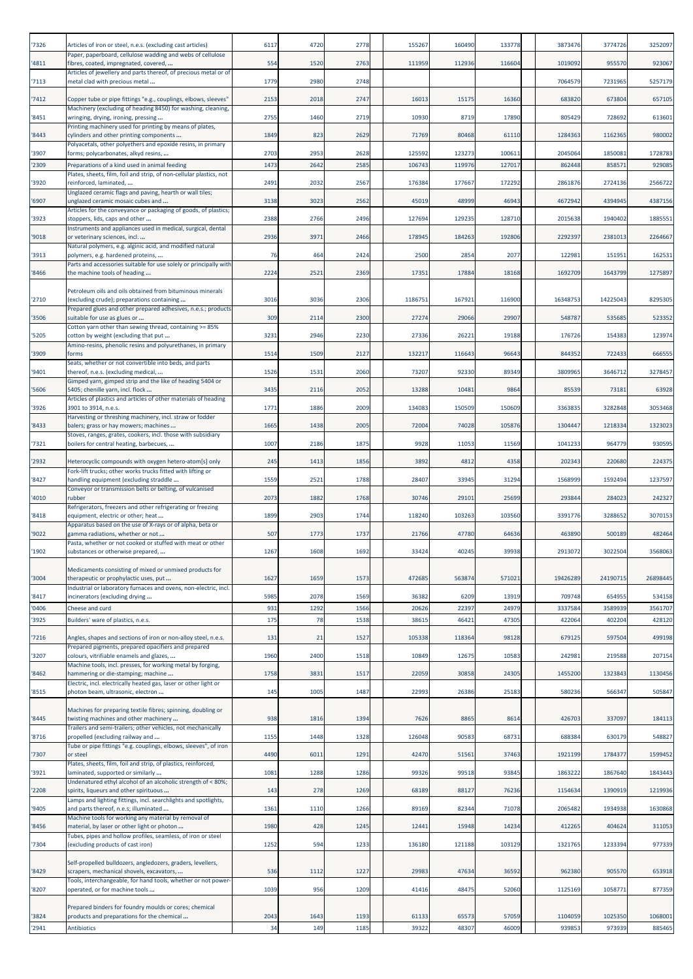| '7326 | Articles of iron or steel, n.e.s. (excluding cast articles)                                                           | 6117 | 4720 | 2778 | 155267  | 160490 | 133778 | 3873476  | 3774726  | 3252097  |
|-------|-----------------------------------------------------------------------------------------------------------------------|------|------|------|---------|--------|--------|----------|----------|----------|
| '4811 | Paper, paperboard, cellulose wadding and webs of cellulose<br>fibres, coated, impregnated, covered,                   | 554  | 1520 | 2763 | 111959  | 112936 | 116604 | 1019092  | 955570   | 923067   |
| '7113 | Articles of jewellery and parts thereof, of precious metal or of<br>metal clad with precious metal                    | 1779 | 2980 | 2748 |         |        |        | 7064579  | 7231965  | 5257179  |
| '7412 | Copper tube or pipe fittings "e.g., couplings, elbows, sleeves"                                                       | 2153 | 2018 | 2747 | 16013   | 15175  | 16360  | 683820   | 673804   | 657105   |
| '8451 | Machinery (excluding of heading 8450) for washing, cleaning,<br>wringing, drying, ironing, pressing                   | 2755 | 1460 | 2719 | 10930   | 8719   | 17890  | 805429   | 728692   | 613601   |
| '8443 | Printing machinery used for printing by means of plates,<br>cylinders and other printing components                   | 1849 | 823  | 2629 | 71769   | 80468  | 61110  | 1284363  | 1162365  | 980002   |
| '3907 | Polyacetals, other polyethers and epoxide resins, in primary<br>forms; polycarbonates, alkyd resins,                  | 2703 | 2953 | 2628 | 125592  | 123273 | 100611 | 2045064  | 1850081  | 1728783  |
| '2309 | Preparations of a kind used in animal feeding                                                                         | 1473 | 2642 | 2585 | 106743  | 119976 | 127017 | 862448   | 85857    | 929085   |
| '3920 | Plates, sheets, film, foil and strip, of non-cellular plastics, not<br>reinforced, laminated,                         | 2491 | 2032 | 2567 | 176384  | 177667 | 172292 | 2861876  | 2724136  | 2566722  |
| '6907 | Unglazed ceramic flags and paving, hearth or wall tiles;<br>unglazed ceramic mosaic cubes and                         | 3138 | 3023 | 2562 | 45019   | 48999  | 46943  | 4672942  | 4394945  | 4387156  |
| '3923 | Articles for the conveyance or packaging of goods, of plastics;<br>stoppers, lids, caps and other                     | 2388 | 2766 | 2496 | 127694  | 129235 | 128710 | 2015638  | 1940402  | 1885551  |
| '9018 | Instruments and appliances used in medical, surgical, dental<br>or veterinary sciences, incl.                         | 2936 | 3971 | 2466 | 178945  | 184263 | 192806 | 2292397  | 2381013  | 2264667  |
| '3913 | Natural polymers, e.g. alginic acid, and modified natural<br>polymers, e.g. hardened proteins,                        | 76   | 464  | 2424 | 2500    | 2854   | 2077   | 122981   | 151951   | 162531   |
| '8466 | Parts and accessories suitable for use solely or principally with<br>the machine tools of heading                     | 2224 | 2521 | 2369 | 17351   | 17884  | 18168  | 1692709  | 1643799  | 1275897  |
|       | Petroleum oils and oils obtained from bituminous minerals                                                             |      |      |      |         |        |        |          |          |          |
| '2710 | (excluding crude); preparations containing<br>Prepared glues and other prepared adhesives, n.e.s.; products           | 3016 | 3036 | 2306 | 1186751 | 167921 | 116900 | 16348753 | 14225043 | 8295305  |
| '3506 | suitable for use as glues or<br>Cotton yarn other than sewing thread, containing >= 85%                               | 309  | 2114 | 2300 | 27274   | 29066  | 29907  | 548787   | 535685   | 523352   |
| '5205 | cotton by weight (excluding that put<br>Amino-resins, phenolic resins and polyurethanes, in primary                   | 3231 | 2946 | 2230 | 27336   | 26221  | 19188  | 176726   | 154383   | 123974   |
| '3909 | forms<br>Seats, whether or not convertible into beds, and parts                                                       | 1514 | 1509 | 2127 | 132217  | 116643 | 96643  | 844352   | 722433   | 666555   |
| '9401 | thereof, n.e.s. (excluding medical,<br>Gimped yarn, gimped strip and the like of heading 5404 or                      | 1526 | 1531 | 2060 | 73207   | 92330  | 89349  | 3809965  | 3646712  | 3278457  |
| '5606 | 5405; chenille yarn, incl. flock<br>Articles of plastics and articles of other materials of heading                   | 3435 | 2116 | 2052 | 13288   | 10481  | 9864   | 85539    | 73181    | 63928    |
| '3926 | 3901 to 3914, n.e.s.<br>Harvesting or threshing machinery, incl. straw or fodder                                      | 1771 | 1886 | 2009 | 134083  | 150509 | 150609 | 3363835  | 3282848  | 3053468  |
| '8433 | balers; grass or hay mowers; machines<br>Stoves, ranges, grates, cookers, incl. those with subsidiary                 | 1665 | 1438 | 2005 | 72004   | 74028  | 105876 | 1304447  | 1218334  | 1323023  |
| '7321 | boilers for central heating, barbecues,                                                                               | 1007 | 2186 | 1875 | 9928    | 11053  | 11569  | 1041233  | 964779   | 930595   |
| '2932 | Heterocyclic compounds with oxygen hetero-atom[s] only<br>Fork-lift trucks; other works trucks fitted with lifting or | 245  | 1413 | 1856 | 3892    | 4812   | 4358   | 202343   | 220680   | 224375   |
| '8427 | nandling equipment (excluding straddle<br>Conveyor or transmission belts or belting, of vulcanised                    | 1559 | 2521 | 1788 | 28407   | 33945  | 31294  | 1568999  | 1592494  | 1237597  |
| '4010 | rubber<br>Refrigerators, freezers and other refrigerating or freezing                                                 | 2073 | 1882 | 1768 | 30746   | 29101  | 25699  | 293844   | 284023   | 242327   |
| '8418 | equipment, electric or other; heat<br>Apparatus based on the use of X-rays or of alpha, beta or                       | 1899 | 2903 | 1744 | 118240  | 103263 | 103560 | 3391776  | 3288652  | 3070153  |
| '9022 | gamma radiations, whether or not<br>Pasta, whether or not cooked or stuffed with meat or other                        | 507  | 1773 | 1737 | 21766   | 47780  | 64636  | 463890   | 500189   | 482464   |
| '1902 | substances or otherwise prepared,                                                                                     | 1267 | 1608 | 1692 | 33424   | 40245  | 39938  | 2913072  | 3022504  | 3568063  |
| '3004 | Medicaments consisting of mixed or unmixed products for<br>therapeutic or prophylactic uses, put                      | 1627 | 1659 | 1573 | 472685  | 563874 | 571021 | 19426289 | 24190715 | 26898445 |
| '8417 | Industrial or laboratory furnaces and ovens, non-electric, incl.<br>ncinerators (excluding drying                     | 5985 | 2078 | 1569 | 36382   | 6209   | 13919  | 709748   | 654955   | 534158   |
| '0406 | Cheese and curd                                                                                                       | 931  | 1292 | 1566 | 20626   | 22397  | 24979  | 3337584  | 3589939  | 3561707  |
| '3925 | Builders' ware of plastics, n.e.s.                                                                                    | 175  | 78   | 1538 | 38615   | 46421  | 47305  | 422064   | 402204   | 428120   |
| '7216 | Angles, shapes and sections of iron or non-alloy steel, n.e.s.                                                        | 131  | 21   | 1527 | 105338  | 118364 | 98128  | 679125   | 597504   | 499198   |
| '3207 | Prepared pigments, prepared opacifiers and prepared<br>colours, vitrifiable enamels and glazes,                       | 1960 | 2400 | 1518 | 10849   | 12675  | 10583  | 242981   | 219588   | 207154   |
| '8462 | Machine tools, incl. presses, for working metal by forging,<br>hammering or die-stamping; machine                     | 1758 | 3831 | 1517 | 22059   | 30858  | 24305  | 1455200  | 1323843  | 1130456  |
| '8515 | Electric, incl. electrically heated gas, laser or other light or<br>photon beam, ultrasonic, electron                 | 145  | 1005 | 1487 | 22993   | 26386  | 25183  | 580236   | 566347   | 505847   |
|       | Machines for preparing textile fibres; spinning, doubling or                                                          |      |      |      |         |        |        |          |          |          |
| '8445 | twisting machines and other machinery<br>Trailers and semi-trailers; other vehicles, not mechanically                 | 938  | 1816 | 1394 | 7626    | 8865   | 8614   | 426703   | 337097   | 184113   |
| '8716 | propelled (excluding railway and<br>Tube or pipe fittings "e.g. couplings, elbows, sleeves", of iron                  | 1155 | 1448 | 1328 | 126048  | 90583  | 68731  | 688384   | 630179   | 548827   |
| '7307 | or steel<br>Plates, sheets, film, foil and strip, of plastics, reinforced,                                            | 4490 | 6011 | 1291 | 42470   | 51561  | 37463  | 1921199  | 1784377  | 1599452  |
| '3921 | aminated, supported or similarly<br>Undenatured ethyl alcohol of an alcoholic strength of < 80%;                      | 1081 | 1288 | 1286 | 99326   | 99518  | 93845  | 1863222  | 1867640  | 1843443  |
| '2208 | spirits, liqueurs and other spirituous                                                                                | 143  | 278  | 1269 | 68189   | 88127  | 76236  | 1154634  | 1390919  | 1219936  |
| '9405 | Lamps and lighting fittings, incl. searchlights and spotlights,<br>and parts thereof, n.e.s; illuminated              | 1361 | 1110 | 1266 | 89169   | 82344  | 71078  | 2065482  | 1934938  | 1630868  |
| '8456 | Machine tools for working any material by removal of<br>material, by laser or other light or photon                   | 1980 | 428  | 1245 | 12441   | 15948  | 14234  | 412265   | 404624   | 311053   |
| '7304 | Tubes, pipes and hollow profiles, seamless, of iron or steel<br>(excluding products of cast iron)                     | 1252 | 594  | 1233 | 136180  | 121188 | 103129 | 1321765  | 1233394  | 977339   |
|       | Self-propelled bulldozers, angledozers, graders, levellers,                                                           |      |      |      |         |        |        |          |          |          |
| '8429 | scrapers, mechanical shovels, excavators,<br>Tools, interchangeable, for hand tools, whether or not power-            | 536  | 1112 | 1227 | 29983   | 47634  | 36592  | 962380   | 905570   | 653918   |
| '8207 | operated, or for machine tools                                                                                        | 1039 | 956  | 1209 | 41416   | 48475  | 52060  | 1125169  | 1058771  | 877359   |
| '3824 | Prepared binders for foundry moulds or cores; chemical<br>products and preparations for the chemical                  | 2043 | 1643 | 1193 | 61133   | 65573  | 57059  | 1104059  | 1025350  | 1068001  |
| '2941 | <b>Antibiotics</b>                                                                                                    | 34   | 149  | 1185 | 39322   | 48307  | 46009  | 939853   | 973939   | 885465   |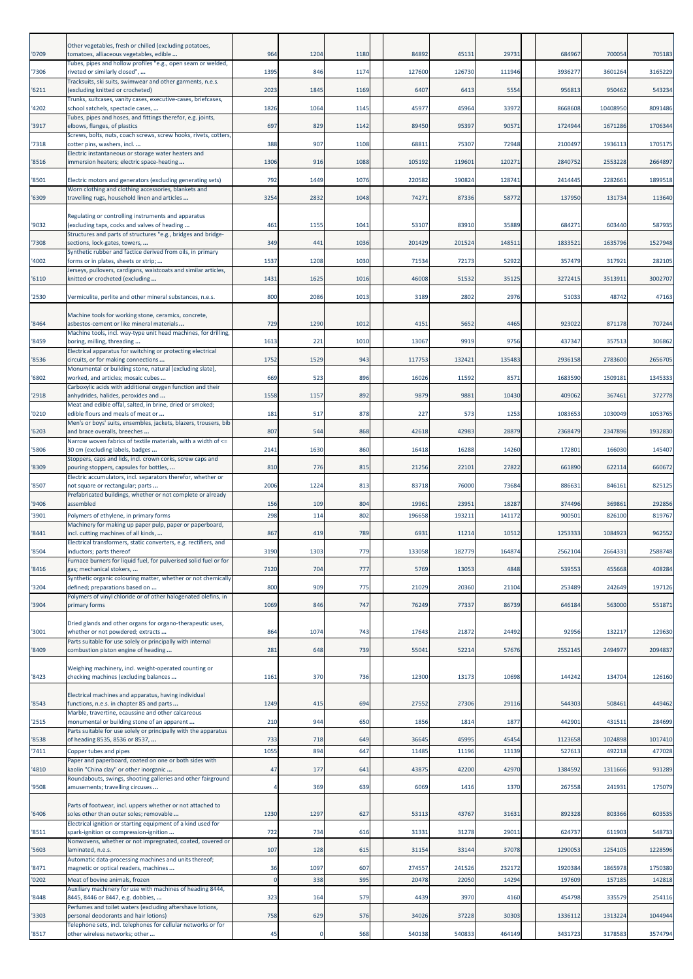| '0709          | Other vegetables, fresh or chilled (excluding potatoes,<br>tomatoes, alliaceous vegetables, edible      | 964               | 1204        | 1180       | 84892           | 45131           | 29731           | 684967            | 700054            | 705183            |
|----------------|---------------------------------------------------------------------------------------------------------|-------------------|-------------|------------|-----------------|-----------------|-----------------|-------------------|-------------------|-------------------|
| '7306          | Tubes, pipes and hollow profiles "e.g., open seam or welded,<br>riveted or similarly closed",           | 1395              | 846         | 1174       | 127600          | 126730          | 111946          | 3936277           | 3601264           | 3165229           |
| '6211          | Tracksuits, ski suits, swimwear and other garments, n.e.s.<br>excluding knitted or crocheted)           | 2023              | 1845        | 1169       | 6407            | 6413            | 5554            | 956813            | 950462            | 543234            |
|                | Trunks, suitcases, vanity cases, executive-cases, briefcases,                                           |                   |             |            |                 |                 |                 |                   |                   |                   |
| '4202          | school satchels, spectacle cases,<br>Tubes, pipes and hoses, and fittings therefor, e.g. joints,        | 1826              | 1064        | 1145       | 45977           | 45964           | 33972           | 8668608           | 10408950          | 8091486           |
| '3917          | elbows, flanges, of plastics<br>Screws, bolts, nuts, coach screws, screw hooks, rivets, cotters,        | 697               | 829         | 1142       | 89450           | 95397           | 90571           | 1724944           | 1671286           | 1706344           |
| '7318          | cotter pins, washers, incl<br>Electric instantaneous or storage water heaters and                       | 388               | 907         | 1108       | 68811           | 75307           | 72948           | 2100497           | 1936113           | 1705175           |
| '8516          | immersion heaters; electric space-heating                                                               | 1306              | 916         | 1088       | 105192          | 119601          | 120271          | 2840752           | 2553228           | 2664897           |
| '8501          | Electric motors and generators (excluding generating sets)                                              | 792               | 1449        | 1076       | 220582          | 190824          | 128741          | 2414445           | 2282661           | 1899518           |
| '6309          | Worn clothing and clothing accessories, blankets and<br>travelling rugs, household linen and articles   | 3254              | 2832        | 1048       | 74271           | 87336           | 58772           | 137950            | 131734            | 113640            |
| '9032          | Regulating or controlling instruments and apparatus<br>(excluding taps, cocks and valves of heading     | 461               | 1155        | 1041       | 53107           | 83910           | 35889           | 684271            | 603440            | 587935            |
| '7308          | Structures and parts of structures "e.g., bridges and bridge-<br>sections, lock-gates, towers,          | 349               | 441         | 1036       | 201429          | 201524          | 148511          | 1833521           | 1635796           | 1527948           |
|                | Synthetic rubber and factice derived from oils, in primary                                              |                   |             |            |                 |                 |                 |                   |                   |                   |
| '4002          | forms or in plates, sheets or strip;<br>Jerseys, pullovers, cardigans, waistcoats and similar articles, | 1537              | 1208        | 1030       | 71534           | 72173           | 52922           | 357479            | 317921            | 282105            |
| '6110          | knitted or crocheted (excluding                                                                         | 1431              | 1625        | 1016       | 46008           | 51532           | 35125           | 3272415           | 3513911           | 3002707           |
| '2530          | Vermiculite, perlite and other mineral substances, n.e.s.                                               | 800               | 2086        | 1013       | 3189            | 2802            | 2976            | 51033             | 48742             | 47163             |
| '8464          | Machine tools for working stone, ceramics, concrete,<br>asbestos-cement or like mineral materials       | 729               | 1290        | 1012       | 4151            | 5652            | 4465            | 923022            | 871178            | 707244            |
| '8459          | Machine tools, incl. way-type unit head machines, for drilling,<br>boring, milling, threading           | 1613              | 221         | 1010       | 13067           | 9919            | 9756            | 437347            | 357513            | 306862            |
| '8536          | Electrical apparatus for switching or protecting electrical<br>circuits, or for making connections      | 1752              | 1529        | 943        | 117753          | 132421          | 135483          | 2936158           | 2783600           | 2656705           |
| '6802          | Monumental or building stone, natural (excluding slate),<br>worked, and articles; mosaic cubes          | 669               | 523         | 896        | 16026           | 11592           | 8571            | 1683590           | 1509181           | 1345333           |
|                | Carboxylic acids with additional oxygen function and their                                              |                   |             |            |                 |                 |                 |                   |                   |                   |
| '2918          | anhydrides, halides, peroxides and<br>Meat and edible offal, salted, in brine, dried or smoked;         | 1558              | 1157        | 892        | 9879            | 9881            | 10430           | 409062            | 367461            | 372778            |
| '0210          | edible flours and meals of meat or<br>Men's or boys' suits, ensembles, jackets, blazers, trousers, bib  | 181               | 517         | 878        | 227             | 573             | 1253            | 1083653           | 1030049           | 1053765           |
| '6203          | and brace overalls, breeches                                                                            | 807               | 544         | 868        | 42618           | 42983           | 28879           | 2368479           | 2347896           | 1932830           |
| '5806          | Narrow woven fabrics of textile materials, with a width of <=<br>30 cm (excluding labels, badges        | 2141              | 1630        | 860        | 16418           | 16288           | 14260           | 172801            | 166030            | 145407            |
| '8309          | Stoppers, caps and lids, incl. crown corks, screw caps and<br>pouring stoppers, capsules for bottles,   | 810               | 776         | 815        | 21256           | 22101           | 27822           | 661890            | 622114            | 660672            |
| '8507          | Electric accumulators, incl. separators therefor, whether or<br>not square or rectangular; parts        | 2006              | 1224        | 813        | 83718           | 76000           | 73684           | 886631            | 846161            | 825125            |
|                | Prefabricated buildings, whether or not complete or already                                             |                   |             |            |                 |                 |                 |                   |                   |                   |
| '9406<br>'3901 | assembled<br>Polymers of ethylene, in primary forms                                                     | 156<br>298        | 109<br>114  | 804<br>802 | 19961<br>196658 | 23951<br>193211 | 18287<br>141172 | 374496<br>900501  | 369861<br>826100  | 292856<br>819767  |
| '8441          | Machinery for making up paper pulp, paper or paperboard,<br>ncl. cutting machines of all kinds,         | 867               | 419         | 789        | 6931            | 11214           | 10512           | 1253333           | 1084923           | 962552            |
|                | Electrical transformers, static converters, e.g. rectifiers, and                                        |                   |             |            |                 |                 |                 |                   |                   |                   |
| '8504          | inductors; parts thereof<br>Furnace burners for liquid fuel, for pulverised solid fuel or for           | 3190              | 1303        | 779        | 133058          | 182779          | 164874          | 2562104           | 2664331           | 2588748           |
| '8416          | gas; mechanical stokers,<br>Synthetic organic colouring matter, whether or not chemically               | 7120              | 704         | 777        | 5769            | 13053           | 4848            | 539553            | 455668            | 408284            |
| '3204          | defined; preparations based on<br>Polymers of vinyl chloride or of other halogenated olefins, in        | 800               | 909         | 775        | 21029           | 20360           | 21104           | 253489            | 242649            | 197126            |
| '3904          | primary forms                                                                                           | 1069              | 846         | 747        | 76249           | 77337           | 86739           | 646184            | 563000            | 551871            |
| '3001          | Dried glands and other organs for organo-therapeutic uses,<br>whether or not powdered; extracts         | 864               | 1074        | 743        | 17643           | 21872           | 24492           | 92956             | 132217            | 129630            |
| '8409          | Parts suitable for use solely or principally with internal<br>combustion piston engine of heading       | 281               | 648         | 739        | 55041           | 52214           | 57676           | 2552145           | 2494977           | 2094837           |
| '8423          | Weighing machinery, incl. weight-operated counting or<br>checking machines (excluding balances          | 1161              | 370         | 736        | 12300           | 13173           | 10698           | 144242            | 134704            | 126160            |
| '8543          | Electrical machines and apparatus, having individual<br>functions, n.e.s. in chapter 85 and parts       | 1249              | 415         | 694        | 27552           | 27306           | 29116           | 544303            | 508461            | 449462            |
| '2515          | Marble, travertine, ecaussine and other calcareous<br>monumental or building stone of an apparent       | 210               | 944         | 650        | 1856            | 1814            | 1877            | 442901            | 431511            | 284699            |
| '8538          | Parts suitable for use solely or principally with the apparatus<br>of heading 8535, 8536 or 8537,       | 733               | 718         | 649        | 36645           | 45995           | 45454           | 1123658           | 1024898           | 1017410           |
| '7411          | Copper tubes and pipes                                                                                  | 1055              | 894         | 647        | 11485           | 11196           | 11139           | 527613            | 492218            | 477028            |
| '4810          | Paper and paperboard, coated on one or both sides with<br>kaolin "China clay" or other inorganic        | 47                | 177         | 641        | 43875           | 42200           | 42970           | 1384592           | 1311666           | 931289            |
| '9508          | Roundabouts, swings, shooting galleries and other fairground<br>amusements; travelling circuses         | 4                 | 369         | 639        | 6069            | 1416            | 1370            | 267558            | 241931            | 175079            |
|                |                                                                                                         |                   |             |            |                 |                 |                 |                   |                   |                   |
| '6406          | Parts of footwear, incl. uppers whether or not attached to<br>soles other than outer soles; removable   | 1230              | 1297        | 627        | 53113           | 43767           | 31631           | 892328            | 803366            | 603535            |
| '8511          | Electrical ignition or starting equipment of a kind used for<br>spark-ignition or compression-ignition  | 722               | 734         | 616        | 31331           | 31278           | 29011           | 624737            | 611903            | 548733            |
| '5603          | Nonwovens, whether or not impregnated, coated, covered or<br>laminated, n.e.s.                          | 107               | 128         | 615        | 31154           | 33144           | 37078           | 1290053           | 1254105           | 1228596           |
|                | Automatic data-processing machines and units thereof;                                                   |                   |             |            |                 |                 |                 |                   |                   |                   |
| '8471<br>'0202 | magnetic or optical readers, machines<br>Meat of bovine animals, frozen                                 | 36<br>$\mathbf 0$ | 1097<br>338 | 607<br>595 | 274557<br>20478 | 241526<br>22050 | 232172<br>14294 | 1920384<br>197609 | 1865978<br>157185 | 1750380<br>142818 |
| '8448          | Auxiliary machinery for use with machines of heading 8444,<br>8445, 8446 or 8447, e.g. dobbies,         | 323               | 164         | 579        | 4439            | 3970            | 4160            | 454798            | 335579            | 254116            |
|                | Perfumes and toilet waters (excluding aftershave lotions,                                               |                   |             |            |                 |                 |                 |                   |                   |                   |
| '3303          | personal deodorants and hair lotions)<br>Telephone sets, incl. telephones for cellular networks or for  | 758               | 629         | 576        | 34026           | 37228           | 30303           | 1336112           | 1313224           | 1044944           |
| '8517          | other wireless networks; other                                                                          | 45                |             | 568        | 540138          | 540833          | 464149          | 3431723           | 3178583           | 3574794           |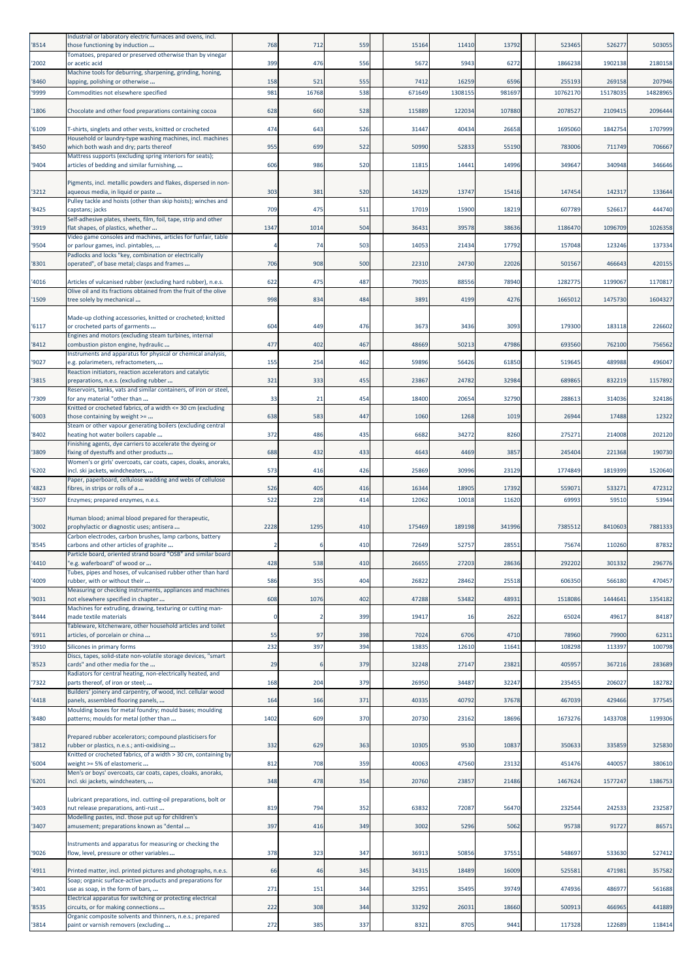| '8514 | Industrial or laboratory electric furnaces and ovens, incl.<br>those functioning by induction                                | 768         | 712   | 559 | 15164  | 11410   | 13792  | 523465   | 526277   | 503055   |
|-------|------------------------------------------------------------------------------------------------------------------------------|-------------|-------|-----|--------|---------|--------|----------|----------|----------|
| '2002 | Tomatoes, prepared or preserved otherwise than by vinegar<br>or acetic acid                                                  | 399         | 476   | 556 | 5672   | 5943    | 6272   | 1866238  | 1902138  | 2180158  |
| '8460 | Machine tools for deburring, sharpening, grinding, honing,<br>apping, polishing or otherwise                                 | 158         | 521   | 555 | 7412   | 16259   | 6596   | 255193   | 269158   | 207946   |
| '9999 | Commodities not elsewhere specified                                                                                          | 981         | 16768 | 538 | 671649 | 1308155 | 981697 | 10762170 | 15178035 | 14828965 |
| '1806 | Chocolate and other food preparations containing cocoa                                                                       | 628         | 660   | 528 | 115889 | 122034  | 107880 | 2078527  | 2109415  | 2096444  |
| '6109 | T-shirts, singlets and other vests, knitted or crocheted                                                                     | 474         | 643   | 526 | 31447  | 40434   | 26658  | 1695060  | 1842754  | 1707999  |
| '8450 | Household or laundry-type washing machines, incl. machines<br>which both wash and dry; parts thereof                         | 955         | 699   | 522 | 50990  | 52833   | 55190  | 783006   | 711749   | 706667   |
| '9404 | Mattress supports (excluding spring interiors for seats);<br>articles of bedding and similar furnishing,                     | 606         | 986   | 520 | 11815  | 14441   | 14996  | 349647   | 340948   | 346646   |
|       | Pigments, incl. metallic powders and flakes, dispersed in non-                                                               |             |       |     |        |         |        |          |          |          |
| '3212 | aqueous media, in liquid or paste<br>Pulley tackle and hoists (other than skip hoists); winches and                          | 303         | 381   | 520 | 14329  | 13747   | 15416  | 147454   | 142317   | 133644   |
| '8425 | capstans; jacks<br>Self-adhesive plates, sheets, film, foil, tape, strip and other                                           | 709         | 475   | 511 | 17019  | 15900   | 18219  | 607789   | 526617   | 444740   |
| '3919 | flat shapes, of plastics, whether<br>Video game consoles and machines, articles for funfair, table                           | 1347        | 1014  | 504 | 36431  | 39578   | 38636  | 1186470  | 1096709  | 1026358  |
| '9504 | or parlour games, incl. pintables,                                                                                           |             | 74    | 503 | 14053  | 21434   | 17792  | 157048   | 123246   | 137334   |
| '8301 | Padlocks and locks "key, combination or electrically<br>operated", of base metal; clasps and frames                          | 706         | 908   | 500 | 22310  | 24730   | 22026  | 501567   | 466643   | 420155   |
| '4016 | Articles of vulcanised rubber (excluding hard rubber), n.e.s.                                                                | 622         | 475   | 487 | 79035  | 88556   | 78940  | 1282775  | 1199067  | 1170817  |
| '1509 | Olive oil and its fractions obtained from the fruit of the olive<br>tree solely by mechanical                                | 998         | 834   | 484 | 3891   | 4199    | 4276   | 1665012  | 1475730  | 1604327  |
|       | Made-up clothing accessories, knitted or crocheted; knitted                                                                  |             |       |     |        |         |        |          |          |          |
| '6117 | or crocheted parts of garments<br>Engines and motors (excluding steam turbines, internal                                     | 604         | 449   | 476 | 3673   | 3436    | 3093   | 179300   | 183118   | 226602   |
| '8412 | combustion piston engine, hydraulic<br>Instruments and apparatus for physical or chemical analysis,                          | 477         | 402   | 467 | 48669  | 50213   | 47986  | 693560   | 762100   | 756562   |
| '9027 | e.g. polarimeters, refractometers,<br>Reaction initiators, reaction accelerators and catalytic                               | 155         | 254   | 462 | 59896  | 56426   | 61850  | 519645   | 489988   | 496047   |
| '3815 | preparations, n.e.s. (excluding rubber                                                                                       | 321         | 333   | 455 | 23867  | 24782   | 32984  | 689865   | 832219   | 1157892  |
| '7309 | Reservoirs, tanks, vats and similar containers, of iron or steel,<br>for any material "other than                            | 33          | 21    | 454 | 18400  | 20654   | 32790  | 288613   | 314036   | 324186   |
| '6003 | Knitted or crocheted fabrics, of a width <= 30 cm (excluding<br>those containing by weight >=                                | 638         | 583   | 447 | 1060   | 1268    | 1019   | 26944    | 17488    | 12322    |
| '8402 | Steam or other vapour generating boilers (excluding central<br>heating hot water boilers capable                             | 372         | 486   | 435 | 6682   | 34272   | 8260   | 275271   | 214008   | 202120   |
| '3809 | Finishing agents, dye carriers to accelerate the dyeing or<br>fixing of dyestuffs and other products                         | 688         | 432   | 433 | 4643   | 4469    | 3857   | 245404   | 221368   | 190730   |
| '6202 | Women's or girls' overcoats, car coats, capes, cloaks, anoraks,<br>incl. ski jackets, windcheaters,                          | 573         | 416   | 426 | 25869  | 30996   | 23129  | 1774849  | 1819399  | 1520640  |
| '4823 | Paper, paperboard, cellulose wadding and webs of cellulose<br>fibres, in strips or rolls of a                                | 526         | 405   | 416 | 16344  | 18905   | 17392  | 559071   | 533271   | 472312   |
| '3507 | Enzymes; prepared enzymes, n.e.s.                                                                                            | 522         | 228   | 414 | 12062  | 10018   | 11620  | 69993    | 59510    | 53944    |
|       | Human blood; animal blood prepared for therapeutic,                                                                          |             |       |     |        |         |        |          |          |          |
| '3002 | prophylactic or diagnostic uses; antisera<br>Carbon electrodes, carbon brushes, lamp carbons, battery                        | 2228        | 1295  | 410 | 175469 | 189198  | 341996 | 7385512  | 8410603  | 7881333  |
| '8545 | carbons and other articles of graphite<br>Particle board, oriented strand board "OSB" and similar board                      |             |       | 410 | 72649  | 52757   | 28551  | 75674    | 110260   | 87832    |
| '4410 | 'e.g. waferboard" of wood or<br>Tubes, pipes and hoses, of vulcanised rubber other than hard                                 | 428         | 538   | 410 | 26655  | 27203   | 28636  | 292202   | 301332   | 296776   |
| '4009 | rubber, with or without their<br>Measuring or checking instruments, appliances and machines                                  | 586         | 355   | 404 | 26822  | 28462   | 25518  | 606350   | 566180   | 470457   |
| '9031 | not elsewhere specified in chapter<br>Machines for extruding, drawing, texturing or cutting man-                             | 608         | 1076  | 402 | 47288  | 53482   | 48931  | 1518086  | 1444641  | 1354182  |
| '8444 | made textile materials<br>Tableware, kitchenware, other household articles and toilet                                        | $\mathbf 0$ |       | 399 | 19417  | 16      | 2622   | 65024    | 49617    | 84187    |
| '6911 | articles, of porcelain or china                                                                                              | 55          | 97    | 398 | 7024   | 6706    | 4710   | 78960    | 79900    | 62311    |
| '3910 | Silicones in primary forms<br>Discs, tapes, solid-state non-volatile storage devices, "smart                                 | 232         | 397   | 394 | 13835  | 12610   | 11641  | 108298   | 113397   | 100798   |
| '8523 | cards" and other media for the<br>Radiators for central heating, non-electrically heated, and                                | 29          |       | 379 | 32248  | 27147   | 23821  | 405957   | 367216   | 283689   |
| '7322 | parts thereof, of iron or steel;<br>Builders' joinery and carpentry, of wood, incl. cellular wood                            | 168         | 204   | 379 | 26950  | 34487   | 32247  | 235455   | 206027   | 182782   |
| '4418 | panels, assembled flooring panels,<br>Moulding boxes for metal foundry; mould bases; moulding                                | 164         | 166   | 371 | 40335  | 40792   | 37678  | 467039   | 429466   | 377545   |
| '8480 | patterns; moulds for metal (other than                                                                                       | 1402        | 609   | 370 | 20730  | 23162   | 18696  | 1673276  | 1433708  | 1199306  |
| '3812 | Prepared rubber accelerators; compound plasticisers for<br>rubber or plastics, n.e.s.; anti-oxidising                        | 332         | 629   | 363 | 10305  | 9530    | 10837  | 350633   | 335859   | 325830   |
| '6004 | Knitted or crocheted fabrics, of a width > 30 cm, containing by<br>weight >= 5% of elastomeric                               | 812         | 708   | 359 | 40063  | 47560   | 23132  | 451476   | 440057   | 380610   |
| '6201 | Men's or boys' overcoats, car coats, capes, cloaks, anoraks,<br>incl. ski jackets, windcheaters,                             | 348         | 478   | 354 | 20760  | 23857   | 21486  | 1467624  | 1577247  | 1386753  |
|       |                                                                                                                              |             |       |     |        |         |        |          |          |          |
| '3403 | Lubricant preparations, incl. cutting-oil preparations, bolt or<br>nut release preparations, anti-rust                       | 819         | 794   | 352 | 63832  | 72087   | 56470  | 232544   | 242533   | 232587   |
| '3407 | Modelling pastes, incl. those put up for children's<br>amusement; preparations known as "dental                              | 397         | 416   | 349 | 3002   | 5296    | 5062   | 95738    | 91727    | 86571    |
|       | Instruments and apparatus for measuring or checking the                                                                      |             |       |     |        |         |        |          |          |          |
| '9026 | flow, level, pressure or other variables                                                                                     | 378         | 323   | 347 | 36913  | 50856   | 3755   | 548697   | 533630   | 527412   |
| '4911 | Printed matter, incl. printed pictures and photographs, n.e.s.<br>Soap; organic surface-active products and preparations for | 66          | 46    | 345 | 34315  | 18489   | 16009  | 525581   | 471981   | 357582   |
| '3401 | use as soap, in the form of bars,<br>Electrical apparatus for switching or protecting electrical                             | 271         | 151   | 344 | 32951  | 35495   | 39749  | 474936   | 486977   | 561688   |
| '8535 | circuits, or for making connections<br>Organic composite solvents and thinners, n.e.s.; prepared                             | 222         | 308   | 344 | 33292  | 26031   | 18660  | 500913   | 466965   | 441889   |
| '3814 | paint or varnish removers (excluding                                                                                         | 272         | 385   | 337 | 8321   | 8705    | 9441   | 117328   | 122689   | 118414   |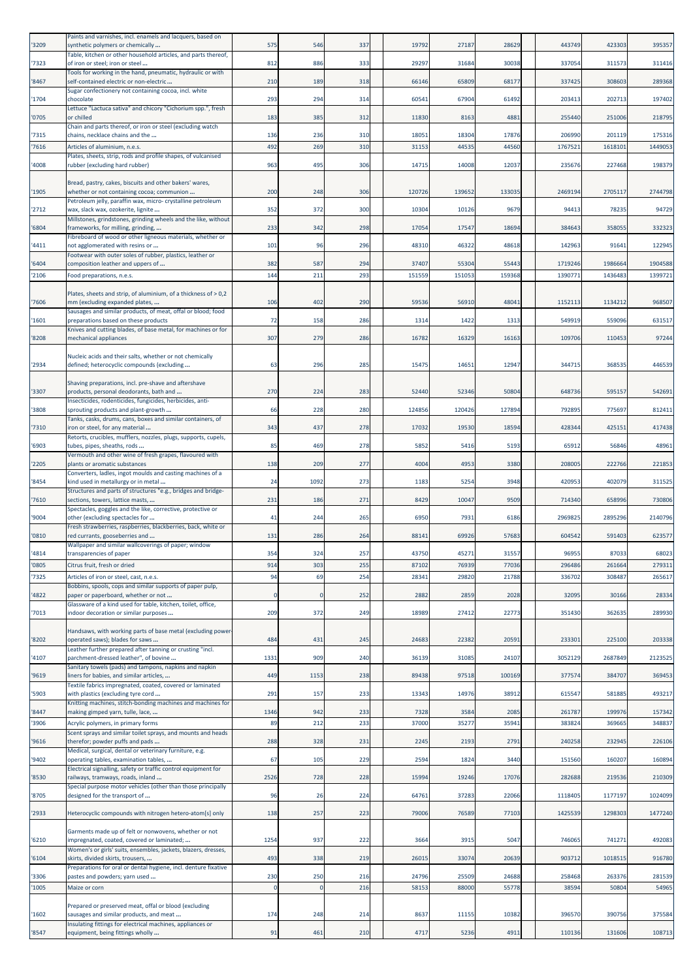| '3209          | Paints and varnishes, incl. enamels and lacquers, based on<br>synthetic polymers or chemically         | 575                 | 546               | 337        | 19792           | 27187           | 28629           | 443749             | 423303            | 395357             |
|----------------|--------------------------------------------------------------------------------------------------------|---------------------|-------------------|------------|-----------------|-----------------|-----------------|--------------------|-------------------|--------------------|
| '7323          | Table, kitchen or other household articles, and parts thereof,<br>of iron or steel; iron or steel      | 812                 | 886               | 333        | 29297           | 31684           | 30038           | 337054             | 311573            | 311416             |
| '8467          | Tools for working in the hand, pneumatic, hydraulic or with<br>self-contained electric or non-electric | 210                 | 189               | 318        | 66146           | 65809           | 68177           | 337425             | 308603            | 289368             |
|                | Sugar confectionery not containing cocoa, incl. white<br>chocolate                                     | 293                 | 294               |            | 60541           |                 | 61492           |                    | 202713            | 197402             |
| '1704          | Lettuce "Lactuca sativa" and chicory "Cichorium spp.", fresh                                           |                     |                   | 314        |                 | 67904           |                 | 203413             |                   |                    |
| '0705          | or chilled<br>Chain and parts thereof, or iron or steel (excluding watch                               | 183                 | 385               | 312        | 11830           | 8163            | 4881            | 255440             | 251006            | 218795             |
| '7315<br>'7616 | chains, necklace chains and the<br>Articles of aluminium, n.e.s.                                       | 136<br>492          | 236<br>269        | 310<br>310 | 18051<br>31153  | 18304<br>44535  | 17876<br>44560  | 206990<br>1767521  | 201119<br>161810: | 175316<br>1449053  |
|                | Plates, sheets, strip, rods and profile shapes, of vulcanised                                          |                     |                   |            |                 |                 |                 |                    |                   |                    |
| '4008          | rubber (excluding hard rubber)                                                                         | 963                 | 495               | 306        | 14715           | 14008           | 12037           | 235676             | 227468            | 198379             |
| '1905          | Bread, pastry, cakes, biscuits and other bakers' wares,<br>whether or not containing cocoa; communion  | 200                 | 248               | 306        | 12072           | 139652          | 133035          | 2469194            | 2705117           | 2744798            |
| '2712          | Petroleum jelly, paraffin wax, micro- crystalline petroleum<br>wax, slack wax, ozokerite, lignite      | 352                 | 372               | 300        | 10304           | 10126           | 9679            | 94413              | 78235             | 94729              |
| '6804          | Millstones, grindstones, grinding wheels and the like, without<br>frameworks, for milling, grinding,   | 233                 | 342               | 298        | 17054           | 17547           | 18694           | 384643             | 358055            | 332323             |
|                | Fibreboard of wood or other ligneous materials, whether or                                             |                     |                   |            |                 |                 |                 |                    |                   |                    |
| '4411          | not agglomerated with resins or<br>Footwear with outer soles of rubber, plastics, leather or           | 101                 | 96                | 296        | 48310           | 46322           | 48618           | 142963             | 91641             | 122945             |
| '6404<br>'2106 | composition leather and uppers of<br>Food preparations, n.e.s.                                         | 382<br>144          | 587<br>211        | 294<br>293 | 37407<br>151559 | 55304<br>151053 | 55443<br>159368 | 1719246<br>1390771 | 1986664<br>143648 | 1904588<br>1399721 |
|                |                                                                                                        |                     |                   |            |                 |                 |                 |                    |                   |                    |
| '7606          | Plates, sheets and strip, of aluminium, of a thickness of > 0,2<br>mm (excluding expanded plates,      | 106                 | 402               | 290        | 59536           | 56910           | 48041           | 1152113            | 1134212           | 968507             |
| '1601          | Sausages and similar products, of meat, offal or blood; food<br>preparations based on these products   | 72                  | 158               | 286        | 1314            | 1422            | 1313            | 549919             | 559096            | 631517             |
| '8208          | Knives and cutting blades, of base metal, for machines or for<br>mechanical appliances                 | 307                 | 279               | 286        | 16782           | 16329           | 16163           | 109706             | 110453            | 97244              |
|                | Nucleic acids and their salts, whether or not chemically                                               |                     |                   |            |                 |                 |                 |                    |                   |                    |
| '2934          | defined; heterocyclic compounds (excluding                                                             | 63                  | 296               | 285        | 15475           | 14651           | 12947           | 344715             | 368535            | 446539             |
|                | Shaving preparations, incl. pre-shave and aftershave                                                   |                     |                   |            |                 |                 |                 |                    |                   |                    |
| '3307          | products, personal deodorants, bath and<br>Insecticides, rodenticides, fungicides, herbicides, anti-   | 270                 | 224               | 283        | 52440           | 52346           | 50804           | 648736             | 595157            | 542691             |
| '3808          | sprouting products and plant-growth<br>Tanks, casks, drums, cans, boxes and similar containers, of     | 66                  | 228               | 280        | 124856          | 120426          | 127894          | 792895             | 775697            | 812411             |
| '7310          | iron or steel, for any material<br>Retorts, crucibles, mufflers, nozzles, plugs, supports, cupels,     | 343                 | 437               | 278        | 17032           | 19530           | 18594           | 428344             | 425151            | 417438             |
| '6903          | tubes, pipes, sheaths, rods                                                                            | 85                  | 469               | 278        | 5852            | 5416            | 5193            | 65912              | 56846             | 48961              |
| '2205          | Vermouth and other wine of fresh grapes, flavoured with<br>plants or aromatic substances               | 138                 | 209               | 277        | 4004            | 4953            | 3380            | 208005             | 222766            | 221853             |
| '8454          | Converters, ladles, ingot moulds and casting machines of a<br>kind used in metallurgy or in metal      | 24                  | 1092              | 273        | 1183            | 5254            | 3948            | 420953             | 402079            | 311525             |
| '7610          | Structures and parts of structures "e.g., bridges and bridge-<br>sections, towers, lattice masts,      | 231                 | 186               | 271        | 8429            | 10047           | 9509            | 714340             | 658996            | 730806             |
| '9004          | Spectacles, goggles and the like, corrective, protective or<br>other (excluding spectacles for         | 41                  | 244               | 265        | 6950            | 7931            | 6186            | 2969825            | 2895296           | 2140796            |
| '0810          | Fresh strawberries, raspberries, blackberries, back, white or                                          | 131                 | 286               | 264        | 88141           | 69926           | 57683           | 604542             | 591403            | 623577             |
|                | red currants, gooseberries and<br>Wallpaper and similar wallcoverings of paper; window                 |                     |                   |            |                 |                 |                 |                    |                   |                    |
| '4814<br>'0805 | transparencies of paper<br>Citrus fruit, fresh or dried                                                | 354<br>914          | 324<br>303        | 257<br>255 | 43750<br>87102  | 45271<br>76939  | 31557<br>77036  | 96955<br>296486    | 87033<br>261664   | 68023<br>279311    |
| '7325          | Articles of iron or steel, cast, n.e.s.                                                                | 94                  | 69                | 254        | 28341           | 29820           | 21788           | 336702             | 308487            | 265617             |
| '4822          | Bobbins, spools, cops and similar supports of paper pulp,<br>paper or paperboard, whether or not       | $\Omega$            |                   | 252        | 2882            | 2859            | 2028            | 32095              | 30166             | 28334              |
| '7013          | Glassware of a kind used for table, kitchen, toilet, office,<br>indoor decoration or similar purposes  | 209                 | 372               | 249        | 18989           | 27412           | 22773           | 351430             | 362635            | 289930             |
|                | Handsaws, with working parts of base metal (excluding power                                            |                     |                   |            |                 |                 |                 |                    |                   |                    |
| '8202          | operated saws); blades for saws<br>Leather further prepared after tanning or crusting "incl.           | 484                 | 431               | 245        | 24683           | 22382           | 20591           | 233301             | 225100            | 203338             |
| '4107          | parchment-dressed leather", of bovine                                                                  | 1331                | 909               | 240        | 36139           | 31085           | 24107           | 3052129            | 2687849           | 2123525            |
| '9619          | Sanitary towels (pads) and tampons, napkins and napkin<br>liners for babies, and similar articles,     | 449                 | 1153              | 238        | 89438           | 97518           | 100169          | 377574             | 384707            | 369453             |
| '5903          | Textile fabrics impregnated, coated, covered or laminated<br>with plastics (excluding tyre cord        | 291                 | 157               | 233        | 13343           | 14976           | 38912           | 615547             | 581885            | 493217             |
| '8447          | Knitting machines, stitch-bonding machines and machines for<br>making gimped yarn, tulle, lace,        | 1346                | 942               | 233        | 7328            | 3584            | 2085            | 261787             | 199976            | 157342             |
| '3906          | Acrylic polymers, in primary forms                                                                     | 89                  | 212               | 233        | 37000           | 35277           | 35941           | 383824             | 369665            | 348837             |
| '9616          | Scent sprays and similar toilet sprays, and mounts and heads<br>therefor; powder puffs and pads        | 288                 | 328               | 231        | 2245            | 2193            | 2791            | 240258             | 232945            | 226106             |
| '9402          | Medical, surgical, dental or veterinary furniture, e.g.<br>operating tables, examination tables,       | 67                  | 105               | 229        | 2594            | 1824            | 3440            | 151560             | 160207            | 160894             |
| '8530          | Electrical signalling, safety or traffic control equipment for<br>railways, tramways, roads, inland    | 2526                | 728               | 228        | 15994           | 19246           | 17076           | 282688             | 219536            | 210309             |
|                | Special purpose motor vehicles (other than those principally                                           |                     |                   |            |                 |                 |                 |                    |                   |                    |
| '8705          | designed for the transport of                                                                          | 96                  | 26                | 224        | 64761           | 37283           | 22066           | 1118405            | 1177197           | 1024099            |
| '2933          | Heterocyclic compounds with nitrogen hetero-atom[s] only                                               | 138                 | 257               | 223        | 79006           | 76589           | 77103           | 1425539            | 1298303           | 1477240            |
| '6210          | Garments made up of felt or nonwovens, whether or not<br>impregnated, coated, covered or laminated;    | 1254                | 937               | 222        | 3664            | 3915            | 5047            | 746065             | 741271            | 492083             |
| '6104          | Women's or girls' suits, ensembles, jackets, blazers, dresses,<br>skirts, divided skirts, trousers,    | 493                 | 338               | 219        | 26015           | 33074           | 20639           | 903712             | 1018515           | 916780             |
|                | Preparations for oral or dental hygiene, incl. denture fixative                                        |                     |                   |            |                 |                 |                 |                    |                   |                    |
| '3306<br>'1005 | pastes and powders; yarn used<br>Maize or corn                                                         | 230<br>$\mathbf{0}$ | 250<br>$\epsilon$ | 216<br>216 | 24796<br>58153  | 25509<br>88000  | 24688<br>55778  | 258468<br>38594    | 263376<br>50804   | 281539<br>54965    |
|                | Prepared or preserved meat, offal or blood (excluding                                                  |                     |                   |            |                 |                 |                 |                    |                   |                    |
| '1602          | sausages and similar products, and meat                                                                | 174                 | 248               | 214        | 8637            | 11155           | 10382           | 396570             | 390756            | 375584             |
| '8547          | Insulating fittings for electrical machines, appliances or<br>equipment, being fittings wholly         | 91                  | 461               | 210        | 4717            | 5236            | 4911            | 110136             | 131606            | 108713             |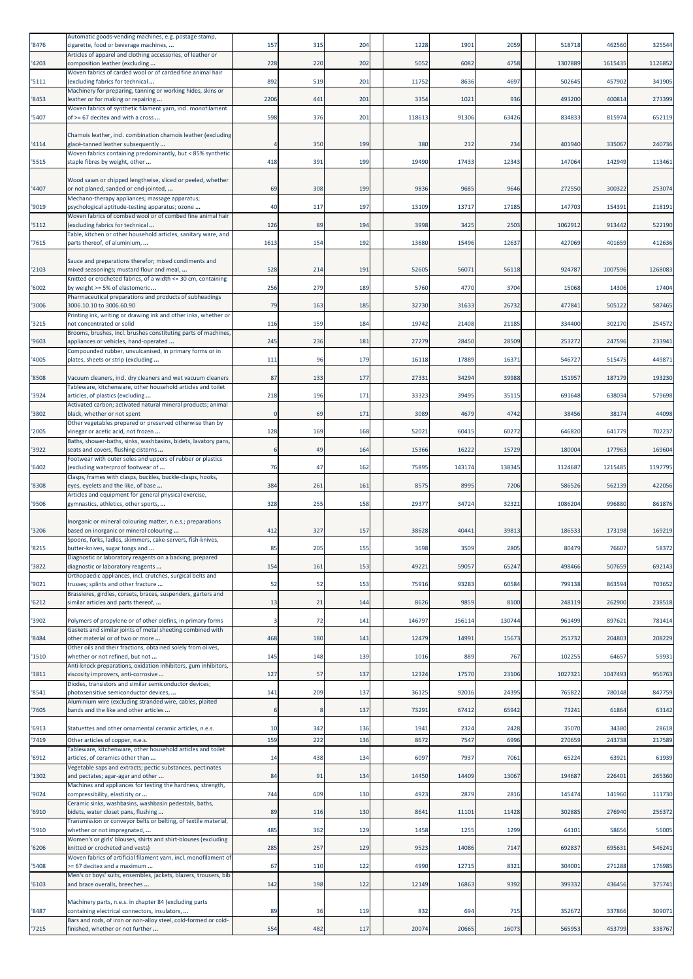| '8476 | Automatic goods-vending machines, e.g. postage stamp,<br>cigarette, food or beverage machines,                             | 157      | 315 | 204             | 1228   | 1901   | 2059   | 518718  | 462560  | 325544  |
|-------|----------------------------------------------------------------------------------------------------------------------------|----------|-----|-----------------|--------|--------|--------|---------|---------|---------|
| '4203 | Articles of apparel and clothing accessories, of leather or<br>composition leather (excluding                              | 228      | 220 | 202             | 5052   | 6082   | 4758   | 1307889 | 1615435 | 1126852 |
| '5111 | Woven fabrics of carded wool or of carded fine animal hair<br>excluding fabrics for technical                              | 892      | 519 | 201             | 11752  | 8636   | 4697   | 502645  | 457902  | 341905  |
| '8453 | Machinery for preparing, tanning or working hides, skins or<br>eather or for making or repairing                           | 2206     | 441 | 201             | 3354   | 1021   | 936    | 493200  | 400814  | 273399  |
| '5407 | Woven fabrics of synthetic filament yarn, incl. monofilament<br>of >= 67 decitex and with a cross                          | 598      | 376 | 201             | 118613 | 91306  | 63426  | 834833  | 815974  | 652119  |
|       |                                                                                                                            |          |     |                 |        |        |        |         |         |         |
| '4114 | Chamois leather, incl. combination chamois leather (excluding<br>glacé-tanned leather subsequently                         |          | 350 | 199             | 380    | 232    | 234    | 401940  | 335067  | 240736  |
| '5515 | Woven fabrics containing predominantly, but < 85% synthetic<br>staple fibres by weight, other                              | 418      | 391 | 199             | 19490  | 17433  | 12343  | 147064  | 142949  | 113461  |
|       | Wood sawn or chipped lengthwise, sliced or peeled, whether                                                                 |          |     |                 |        |        |        |         |         |         |
| '4407 | or not planed, sanded or end-jointed,<br>Mechano-therapy appliances; massage apparatus;                                    | 69       | 308 | 199             | 9836   | 9685   | 9646   | 272550  | 300322  | 253074  |
| '9019 | psychological aptitude-testing apparatus; ozone<br>Woven fabrics of combed wool or of combed fine animal hair              | 40       | 117 | 197             | 13109  | 13717  | 17185  | 147703  | 154391  | 218191  |
| '5112 | (excluding fabrics for technical<br>Table, kitchen or other household articles, sanitary ware, and                         | 126      | 89  | 194             | 3998   | 3425   | 2503   | 1062912 | 913442  | 522190  |
| '7615 | parts thereof, of aluminium,                                                                                               | 1613     | 154 | 192             | 13680  | 15496  | 12637  | 427069  | 401659  | 412636  |
| '2103 | Sauce and preparations therefor; mixed condiments and<br>mixed seasonings; mustard flour and meal,                         | 528      | 214 | 191             | 52605  | 56071  | 56118  | 924787  | 1007596 | 1268083 |
| '6002 | Knitted or crocheted fabrics, of a width <= 30 cm, containing<br>by weight >= 5% of elastomeric                            | 256      | 279 | 189             | 5760   | 4770   | 3704   | 15068   | 14306   | 17404   |
|       | Pharmaceutical preparations and products of subheadings                                                                    | 79       | 163 | 185             | 32730  | 31633  | 26732  | 477841  | 505122  | 587465  |
| '3006 | 3006.10.10 to 3006.60.90<br>Printing ink, writing or drawing ink and other inks, whether or                                |          |     |                 |        |        |        |         |         |         |
| '3215 | not concentrated or solid<br>Brooms, brushes, incl. brushes constituting parts of machines,                                | 116      | 159 | 184             | 19742  | 21408  | 21185  | 334400  | 302170  | 254572  |
| '9603 | appliances or vehicles, hand-operated<br>Compounded rubber, unvulcanised, in primary forms or in                           | 245      | 236 | 181             | 27279  | 28450  | 28509  | 253272  | 247596  | 233941  |
| '4005 | plates, sheets or strip (excluding                                                                                         | 111      | 96  | 179             | 16118  | 17889  | 16371  | 546727  | 515475  | 449871  |
| '8508 | Vacuum cleaners, incl. dry cleaners and wet vacuum cleaners<br>Tableware, kitchenware, other household articles and toilet | 87       | 133 | 177             | 27331  | 34294  | 39988  | 151957  | 187179  | 193230  |
| '3924 | articles, of plastics (excluding<br>Activated carbon; activated natural mineral products; animal                           | 218      | 196 | 171             | 33323  | 39495  | 35115  | 691648  | 638034  | 579698  |
| '3802 | black, whether or not spent<br>Other vegetables prepared or preserved otherwise than by                                    | $\Omega$ | 69  | 171             | 3089   | 4679   | 4742   | 38456   | 38174   | 44098   |
| '2005 | vinegar or acetic acid, not frozen<br>Baths, shower-baths, sinks, washbasins, bidets, lavatory pans,                       | 128      | 169 | 168             | 52021  | 60415  | 60272  | 646820  | 641779  | 702237  |
| '3922 | seats and covers, flushing cisterns                                                                                        | 6        | 49  | 164             | 15366  | 16222  | 15729  | 180004  | 177963  | 169604  |
| '6402 | Footwear with outer soles and uppers of rubber or plastics<br>(excluding waterproof footwear of                            | 76       | 47  | 162             | 75895  | 143174 | 138345 | 1124687 | 1215485 | 1197795 |
| '8308 | Clasps, frames with clasps, buckles, buckle-clasps, hooks,<br>eyes, eyelets and the like, of base                          | 384      | 261 | 161             | 8575   | 8995   | 7206   | 586526  | 562139  | 422056  |
| '9506 | Articles and equipment for general physical exercise,<br>gymnastics, athletics, other sports,                              | 328      | 255 | 158             | 29377  | 34724  | 32321  | 1086204 | 996880  | 861876  |
|       | norganic or mineral colouring matter, n.e.s.; preparations                                                                 |          |     |                 |        |        |        |         |         |         |
| '3206 | based on inorganic or mineral colouring<br>Spoons, forks, ladles, skimmers, cake-servers, fish-knives,                     | 412      | 327 | 157             | 38628  | 40441  | 39813  | 186533  | 173198  | 169219  |
| '8215 | butter-knives, sugar tongs and<br>Diagnostic or laboratory reagents on a backing, prepared                                 | 85       | 205 | 155             | 3698   | 3509   | 2805   | 80479   | 76607   | 58372   |
| '3822 | diagnostic or laboratory reagents<br>Orthopaedic appliances, incl. crutches, surgical belts and                            | 154      | 161 | 153             | 49221  | 59057  | 65247  | 498466  | 507659  | 692143  |
| '9021 | trusses; splints and other fracture<br>Brassieres, girdles, corsets, braces, suspenders, garters and                       | 52       | 52  | 153             | 75916  | 93283  | 60584  | 799138  | 863594  | 703652  |
| '6212 | similar articles and parts thereof,                                                                                        | 13       | 21  | 144             | 8626   | 9859   | 8100   | 248119  | 262900  | 238518  |
| '3902 | Polymers of propylene or of other olefins, in primary forms                                                                | 3        | 72  | 141             | 146797 | 156114 | 130744 | 961499  | 897621  | 781414  |
| '8484 | Gaskets and similar joints of metal sheeting combined with<br>other material or of two or more                             | 468      | 180 | 141             | 12479  | 14991  | 15673  | 251732  | 204803  | 208229  |
| '1510 | Other oils and their fractions, obtained solely from olives,<br>whether or not refined, but not                            | 145      | 148 | 139             | 1016   | 889    | 767    | 102255  | 64657   | 59931   |
| '3811 | Anti-knock preparations, oxidation inhibitors, gum inhibitors,<br>viscosity improvers, anti-corrosive                      | 127      | 57  | 137             | 12324  | 17570  | 23106  | 1027321 | 1047493 | 956763  |
| '8541 | Diodes, transistors and similar semiconductor devices;<br>photosensitive semiconductor devices,                            | 141      | 209 | 137             | 36125  | 92016  | 24395  | 765822  | 780148  | 847759  |
| '7605 | Aluminium wire (excluding stranded wire, cables, plaited<br>bands and the like and other articles                          | 6        |     | 137             | 73291  | 67412  | 65942  | 73241   | 61864   | 63142   |
| '6913 | Statuettes and other ornamental ceramic articles, n.e.s.                                                                   | 10       | 342 | 136             | 1941   | 2324   | 2428   | 35070   | 34380   | 28618   |
| '7419 | Other articles of copper, n.e.s.                                                                                           | 159      | 222 | 136             | 8672   | 7547   | 6996   | 270659  | 243738  | 217589  |
| '6912 | Tableware, kitchenware, other household articles and toilet<br>articles, of ceramics other than                            | 14       | 438 | 134             | 6097   | 7937   | 7061   | 65224   | 63921   | 61939   |
| '1302 | Vegetable saps and extracts; pectic substances, pectinates<br>and pectates; agar-agar and other                            | 84       | 91  | 134             | 14450  | 14409  | 13067  | 194687  | 226401  | 265360  |
| '9024 | Machines and appliances for testing the hardness, strength,<br>compressibility, elasticity or                              | 744      | 609 | 130             | 4923   | 2879   | 2816   | 145474  | 141960  | 111730  |
| '6910 | Ceramic sinks, washbasins, washbasin pedestals, baths,<br>bidets, water closet pans, flushing                              | 89       | 116 | 13 <sub>C</sub> | 8641   | 11101  | 11428  | 302885  | 276940  | 256372  |
| '5910 | Transmission or conveyor belts or belting, of textile material,<br>whether or not impregnated,                             | 485      | 362 | 129             | 1458   | 1255   | 1299   | 64101   | 58656   | 56005   |
| '6206 | Women's or girls' blouses, shirts and shirt-blouses (excluding<br>knitted or crocheted and vests)                          | 285      | 257 | 129             | 9523   | 14086  | 7147   | 692837  | 695631  | 546241  |
| 5408  | Woven fabrics of artificial filament yarn, incl. monofilament of<br>>= 67 decitex and a maximum                            | 67       | 110 | 122             | 4990   | 12715  | 8321   | 304001  | 271288  | 176985  |
| '6103 | Men's or boys' suits, ensembles, jackets, blazers, trousers, bib<br>and brace overalls, breeches                           | 142      | 198 | 122             | 12149  | 16863  | 9392   | 399332  | 436456  | 375741  |
|       |                                                                                                                            |          |     |                 |        |        |        |         |         |         |
| '8487 | Machinery parts, n.e.s. in chapter 84 (excluding parts<br>containing electrical connectors, insulators,                    | 89       | 36  | 119             | 832    | 694    | 715    | 352672  | 337866  | 309071  |
| '7215 | Bars and rods, of iron or non-alloy steel, cold-formed or cold-<br>finished, whether or not further                        | 554      | 482 | 117             | 20074  | 20665  | 16073  | 565953  | 453799  | 338767  |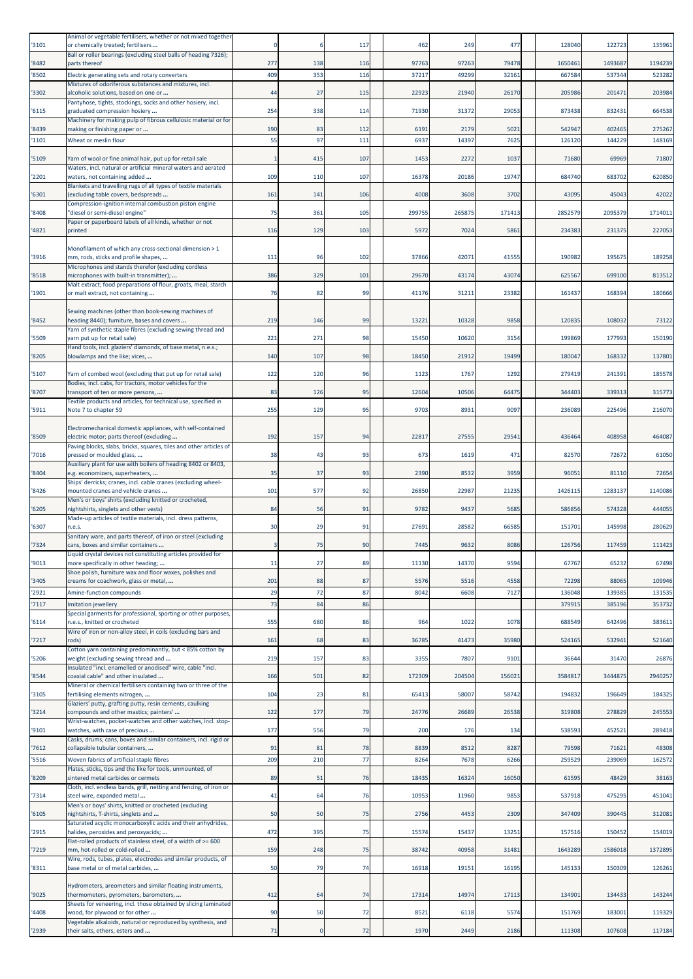| '3101          | Animal or vegetable fertilisers, whether or not mixed together<br>or chemically treated; fertilisers     |              |          | 117      | 462    | 249    | 477    | 128040           | 122723           | 135961           |
|----------------|----------------------------------------------------------------------------------------------------------|--------------|----------|----------|--------|--------|--------|------------------|------------------|------------------|
| '8482          | Ball or roller bearings (excluding steel balls of heading 7326);<br>parts thereof                        | 277          | 138      | 116      | 97763  | 97263  | 79478  | 1650461          | 1493687          | 1194239          |
| '8502          | Electric generating sets and rotary converters                                                           | 409          | 353      | 116      | 37217  | 49299  | 32161  | 667584           | 537344           | 523282           |
| '3302          | Mixtures of odoriferous substances and mixtures, incl.<br>alcoholic solutions, based on one or           | 44           | 27       | 115      | 22923  | 21940  | 26170  | 205986           | 201471           | 203984           |
| '6115          | Pantyhose, tights, stockings, socks and other hosiery, incl.<br>graduated compression hosiery            | 254          | 338      | 114      | 71930  | 31372  | 29053  | 873438           | 832431           | 664538           |
| '8439          | Machinery for making pulp of fibrous cellulosic material or for<br>making or finishing paper or          | 190          | 83       | 112      | 6191   | 2179   | 5021   | 542947           | 402465           | 275267           |
| '1101          | Wheat or meslin flour                                                                                    | 55           | 97       | 111      | 6937   | 14397  | 7625   | 126120           | 144229           | 148169           |
| '5109          | Yarn of wool or fine animal hair, put up for retail sale                                                 | $\mathbf{1}$ | 415      | 107      | 1453   | 2272   | 1037   | 71680            | 69969            | 71807            |
| '2201          | Waters, incl. natural or artificial mineral waters and aerated<br>waters, not containing added           | 109          | 110      | 107      | 16378  | 20186  | 19747  | 684740           | 683702           | 620850           |
| '6301          | Blankets and travelling rugs of all types of textile materials<br>(excluding table covers, bedspreads    | 161          | 141      | 106      | 4008   | 3608   | 3702   | 43095            | 45043            | 42022            |
| '8408          | Compression-ignition internal combustion piston engine<br>'diesel or semi-diesel engine"                 | 75           | 361      | 105      | 299755 | 265875 | 171413 | 2852579          | 2095379          | 1714011          |
|                | Paper or paperboard labels of all kinds, whether or not                                                  |              |          |          |        |        |        |                  |                  |                  |
| '4821          | printed                                                                                                  | 116          | 129      | 103      | 5972   | 7024   | 5861   | 234383           | 231375           | 227053           |
| '3916          | Monofilament of which any cross-sectional dimension > 1<br>mm, rods, sticks and profile shapes,          | 111          | 96       | 102      | 37866  | 4207   | 41555  | 190982           | 195675           | 189258           |
| '8518          | Microphones and stands therefor (excluding cordless<br>microphones with built-in transmitter);           | 386          | 329      | 101      | 29670  | 43174  | 43074  | 625567           | 699100           | 813512           |
| '1901          | Malt extract; food preparations of flour, groats, meal, starch<br>or malt extract, not containing        | 76           | 82       | 99       | 41176  | 31211  | 23382  | 161437           | 168394           | 180666           |
|                | Sewing machines (other than book-sewing machines of                                                      |              |          |          |        |        |        |                  |                  |                  |
| '8452          | heading 8440); furniture, bases and covers                                                               | 219          | 146      | 99       | 13221  | 10328  | 9858   | 12083            | 108032           | 73122            |
| '5509          | Yarn of synthetic staple fibres (excluding sewing thread and<br>arn put up for retail sale)              | 221          | 271      | 98       | 15450  | 10620  | 3154   | 199869           | 177993           | 150190           |
| '8205          | Hand tools, incl. glaziers' diamonds, of base metal, n.e.s.;<br>blowlamps and the like; vices,           | 140          | 107      | 98       | 18450  | 21912  | 19499  | 180047           | 168332           | 137801           |
| '5107          | Yarn of combed wool (excluding that put up for retail sale)                                              | 122          | 120      | 96       | 1123   | 1767   | 1292   | 279419           | 241391           | 185578           |
| '8707          | Bodies, incl. cabs, for tractors, motor vehicles for the<br>transport of ten or more persons,            | 83           | 126      | 95       | 12604  | 10506  | 64475  | 344403           | 339313           | 315773           |
| '5911          | Textile products and articles, for technical use, specified in<br>Note 7 to chapter 59                   | 255          | 129      | 95       | 9703   | 8931   | 9097   | 236089           | 225496           | 216070           |
|                |                                                                                                          |              |          |          |        |        |        |                  |                  |                  |
| '8509          | Electromechanical domestic appliances, with self-contained<br>electric motor; parts thereof (excluding   | 192          | 157      | 94       | 22817  | 27555  | 29541  | 436464           | 408958           | 464087           |
| '7016          | Paving blocks, slabs, bricks, squares, tiles and other articles of<br>pressed or moulded glass,          | 38           | 43       | 93       | 673    | 1619   | 471    | 82570            | 72672            | 61050            |
| '8404          | Auxiliary plant for use with boilers of heading 8402 or 8403,<br>e.g. economizers, superheaters,         | 35           | 37       | 93       | 2390   | 8532   | 3959   | 96051            | 81110            | 72654            |
| '8426          | Ships' derricks; cranes, incl. cable cranes (excluding wheel-<br>mounted cranes and vehicle cranes       | 101          | 577      | 92       | 26850  | 22987  | 21235  | 1426115          | 1283137          | 1140086          |
| '6205          | Men's or boys' shirts (excluding knitted or crocheted,<br>nightshirts, singlets and other vests)         | 84           | 56       | 91       | 9782   | 9437   | 5685   | 586856           | 574328           | 444055           |
|                | Made-up articles of textile materials, incl. dress patterns,                                             |              |          |          |        |        |        |                  |                  |                  |
| '6307          | 1.e.s.<br>Sanitary ware, and parts thereof, of iron or steel (excluding                                  | 30           | 29       | 91       | 27691  | 28582  | 66585  | 151701           | 145998           | 280629           |
| '7324          | cans, boxes and similar containers<br>iquid crystal devices not constituting articles provided for       | 3            | 75       | 90       | 7445   | 9632   | 8086   | 126756           | 117459           | 111423           |
| '9013          | more specifically in other heading;<br>Shoe polish, furniture wax and floor waxes, polishes and          | 11           | 27       | 89       | 11130  | 14370  | 9594   | 67767            | 65232            | 67498            |
| '3405          | creams for coachwork, glass or metal,                                                                    | 201<br>29    | 88       | 87<br>87 | 5576   | 5516   | 4558   | 72298            | 88065            | 109946           |
| '2921<br>'7117 | Amine-function compounds<br>Imitation jewellery                                                          | 73           | 72<br>84 | 86       | 8042   | 6608   | 7127   | 136048<br>379915 | 139385<br>385196 | 131535<br>353732 |
| '6114          | Special garments for professional, sporting or other purposes,<br>n.e.s., knitted or crocheted           | 555          | 680      | 86       | 964    | 1022   | 1078   | 688549           | 642496           | 383611           |
| '7217          | Wire of iron or non-alloy steel, in coils (excluding bars and<br>rods)                                   | 161          | 68       | 83       | 36785  | 41473  | 35980  | 524165           | 532941           | 521640           |
| '5206          | Cotton yarn containing predominantly, but < 85% cotton by<br>weight (excluding sewing thread and         | 219          | 157      | 83       | 3355   | 7807   | 9101   | 36644            | 31470            | 26876            |
|                | Insulated "incl. enamelled or anodised" wire, cable "incl.                                               |              |          |          |        |        |        |                  |                  |                  |
| '8544          | coaxial cable" and other insulated<br>Mineral or chemical fertilisers containing two or three of the     | 166          | 501      | 82       | 172309 | 204504 | 156021 | 3584817          | 3444875          | 2940257          |
| '3105          | fertilising elements nitrogen,<br>Glaziers' putty, grafting putty, resin cements, caulking               | 104          | 23       | 81       | 65413  | 58007  | 58742  | 194832           | 196649           | 184325           |
| '3214          | compounds and other mastics; painters'<br>Wrist-watches, pocket-watches and other watches, incl. stop-   | 122          | 177      | 79       | 24776  | 26689  | 26538  | 319808           | 278829           | 245553           |
| '9101          | watches, with case of precious<br>Casks, drums, cans, boxes and similar containers, incl. rigid or       | 177          | 556      | 79       | 200    | 176    | 134    | 538593           | 452521           | 289418           |
| '7612          | collapsible tubular containers,                                                                          | 91           | 81       | 78       | 8839   | 8512   | 8287   | 79598            | 71621            | 48308            |
| '5516          | Woven fabrics of artificial staple fibres<br>Plates, sticks, tips and the like for tools, unmounted, of  | 209          | 210      | 77       | 8264   | 7678   | 6266   | 259529           | 239069           | 162572           |
| '8209          | sintered metal carbides or cermets<br>Cloth, incl. endless bands, grill, netting and fencing, of iron or | 89           | 51       | 76       | 18435  | 16324  | 16050  | 61595            | 48429            | 38163            |
| '7314          | steel wire, expanded metal<br>Men's or boys' shirts, knitted or crocheted (excluding                     | 41           | 64       | 76       | 10953  | 11960  | 9853   | 537918           | 475295           | 451041           |
| '6105          | nightshirts, T-shirts, singlets and<br>Saturated acyclic monocarboxylic acids and their anhydrides,      | 50           | 50       | 75       | 2756   | 4453   | 2309   | 347409           | 390445           | 312081           |
| '2915          | halides, peroxides and peroxyacids;                                                                      | 472          | 395      | 75       | 15574  | 15437  | 13251  | 157516           | 150452           | 154019           |
| '7219          | Flat-rolled products of stainless steel, of a width of >= 600<br>mm, hot-rolled or cold-rolled           | 159          | 248      | 75       | 38742  | 40958  | 31481  | 1643289          | 1586018          | 1372895          |
| '8311          | Wire, rods, tubes, plates, electrodes and similar products, of<br>base metal or of metal carbides,       | 50           | 79       | 74       | 16918  | 19151  | 16195  | 145133           | 150309           | 126261           |
|                | Hydrometers, areometers and similar floating instruments,                                                |              |          |          |        |        |        |                  |                  |                  |
| '9025          | thermometers, pyrometers, barometers,<br>Sheets for veneering, incl. those obtained by slicing laminated | 412          | 64       | 74       | 17314  | 14974  | 17113  | 134901           | 134433           | 143244           |
| '4408          | wood, for plywood or for other<br>Vegetable alkaloids, natural or reproduced by synthesis, and           | 90           | 50       | 72       | 8521   | 6118   | 5574   | 151769           | 183001           | 119329           |
| '2939          | their salts, ethers, esters and                                                                          | 71           |          | 72       | 1970   | 2449   | 2186   | 111308           | 107608           | 117184           |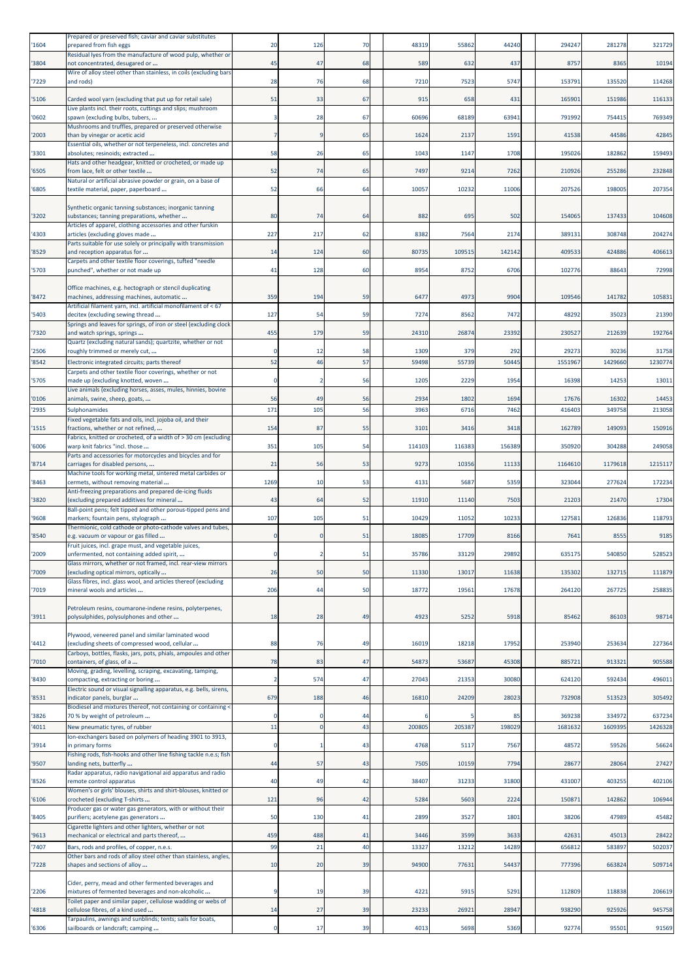| '1604 | Prepared or preserved fish; caviar and caviar substitutes<br>prepared from fish eggs                                    | 20             | 126 | 70 | 48319  | 55862  | 44240  | 294247  | 281278  | 321729  |
|-------|-------------------------------------------------------------------------------------------------------------------------|----------------|-----|----|--------|--------|--------|---------|---------|---------|
| '3804 | Residual lyes from the manufacture of wood pulp, whether or<br>not concentrated, desugared or                           | 45             | 47  | 68 | 589    | 632    | 437    | 8757    | 8365    | 10194   |
| '7229 | Wire of alloy steel other than stainless, in coils (excluding bars<br>and rods)                                         | 28             | 76  | 68 | 7210   | 7523   | 5747   | 153791  | 135520  | 114268  |
|       |                                                                                                                         |                |     |    |        |        |        |         |         |         |
| '5106 | Carded wool yarn (excluding that put up for retail sale)<br>Live plants incl. their roots, cuttings and slips; mushroom | 51             | 33  | 67 | 915    | 658    | 431    | 165901  | 151986  | 116133  |
| '0602 | spawn (excluding bulbs, tubers,<br>Mushrooms and truffles, prepared or preserved otherwise                              | 3              | 28  | 67 | 60696  | 68189  | 63941  | 791992  | 754415  | 769349  |
| '2003 | than by vinegar or acetic acid<br>Essential oils, whether or not terpeneless, incl. concretes and                       | $\overline{7}$ |     | 65 | 1624   | 2137   | 1591   | 41538   | 44586   | 42845   |
| '3301 | absolutes; resinoids; extracted                                                                                         | 58             | 26  | 65 | 1043   | 1147   | 1708   | 195026  | 182862  | 159493  |
| '6505 | Hats and other headgear, knitted or crocheted, or made up<br>from lace, felt or other textile                           | 52             | 74  | 65 | 7497   | 9214   | 7262   | 210926  | 255286  | 232848  |
| '6805 | Natural or artificial abrasive powder or grain, on a base of<br>textile material, paper, paperboard                     | 52             | 66  | 64 | 10057  | 10232  | 11006  | 207526  | 198005  | 207354  |
|       | Synthetic organic tanning substances; inorganic tanning                                                                 |                |     |    |        |        |        |         |         |         |
| '3202 | substances; tanning preparations, whether                                                                               | 80             | 74  | 64 | 882    | 695    | 502    | 154065  | 137433  | 104608  |
| '4303 | Articles of apparel, clothing accessories and other furskin<br>articles (excluding gloves made                          | 227            | 217 | 62 | 8382   | 7564   | 2174   | 389131  | 308748  | 204274  |
| '8529 | Parts suitable for use solely or principally with transmission<br>and reception apparatus for                           | 14             | 124 | 60 | 80735  | 109515 | 142142 | 409533  | 424886  | 406613  |
| '5703 | Carpets and other textile floor coverings, tufted "needle<br>punched", whether or not made up                           | 41             | 128 | 60 | 8954   | 8752   | 6706   | 102776  | 88643   | 72998   |
|       | Office machines, e.g. hectograph or stencil duplicating                                                                 |                |     |    |        |        |        |         |         |         |
| '8472 | machines, addressing machines, automatic                                                                                | 359            | 194 | 59 | 6477   | 4973   | 9904   | 109546  | 141782  | 105831  |
| '5403 | Artificial filament yarn, incl. artificial monofilament of < 67<br>decitex (excluding sewing thread                     | 127            | 54  | 59 | 7274   | 8562   | 7472   | 48292   | 35023   | 21390   |
| '7320 | Springs and leaves for springs, of iron or steel (excluding clock<br>and watch springs, springs                         | 455            | 179 | 59 | 24310  | 26874  | 23392  | 230527  | 212639  | 192764  |
| '2506 | Quartz (excluding natural sands); quartzite, whether or not<br>roughly trimmed or merely cut,                           | 0              | 12  | 58 | 1309   | 379    | 292    | 29273   | 30236   | 31758   |
| '8542 | Electronic integrated circuits; parts thereof                                                                           | 52             | 46  | 57 | 59498  | 55739  | 50445  | 1551967 | 1429660 | 1230774 |
| '5705 | Carpets and other textile floor coverings, whether or not<br>made up (excluding knotted, woven                          | $\Omega$       |     | 56 | 1205   | 2229   | 1954   | 16398   | 14253   | 13011   |
| '0106 | Live animals (excluding horses, asses, mules, hinnies, bovine                                                           | 56             | 49  | 56 | 2934   | 1802   | 1694   | 17676   | 16302   | 14453   |
| '2935 | animals, swine, sheep, goats,<br>Sulphonamides                                                                          | 171            | 105 | 56 | 3963   | 6716   | 7462   | 416403  | 349758  | 213058  |
| '1515 | Fixed vegetable fats and oils, incl. jojoba oil, and their<br>fractions, whether or not refined,                        | 154            | 87  | 55 | 3101   | 3416   | 3418   | 162789  | 149093  | 150916  |
|       | Fabrics, knitted or crocheted, of a width of > 30 cm (excluding                                                         |                |     |    |        |        |        |         |         |         |
| '6006 | warp knit fabrics "incl. those<br>Parts and accessories for motorcycles and bicycles and for                            | 351            | 105 | 54 | 114103 | 116383 | 156389 | 350920  | 304288  | 249058  |
| '8714 | carriages for disabled persons,<br>Machine tools for working metal, sintered metal carbides or                          | 21             | 56  | 53 | 9273   | 10356  | 11133  | 1164610 | 1179618 | 1215117 |
| '8463 | cermets, without removing material<br>Anti-freezing preparations and prepared de-icing fluids                           | 1269           | 10  | 53 | 4131   | 5687   | 5359   | 323044  | 277624  | 172234  |
| '3820 | excluding prepared additives for mineral                                                                                | 43             | 64  | 52 | 11910  | 11140  | 7503   | 21203   | 21470   | 17304   |
| '9608 | Ball-point pens; felt tipped and other porous-tipped pens and<br>markers; fountain pens, stylograph                     | 107            | 105 | 51 | 10429  | 11052  | 10233  | 127581  | 126836  | 118793  |
| '8540 | Thermionic, cold cathode or photo-cathode valves and tubes,<br>e.g. vacuum or vapour or gas filled                      | 0              |     | 51 | 18085  | 17709  | 8166   | 7641    | 8555    | 9185    |
| '2009 | Fruit juices, incl. grape must, and vegetable juices,<br>unfermented, not containing added spirit,                      |                |     | 51 | 35786  | 33129  | 29892  | 635175  | 540850  | 528523  |
| '7009 | Glass mirrors, whether or not framed, incl. rear-view mirrors<br>(excluding optical mirrors, optically                  | 26             | 50  | 50 | 11330  | 13017  | 11638  | 135302  | 132715  | 111879  |
|       | Glass fibres, incl. glass wool, and articles thereof (excluding                                                         |                |     |    |        |        |        |         |         |         |
| '7019 | mineral wools and articles                                                                                              | 206            | 44  | 50 | 18772  | 19561  | 17678  | 264120  | 267725  | 258835  |
| '3911 | Petroleum resins, coumarone-indene resins, polyterpenes,<br>polysulphides, polysulphones and other                      | 18             | 28  | 49 | 4923   | 5252   | 5918   | 85462   | 86103   | 98714   |
|       | Plywood, veneered panel and similar laminated wood                                                                      |                |     |    |        |        |        |         |         |         |
| '4412 | (excluding sheets of compressed wood, cellular                                                                          | 88             | 76  | 49 | 16019  | 18218  | 17952  | 253940  | 253634  | 227364  |
| '7010 | Carboys, bottles, flasks, jars, pots, phials, ampoules and other<br>containers, of glass, of a                          | 78             | 83  | 47 | 54873  | 53687  | 45308  | 885721  | 913321  | 905588  |
| '8430 | Moving, grading, levelling, scraping, excavating, tamping,<br>compacting, extracting or boring                          | $\overline{2}$ | 574 | 47 | 27043  | 21353  | 30080  | 624120  | 592434  | 496011  |
| '8531 | Electric sound or visual signalling apparatus, e.g. bells, sirens,<br>indicator panels, burglar                         | 679            | 188 | 46 | 16810  | 24209  | 28023  | 732908  | 513523  | 305492  |
| '3826 | Biodiesel and mixtures thereof, not containing or containing <                                                          | 0              |     | 44 |        |        | 85     | 369238  | 334972  | 637234  |
| '4011 | 70 % by weight of petroleum<br>New pneumatic tyres, of rubber                                                           | 11             |     | 43 | 200805 | 205387 | 19802  | 168163  | 1609395 | 1426328 |
| '3914 | Ion-exchangers based on polymers of heading 3901 to 3913,<br>n primary forms                                            | $\mathbf 0$    |     | 43 | 4768   | 5117   | 7567   | 48572   | 59526   | 56624   |
|       | Fishing rods, fish-hooks and other line fishing tackle n.e.s; fish                                                      | 44             |     | 43 |        |        |        |         |         | 27427   |
| '9507 | anding nets, butterfly<br>Radar apparatus, radio navigational aid apparatus and radio                                   |                | 57  |    | 7505   | 10159  | 7794   | 28677   | 28064   |         |
| '8526 | remote control apparatus<br>Women's or girls' blouses, shirts and shirt-blouses, knitted or                             | 40             | 49  | 42 | 38407  | 31233  | 31800  | 431007  | 403255  | 402106  |
| '6106 | crocheted (excluding T-shirts<br>Producer gas or water gas generators, with or without their                            | 121            | 96  | 42 | 5284   | 5603   | 2224   | 150871  | 142862  | 106944  |
| '8405 | purifiers; acetylene gas generators<br>Cigarette lighters and other lighters, whether or not                            | 50             | 130 | 41 | 2899   | 3527   | 1801   | 38206   | 47989   | 45482   |
| '9613 | mechanical or electrical and parts thereof,                                                                             | 459            | 488 | 41 | 3446   | 3599   | 3633   | 42631   | 45013   | 28422   |
| '7407 | Bars, rods and profiles, of copper, n.e.s.<br>Other bars and rods of alloy steel other than stainless, angles,          | 99             | 21  | 40 | 13327  | 13212  | 14289  | 656812  | 583897  | 502037  |
| '7228 | shapes and sections of alloy                                                                                            | 10             | 20  | 39 | 94900  | 77631  | 54437  | 777396  | 663824  | 509714  |
|       | Cider, perry, mead and other fermented beverages and                                                                    |                |     |    |        |        |        |         |         |         |
| '2206 | mixtures of fermented beverages and non-alcoholic<br>Toilet paper and similar paper, cellulose wadding or webs of       | 9              | 19  | 39 | 4221   | 5915   | 5291   | 112809  | 118838  | 206619  |
| '4818 | cellulose fibres, of a kind used<br>Tarpaulins, awnings and sunblinds; tents; sails for boats,                          | 14             | 27  | 39 | 23233  | 26921  | 28947  | 938290  | 925926  | 945758  |
| '6306 | sailboards or landcraft; camping                                                                                        | $\mathbf 0$    | 17  | 39 | 4013   | 5698   | 5369   | 92774   | 95501   | 91569   |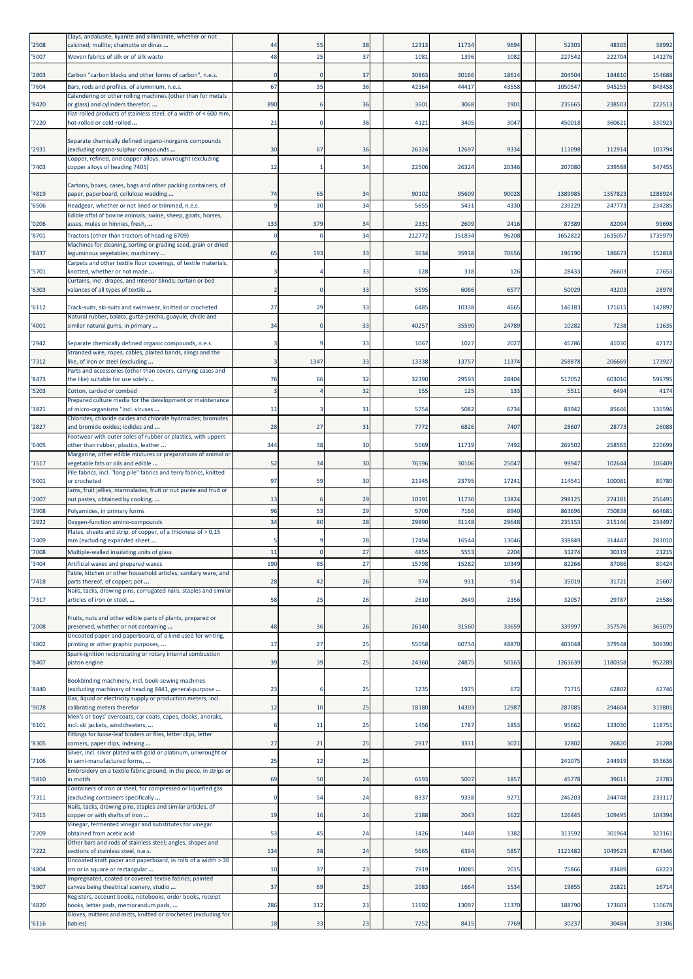| '2508          | Clays, andalusite, kyanite and sillimanite, whether or not<br>calcined; mullite; chamotte or dinas                   | 44                      | 55       | 38       | 12313          | 11734          | 9694           | 52303             | 48305            | 38992            |
|----------------|----------------------------------------------------------------------------------------------------------------------|-------------------------|----------|----------|----------------|----------------|----------------|-------------------|------------------|------------------|
| '5007          | Woven fabrics of silk or of silk waste                                                                               | 48                      | 25       | 37       | 1081           | 1396           | 1082           | 227542            | 222704           | 141276           |
|                |                                                                                                                      |                         |          |          |                |                |                |                   |                  |                  |
| '2803<br>'7604 | Carbon "carbon blacks and other forms of carbon", n.e.s.<br>Bars, rods and profiles, of aluminium, n.e.s.            | $\Omega$<br>67          | 35       | 37<br>36 | 30863<br>42364 | 30166<br>44417 | 18614<br>43558 | 204504<br>1050547 | 184810<br>94525  | 154688<br>848458 |
|                | Calendering or other rolling machines (other than for metals                                                         |                         |          |          |                |                |                |                   |                  |                  |
| '8420          | or glass) and cylinders therefor;<br>Flat-rolled products of stainless steel, of a width of < 600 mm,                | 890                     |          | 36       | 3601           | 3068           | 1901           | 235665            | 238503           | 222513           |
| '7220          | hot-rolled or cold-rolled                                                                                            | 21                      | $\Omega$ | 36       | 4121           | 3405           | 3047           | 450018            | 360621           | 330923           |
| '2931          | Separate chemically defined organo-inorganic compounds<br>excluding organo-sulphur compounds                         | 30                      | 67       | 36       | 26324          | 12697          | 9334           | 111098            | 112914           | 103794           |
| '7403          | Copper, refined, and copper alloys, unwrought (excluding<br>copper alloys of heading 7405)                           | 12                      |          | 34       | 22506          | 26324          | 20346          | 207080            | 239588           | 347455           |
|                |                                                                                                                      |                         |          |          |                |                |                |                   |                  |                  |
| '4819          | Cartons, boxes, cases, bags and other packing containers, of<br>paper, paperboard, cellulose wadding                 | 74                      | 65       | 34       | 90102          | 9560           | 90028          | 1389985           | 1357823          | 1288924          |
| '6506          | Headgear, whether or not lined or trimmed, n.e.s.                                                                    | $\overline{9}$          | 30       | 34       | 5655           | 5431           | 4330           | 239229            | 247773           | 234285           |
| '0206          | Edible offal of bovine animals, swine, sheep, goats, horses,<br>asses, mules or hinnies, fresh,                      | 133                     | 379      | 34       | 2331           | 2609           | 2416           | 87389             | 82094            | 99698            |
| 8701           | Tractors (other than tractors of heading 8709)                                                                       | $\Omega$                |          | 34       | 212772         | 15183          | 96208          | 1652822           | 1635057          | 1735979          |
|                | Machines for cleaning, sorting or grading seed, grain or dried                                                       |                         |          | 33       |                |                |                | 196190            |                  | 152818           |
| '8437          | leguminous vegetables; machinery<br>Carpets and other textile floor coverings, of textile materials,                 | 65                      | 193      |          | 3634           | 35918          | 70656          |                   | 186673           |                  |
| '5701          | knotted, whether or not made<br>Curtains, incl. drapes, and interior blinds; curtain or bed                          | 3                       |          | 33       | 128            | 318            | 126            | 28433             | 26603            | 27653            |
| '6303          | valances of all types of textile                                                                                     | $\overline{2}$          | n        | 33       | 5595           | 6086           | 6577           | 50029             | 43203            | 28978            |
| '6112          | Track-suits, ski-suits and swimwear, knitted or crocheted                                                            | 27                      | 29       | 33       | 6485           | 10338          | 4665           | 146183            | 171615           | 147897           |
| '4001          | Natural rubber, balata, gutta-percha, guayule, chicle and<br>similar natural gums, in primary                        | 34                      |          | 33       | 40257          | 35590          | 24789          | 10282             | 7238             | 11635            |
|                |                                                                                                                      |                         |          |          |                |                |                |                   |                  |                  |
| '2942          | Separate chemically defined organic compounds, n.e.s.<br>Stranded wire, ropes, cables, plaited bands, slings and the | 3                       |          | 33       | 1067           | 1027           | 2027           | 45286             | 41030            | 47172            |
| '7312          | like, of iron or steel (excluding                                                                                    | 3                       | 1347     | 33       | 13338          | 13757          | 11374          | 258878            | 206669           | 173927           |
| '8473          | Parts and accessories (other than covers, carrying cases and<br>the like) suitable for use solely                    | 76                      | 66       | 32       | 32390          | 29593          | 28404          | 517052            | 603010           | 599795           |
| '5203          | Cotton, carded or combed                                                                                             | $\overline{\mathbf{3}}$ |          | 32       | 155            | 125            | 133            | 551               | 6494             | 4174             |
| '3821          | Prepared culture media for the development or maintenance<br>of micro-organisms "incl. viruses                       | 11                      |          | 31       | 5754           | 5082           | 6734           | 83942             | 85646            | 136596           |
|                | Chlorides, chloride oxides and chloride hydroxides; bromides                                                         |                         |          |          |                |                |                |                   |                  |                  |
| '2827          | and bromide oxides; iodides and<br>Footwear with outer soles of rubber or plastics, with uppers                      | 28                      | 27       | 31       | 7772           | 6826           | 7407           | 28607             | 28773            | 26088            |
| '6405          | other than rubber, plastics, leather                                                                                 | 344                     | 38       | 30       | 5069           | 11719          | 7492           | 269502            | 258565           | 220699           |
| '1517          | Margarine, other edible mixtures or preparations of animal or<br>vegetable fats or oils and edible                   | 52                      | 34       | 30       | 76596          | 30106          | 25047          | 99947             | 102644           | 106409           |
| '6001          | Pile fabrics, incl. "long pile" fabrics and terry fabrics, knitted<br>or crocheted                                   | 97                      | 59       | 30       | 21945          | 23795          | 17241          | 114541            | 100081           | 80780            |
|                | Jams, fruit jellies, marmalades, fruit or nut purée and fruit or                                                     |                         |          |          |                |                |                |                   |                  |                  |
| '2007<br>'3908 | nut pastes, obtained by cooking,<br>Polyamides, in primary forms                                                     | 13<br>96                | 53       | 29<br>29 | 10191<br>5700  | 11730<br>7166  | 13824<br>8940  | 298125<br>863696  | 274181<br>750838 | 256491<br>664681 |
| '2922          | Oxygen-function amino-compounds                                                                                      | 34                      | 80       | 28       | 29890          | 31148          | 29648          | 235153            | 215146           | 234497           |
|                | Plates, sheets and strip, of copper, of a thickness of > 0,15                                                        |                         |          |          |                |                |                |                   |                  |                  |
| '7409<br>'7008 | mm (excluding expanded sheet<br>Multiple-walled insulating units of glass                                            | -5<br>11                |          | 28<br>27 | 17494<br>4855  | 16544<br>5553  | 13046<br>2204  | 338849<br>31274   | 314447<br>30119  | 281010<br>21215  |
| '3404          | Artificial waxes and prepared waxes                                                                                  | 190                     | 85       | 27       | 15798          | 15282          | 10349          | 82266             | 87086            | 80424            |
| '7418          | Table, kitchen or other household articles, sanitary ware, and<br>parts thereof, of copper; pot                      | 28                      | 42       | 26       | 974            | 931            | 914            | 35019             | 31721            | 25607            |
|                | Nails, tacks, drawing pins, corrugated nails, staples and similar                                                    |                         |          |          |                |                |                |                   |                  |                  |
| '7317          | articles of iron or steel,                                                                                           | 58                      | 25       | 26       | 2610           | 2649           | 2356           | 32057             | 29787            | 25586            |
| '2008          | Fruits, nuts and other edible parts of plants, prepared or<br>preserved, whether or not containing                   | 48                      | 36       | 26       | 26140          | 31560          | 33659          | 339997            | 357576           | 365079           |
| '4802          | Uncoated paper and paperboard, of a kind used for writing,<br>printing or other graphic purposes,                    | 17                      | 27       | 25       | 55058          | 60734          | 48870          | 403048            | 379548           | 309390           |
| '8407          | Spark-ignition reciprocating or rotary internal combustion<br>piston engine                                          | 39                      | 39       | 25       | 24360          | 24875          | 50163          | 1263639           | 1180358          | 952289           |
|                |                                                                                                                      |                         |          |          |                |                |                |                   |                  |                  |
| '8440          | Bookbinding machinery, incl. book-sewing machines<br>(excluding machinery of heading 8441, general-purpose           | 23                      | -6       | 25       | 1235           | 1975           | 672            | 71715             | 62802            | 42746            |
| '9028          | Gas, liquid or electricity supply or production meters, incl.<br>calibrating meters therefor                         | 12                      | 10       | 25       | 18180          | 14303          | 12987          | 287085            | 294604           | 319801           |
|                | Men's or boys' overcoats, car coats, capes, cloaks, anoraks,                                                         |                         |          |          |                |                |                |                   |                  |                  |
| 6101           | incl. ski jackets, windcheaters,<br>Fittings for loose-leaf binders or files, letter clips, letter                   | 6                       | 11       | 25       | 1456           | 1787           | 1853           | 95662             | 133030           | 118751           |
| '8305          | corners, paper clips, indexing<br>Silver, incl. silver plated with gold or platinum, unwrought or                    | 27                      | 21       | 25       | 2917           | 3331           | 3021           | 32802             | 26820            | 26288            |
| 7106           | in semi-manufactured forms,                                                                                          | 25                      | 12       | 25       |                |                |                | 241075            | 244919           | 353636           |
| 5810           | Embroidery on a textile fabric ground, in the piece, in strips or<br>n motifs                                        | 69                      | 50       | 24       | 6193           | 5007           | 1857           | 45778             | 39611            | 23783            |
|                | Containers of iron or steel, for compressed or liquefied gas                                                         |                         |          |          |                |                |                |                   |                  |                  |
| '7311          | (excluding containers specifically<br>Nails, tacks, drawing pins, staples and similar articles, of                   | $\mathbf 0$             | 54       | 24       | 8337           | 9338           | 9271           | 246203            | 244748           | 233117           |
| '7415          | copper or with shafts of iron<br>Vinegar, fermented vinegar and substitutes for vinegar                              | 19                      | 16       | 24       | 2188           | 2043           | 1622           | 126445            | 109495           | 104394           |
| '2209          | obtained from acetic acid<br>Other bars and rods of stainless steel; angles, shapes and                              | 53                      | 45       | 24       | 1426           | 1448           | 1382           | 313592            | 301964           | 323161           |
| '7222          | sections of stainless steel, n.e.s.<br>Uncoated kraft paper and paperboard, in rolls of a width > 36                 | 134                     | 38       | 24       | 5665           | 6394           | 5857           | 1121482           | 1049523          | 874346           |
| '4804          | cm or in square or rectangular                                                                                       | 10                      | 37       | 23       | 7919           | 1008           | 7015           | 75866             | 83489            | 68223            |
| '5907          | Impregnated, coated or covered textile fabrics; painted<br>canvas being theatrical scenery, studio                   | 37                      | 69       | 23       | 2083           | 1664           | 1534           | 19855             | 21821            | 16714            |
| '4820          | Registers, account books, notebooks, order books, receipt<br>books, letter pads, memorandum pads,                    | 286                     | 312      | 23       | 11692          | 13097          | 11370          | 188790            | 173603           | 110678           |
| '6116          | Gloves, mittens and mitts, knitted or crocheted (excluding for<br>babies)                                            | 18                      | 33       | 23       | 7252           | 8415           | 7769           | 30237             | 30484            | 31306            |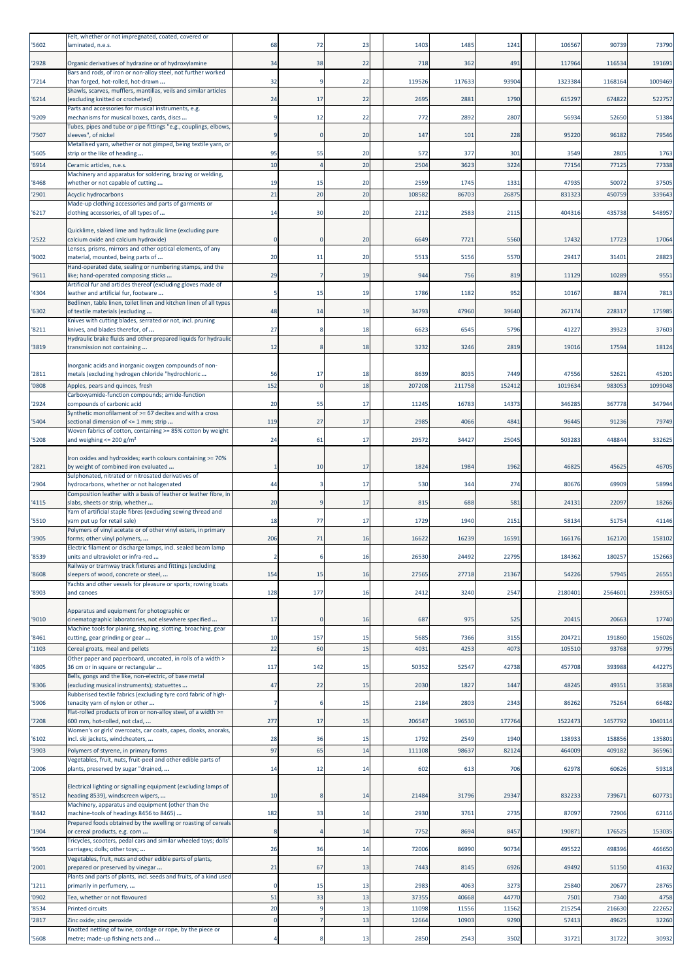|                | Felt, whether or not impregnated, coated, covered or                                                       |                   |           |          |        |                |               |                |         |                 |
|----------------|------------------------------------------------------------------------------------------------------------|-------------------|-----------|----------|--------|----------------|---------------|----------------|---------|-----------------|
| '5602          | laminated, n.e.s.                                                                                          | 68                | 72        | 23       | 1403   | 1485           | 1241          | 106567         | 90739   | 73790           |
| '2928          | Organic derivatives of hydrazine or of hydroxylamine                                                       | 34                | 38        | 22       | 718    | 362            | 491           | 117964         | 116534  | 191691          |
|                | Bars and rods, of iron or non-alloy steel, not further worked                                              |                   |           |          |        |                |               |                |         |                 |
| '7214          | than forged, hot-rolled, hot-drawn<br>Shawls, scarves, mufflers, mantillas, veils and similar articles     | 32                |           | 22       | 119526 | 117633         | 93904         | 1323384        | 1168164 | 1009469         |
| '6214          | (excluding knitted or crocheted)<br>Parts and accessories for musical instruments, e.g.                    | 24                | 17        | 22       | 2695   | 2881           | 1790          | 615297         | 674822  | 522757          |
| '9209          | mechanisms for musical boxes, cards, discs                                                                 | 9                 | 12        | 22       | 772    | 2892           | 2807          | 56934          | 52650   | 51384           |
|                | Tubes, pipes and tube or pipe fittings "e.g., couplings, elbows,                                           |                   |           |          |        |                |               |                |         |                 |
| '7507          | sleeves", of nickel<br>Metallised yarn, whether or not gimped, being textile yarn, or                      | 9                 |           | 20       | 147    | 101            | 228           | 95220          | 96182   | 79546           |
| '5605          | strip or the like of heading                                                                               | 95                | 55        | 20       | 572    | 377            | 301           | 3549           | 2805    | 1763            |
| '6914          | Ceramic articles, n.e.s.<br>Machinery and apparatus for soldering, brazing or welding,                     | 10                |           | 20       | 2504   | 3623           | 3224          | 77154          | 77125   | 77338           |
| '8468          | whether or not capable of cutting                                                                          | 19                | 15        | 20       | 2559   | 1745           | 1331          | 47935          | 50072   | 37505           |
| '2901          | <b>Acyclic hydrocarbons</b>                                                                                | 21                | 20        | 20       | 10858  | 86703          | 2687          | 831323         | 450759  | 339643          |
| '6217          | Made-up clothing accessories and parts of garments or<br>clothing accessories, of all types of             | 14                | 30        | 20       | 2212   | 2583           | 2115          | 404316         | 435738  | 548957          |
|                |                                                                                                            |                   |           |          |        |                |               |                |         |                 |
| '2522          | Quicklime, slaked lime and hydraulic lime (excluding pure<br>calcium oxide and calcium hydroxide)          | $\Omega$          |           | 20       | 6649   | 7721           | 5560          | 17432          | 17723   | 17064           |
|                | Lenses, prisms, mirrors and other optical elements, of any                                                 |                   |           |          |        |                |               |                |         |                 |
| '9002          | material, mounted, being parts of<br>Hand-operated date, sealing or numbering stamps, and the              | 20                | 11        | 20       | 5513   | 5156           | 5570          | 29417          | 31401   | 28823           |
| '9611          | ike; hand-operated composing sticks                                                                        | 29                |           | 19       | 944    | 756            | 819           | 11129          | 10289   | 9551            |
| '4304          | Artificial fur and articles thereof (excluding gloves made of<br>eather and artificial fur, footware       | -5                | 15        | 19       | 1786   | 1182           | 952           | 1016           | 8874    | 7813            |
|                | Bedlinen, table linen, toilet linen and kitchen linen of all types<br>of textile materials (excluding      |                   |           |          | 34793  |                |               |                |         |                 |
| '6302          | Knives with cutting blades, serrated or not, incl. pruning                                                 | 48                | 14        | 19       |        | 47960          | 39640         | 267174         | 228317  | 175985          |
| '8211          | knives, and blades therefor, of                                                                            | 27                |           | 18       | 6623   | 6545           | 5796          | 41227          | 39323   | 37603           |
| '3819          | Hydraulic brake fluids and other prepared liquids for hydraulic<br>transmission not containing             | 12                |           | 18       | 3232   | 3246           | 2819          | 19016          | 17594   | 18124           |
|                |                                                                                                            |                   |           |          |        |                |               |                |         |                 |
| '2811          | norganic acids and inorganic oxygen compounds of non-<br>metals (excluding hydrogen chloride "hydrochloric | 56                | 17        | 18       | 8639   | 8035           | 7449          | 47556          | 52621   | 45201           |
| '0808          | Apples, pears and quinces, fresh                                                                           | 152               |           | 18       | 207208 | 211758         | 152412        | 1019634        | 983053  | 1099048         |
| '2924          | Carboxyamide-function compounds; amide-function<br>compounds of carbonic acid                              | 20                | 55        | 17       | 11245  | 16783          | 14373         | 346285         | 367778  | 347944          |
|                | Synthetic monofilament of >= 67 decitex and with a cross                                                   |                   |           |          |        |                |               |                |         |                 |
| '5404          | sectional dimension of <= 1 mm; strip<br>Woven fabrics of cotton, containing >= 85% cotton by weight       | 119               | 27        | 17       | 2985   | 4066           | 4841          | 9644           | 91236   | 79749           |
| '5208          | and weighing $\leq$ 200 g/m <sup>2</sup>                                                                   | 24                | 61        | 17       | 29572  | 34427          | 25045         | 503283         | 448844  | 332625          |
|                | Iron oxides and hydroxides; earth colours containing >= 70%                                                |                   |           |          |        |                |               |                |         |                 |
| '2821          | by weight of combined iron evaluated                                                                       | 1                 | 10        | 17       | 1824   | 1984           | 1962          | 4682           | 45625   | 46705           |
| '2904          | Sulphonated, nitrated or nitrosated derivatives of<br>hydrocarbons, whether or not halogenated             | 44                |           | 17       | 530    | 344            | 274           | 80676          | 69909   | 58994           |
|                | Composition leather with a basis of leather or leather fibre, in                                           |                   |           |          |        |                |               |                |         |                 |
| '4115          | slabs, sheets or strip, whether<br>Yarn of artificial staple fibres (excluding sewing thread and           | 20                |           | 17       | 815    | 688            | 581           | 24131          | 22097   | 18266           |
| '5510          | varn put up for retail sale)                                                                               | 18                | 77        | 17       | 1729   | 1940           | 2151          | 58134          | 51754   | 41146           |
| '3905          | Polymers of vinyl acetate or of other vinyl esters, in primary<br>forms; other vinyl polymers,             | 206               | 71        | 16       | 16622  | 16239          | 16591         | 166176         | 162170  | 158102          |
|                | Electric filament or discharge lamps, incl. sealed beam lamp                                               |                   |           |          |        |                |               |                |         |                 |
| '8539          | units and ultraviolet or infra-red<br>Railway or tramway track fixtures and fittings (excluding            | $\overline{2}$    |           | 16       | 26530  | 24492          | 22795         | 184362         | 180257  | 152663          |
| '8608          | sleepers of wood, concrete or steel,                                                                       | 154               | 15        | 16       | 27565  | 27718          | 21367         | 54226          | 57945   | 26551           |
| '8903          | Yachts and other vessels for pleasure or sports; rowing boats<br>and canoes                                | 128               | 177       | 16       | 2412   | 3240           | 2547          | 2180401        | 2564601 | 2398053         |
|                |                                                                                                            |                   |           |          |        |                |               |                |         |                 |
| '9010          | Apparatus and equipment for photographic or<br>cinematographic laboratories, not elsewhere specified       | 17                |           | 16       | 687    | 975            | 525           | 20415          | 20663   | 17740           |
|                | Machine tools for planing, shaping, slotting, broaching, gear                                              |                   |           |          |        |                |               |                |         |                 |
| '8461          | cutting, gear grinding or gear                                                                             | 10<br>22          | 157<br>60 | 15<br>15 | 5685   | 7366<br>4253   | 3155<br>4073  | 204721         | 191860  | 156026          |
| '1103          | Cereal groats, meal and pellets<br>Other paper and paperboard, uncoated, in rolls of a width >             |                   |           |          | 4031   |                |               | 10551          | 93768   | 97795           |
| '4805          | 36 cm or in square or rectangular<br>Bells, gongs and the like, non-electric, of base metal                | 117               | 142       | 15       | 50352  | 52547          | 42738         | 457708         | 393988  | 442275          |
| '8306          | (excluding musical instruments); statuettes                                                                | 47                | 22        | 15       | 2030   | 1827           | 1447          | 48245          | 49351   | 35838           |
| '5906          | Rubberised textile fabrics (excluding tyre cord fabric of high-<br>tenacity yarn of nylon or other         | $\overline{7}$    |           | 15       | 2184   | 2803           | 2343          | 86262          | 75264   | 66482           |
|                | Flat-rolled products of iron or non-alloy steel, of a width >=                                             |                   |           |          |        |                |               |                |         |                 |
| '7208          | 600 mm, hot-rolled, not clad,<br>Women's or girls' overcoats, car coats, capes, cloaks, anoraks,           | 277               | 17        | 15       | 206547 | 196530         | 177764        | 1522473        | 1457792 | 1040114         |
| '6102          | incl. ski jackets, windcheaters,                                                                           | 28                | 36        | 15       | 1792   | 2549           | 1940          | 138933         | 158856  | 135801          |
| '3903          | Polymers of styrene, in primary forms                                                                      | 97                | 65        | 14       | 111108 | 98637          | 82124         | 464009         | 409182  | 365961          |
| '2006          | Vegetables, fruit, nuts, fruit-peel and other edible parts of<br>plants, preserved by sugar "drained,      | 14                | 12        | 14       | 602    | 613            | 706           | 62978          | 60626   | 59318           |
|                |                                                                                                            |                   |           |          |        |                |               |                |         |                 |
| '8512          | Electrical lighting or signalling equipment (excluding lamps of<br>heading 8539), windscreen wipers,       | 10                |           | 14       | 21484  | 31796          | 29347         | 832233         | 739671  | 607731          |
|                | Machinery, apparatus and equipment (other than the                                                         |                   |           |          |        |                |               |                |         |                 |
| '8442          | machine-tools of headings 8456 to 8465)<br>Prepared foods obtained by the swelling or roasting of cereals  | 182               | 33        | 14       | 2930   | 3761           | 2735          | 87097          | 72906   | 62116           |
| '1904          | or cereal products, e.g. corn                                                                              | 8                 |           | 14       | 7752   | 8694           | 8457          | 190871         | 176525  | 153035          |
| '9503          | Tricycles, scooters, pedal cars and similar wheeled toys; dolls'<br>carriages; dolls; other toys;          | 26                | 36        | 14       | 72006  | 86990          | 90734         | 495522         | 498396  | 466650          |
|                | Vegetables, fruit, nuts and other edible parts of plants,                                                  |                   |           |          |        |                |               |                |         |                 |
| '2001          | prepared or preserved by vinegar<br>Plants and parts of plants, incl. seeds and fruits, of a kind used     | 21                | 67        | 13       | 7443   | 8145           | 6926          | 49492          | 51150   | 41632           |
| '1211          | primarily in perfumery,                                                                                    | 0                 | 15        | 13       | 2983   | 4063           | 3273          | 25840          | 20677   | 28765           |
| '0902          | Tea, whether or not flavoured                                                                              | 51                | 33        | 13       | 37355  | 40668          | 44770         | 7501           | 7340    | 4758            |
| '8534<br>'2817 | <b>Printed circuits</b>                                                                                    | 20<br>$\mathbf 0$ |           | 13<br>13 | 11098  | 11556<br>10903 | 11562<br>9290 | 215254<br>5741 | 216630  | 222652<br>32260 |
|                | Zinc oxide; zinc peroxide<br>Knotted netting of twine, cordage or rope, by the piece or                    |                   |           |          | 12664  |                |               |                | 49625   |                 |
| '5608          | metre; made-up fishing nets and                                                                            |                   |           | 13       | 2850   | 2543           | 3502          | 31721          | 31722   | 30932           |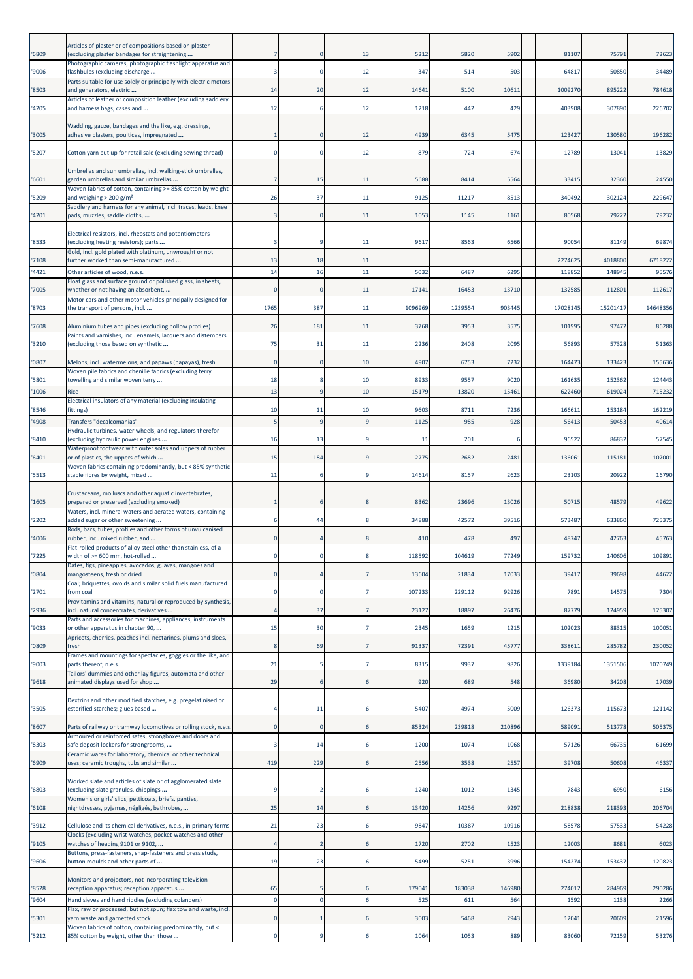| '6809  | Articles of plaster or of compositions based on plaster<br>(excluding plaster bandages for straightening              |              |     | 13             | 5212    | 5820    | 5902   | 81107    | 75791    | 72623    |
|--------|-----------------------------------------------------------------------------------------------------------------------|--------------|-----|----------------|---------|---------|--------|----------|----------|----------|
|        | Photographic cameras, photographic flashlight apparatus and                                                           |              |     |                |         |         |        |          |          |          |
| '9006  | flashbulbs (excluding discharge<br>Parts suitable for use solely or principally with electric motors                  |              |     | 12             | 347     | 514     | 503    | 64817    | 50850    | 34489    |
| '8503  | and generators, electric<br>Articles of leather or composition leather (excluding saddlery                            | 14           | 20  | 12             | 1464    | 5100    | 10611  | 1009270  | 895222   | 784618   |
| '4205  | and harness bags; cases and                                                                                           | 12           |     | 12             | 1218    | 442     | 429    | 403908   | 307890   | 226702   |
| '3005  | Wadding, gauze, bandages and the like, e.g. dressings,<br>adhesive plasters, poultices, impregnated                   |              |     | 12             | 4939    | 6345    | 5475   | 123427   | 130580   | 196282   |
| '5207  | Cotton yarn put up for retail sale (excluding sewing thread)                                                          | $\Omega$     |     | 12             | 879     | 724     | 674    | 12789    | 1304     | 13829    |
| '6601  | Umbrellas and sun umbrellas, incl. walking-stick umbrellas,<br>garden umbrellas and similar umbrellas                 |              | 15  | 11             | 5688    | 8414    | 5564   | 33415    | 32360    | 24550    |
| '5209  | Woven fabrics of cotton, containing >= 85% cotton by weight<br>and weighing $> 200$ g/m <sup>2</sup>                  | 26           | 37  | 11             | 9125    | 11217   | 8513   | 340492   | 302124   | 229647   |
| '4201  | Saddlery and harness for any animal, incl. traces, leads, knee<br>pads, muzzles, saddle cloths,                       |              |     | 11             | 1053    | 1145    | 1161   | 80568    | 79222    | 79232    |
| '8533  | Electrical resistors, incl. rheostats and potentiometers<br>(excluding heating resistors); parts                      |              |     | 11             | 9617    | 8563    | 6566   | 90054    | 81149    | 69874    |
| '7108  | Gold, incl. gold plated with platinum, unwrought or not<br>further worked than semi-manufactured                      | 13           | 18  | 11             |         |         |        | 2274625  | 4018800  | 6718222  |
| '4421  | Other articles of wood, n.e.s.                                                                                        | 14           | 16  | 11             | 5032    | 6487    | 6295   | 11885    | 148945   | 95576    |
| '7005  | Float glass and surface ground or polished glass, in sheets,<br>whether or not having an absorbent,                   | $\Omega$     |     | 11             | 1714:   | 16453   | 13710  | 132585   | 112801   | 112617   |
| '8703  | Motor cars and other motor vehicles principally designed for<br>the transport of persons, incl                        | 1765         | 387 | 11             | 1096969 | 1239554 | 903445 | 17028145 | 15201417 | 14648356 |
| '7608  | Aluminium tubes and pipes (excluding hollow profiles)                                                                 | 26           | 181 | 11             | 3768    | 3953    | 3575   | 101995   | 97472    | 86288    |
| '3210  | Paints and varnishes, incl. enamels, lacquers and distempers<br>(excluding those based on synthetic                   | 75           | 31  | 11             | 2236    | 2408    | 2095   | 56893    | 57328    | 51363    |
| '0807  | Melons, incl. watermelons, and papaws (papayas), fresh                                                                | $\mathbf 0$  |     | 10             | 4907    | 6753    | 7232   | 164473   | 133423   | 155636   |
| '5801  | Woven pile fabrics and chenille fabrics (excluding terry<br>towelling and similar woven terry                         | 18           |     | 10             | 8933    | 9557    | 9020   | 161635   | 152362   | 124443   |
| '1006  | Rice                                                                                                                  | 13           |     | 10             | 15179   | 13820   | 15461  | 622460   | 619024   | 715232   |
| '8546  | Electrical insulators of any material (excluding insulating<br>fittings)                                              | 10           | 11  | 10             | 9603    | 8711    | 7236   | 166611   | 153184   | 162219   |
| '4908  | Transfers "decalcomanias"                                                                                             | 5            |     | <sub>q</sub>   | 1125    | 985     | 928    | 56413    | 50453    | 40614    |
| '8410  | Hydraulic turbines, water wheels, and regulators therefor<br>(excluding hydraulic power engines                       | 16           | 13  | -9             | 11      | 201     |        | 96522    | 86832    | 57545    |
| '6401  | Waterproof footwear with outer soles and uppers of rubber<br>or of plastics, the uppers of which                      | 15           | 184 | -9             | 2775    | 2682    | 2481   | 136061   | 115181   | 107001   |
| '5513  | Woven fabrics containing predominantly, but < 85% synthetic<br>staple fibres by weight, mixed                         | 11           |     | -9             | 14614   | 8157    | 2623   | 23103    | 20922    | 16790    |
|        | Crustaceans, molluscs and other aquatic invertebrates,                                                                |              |     |                |         |         |        |          |          |          |
| '1605  | prepared or preserved (excluding smoked)<br>Waters, incl. mineral waters and aerated waters, containing               |              |     |                | 8362    | 23696   | 13026  | 50715    | 48579    | 49622    |
| '2202  | added sugar or other sweetening<br>Rods, bars, tubes, profiles and other forms of unvulcanised                        |              | 44  | 8              | 34888   | 42572   | 39516  | 573487   | 633860   | 725375   |
| '4006  | rubber, incl. mixed rubber, and<br>Flat-rolled products of alloy steel other than stainless, of a                     | O            |     | 8              | 410     | 478     | 497    | 48747    | 42763    | 45763    |
| '7225  | width of $>= 600$ mm, hot-rolled                                                                                      |              |     |                | 11859   | 104619  | 77249  | 159732   | 140606   | 109891   |
| '0804  | Dates, figs, pineapples, avocados, guavas, mangoes and<br>mangosteens, fresh or dried                                 | $\Omega$     |     | $\overline{7}$ | 13604   | 21834   | 17033  | 39417    | 39698    | 44622    |
| '2701  | Coal; briquettes, ovoids and similar solid fuels manufactured<br>from coal                                            | $\Omega$     |     | 7              | 107233  | 229112  | 92926  | 7891     | 14575    | 7304     |
| '2936  | Provitamins and vitamins, natural or reproduced by synthesis<br>incl. natural concentrates, derivatives               |              | 37  | 7              | 23127   | 18897   | 26476  | 87779    | 124959   | 125307   |
| '9033  | Parts and accessories for machines, appliances, instruments<br>or other apparatus in chapter 90,                      | 15           | 30  | 7              | 2345    | 1659    | 1215   | 102023   | 88315    | 100051   |
| '0809  | Apricots, cherries, peaches incl. nectarines, plums and sloes,<br>fresh                                               | 8            | 69  | 7              | 91337   | 72391   | 45777  | 338611   | 285782   | 230052   |
|        | Frames and mountings for spectacles, goggles or the like, and<br>parts thereof, n.e.s.                                | 21           |     |                | 8315    | 9937    | 9826   | 1339184  | 1351506  | 1070749  |
| '9003  | Tailors' dummies and other lay figures, automata and other                                                            |              |     | $\overline{7}$ |         |         |        |          |          |          |
| '9618  | animated displays used for shop                                                                                       | 29           |     | 6              | 920     | 689     | 548    | 36980    | 34208    | 17039    |
| '3505  | Dextrins and other modified starches, e.g. pregelatinised or<br>esterified starches; glues based                      |              | 11  | 6              | 5407    | 4974    | 5009   | 126373   | 115673   | 121142   |
| '8607  | Parts of railway or tramway locomotives or rolling stock, n.e.s                                                       | $\mathbf{0}$ | C   | 6              | 85324   | 239818  | 210896 | 589091   | 513778   | 505375   |
| '8303  | Armoured or reinforced safes, strongboxes and doors and<br>safe deposit lockers for strongrooms,                      |              | 14  | 6              | 1200    | 1074    | 1068   | 57126    | 66735    | 61699    |
| '6909' | Ceramic wares for laboratory, chemical or other technical<br>uses; ceramic troughs, tubs and similar                  | 419          | 229 | -6             | 2556    | 3538    | 2557   | 39708    | 50608    | 46337    |
| '6803  | Worked slate and articles of slate or of agglomerated slate<br>(excluding slate granules, chippings                   | 9            |     | 6              | 1240    | 1012    | 1345   | 7843     | 6950     | 6156     |
| '6108  | Women's or girls' slips, petticoats, briefs, panties,<br>nightdresses, pyjamas, négligés, bathrobes,                  | 25           | 14  | 6              | 13420   | 14256   | 9297   | 218838   | 218393   | 206704   |
| '3912  | Cellulose and its chemical derivatives, n.e.s., in primary forms                                                      | 21           | 23  | -6             | 9847    | 10387   | 10916  | 58578    | 57533    | 54228    |
| '9105  | Clocks (excluding wrist-watches, pocket-watches and other<br>watches of heading 9101 or 9102,                         |              |     | 6              | 1720    | 2702    | 1523   | 12003    | 8681     | 6023     |
|        | Buttons, press-fasteners, snap-fasteners and press studs,<br>button moulds and other parts of                         | 19           | 23  | -6             | 5499    | 5251    | 3996   | 154274   | 153437   | 120823   |
| '9606  |                                                                                                                       |              |     |                |         |         |        |          |          |          |
| '8528  | Monitors and projectors, not incorporating television<br>reception apparatus; reception apparatus                     | 65           |     |                | 17904   | 183038  | 146980 | 274012   | 284969   | 290286   |
| '9604  | Hand sieves and hand riddles (excluding colanders)<br>Flax, raw or processed, but not spun; flax tow and waste, incl. | $\mathbf 0$  |     | 6              | 525     | 611     | 564    | 1592     | 1138     | 2266     |
| '5301  | yarn waste and garnetted stock<br>Woven fabrics of cotton, containing predominantly, but <                            | $\Omega$     |     | 6              | 3003    | 5468    | 2943   | 12041    | 20609    | 21596    |
|        | 85% cotton by weight, other than those                                                                                | $\mathbf 0$  |     | 6              | 1064    | 1053    | 889    | 83060    | 72159    | 53276    |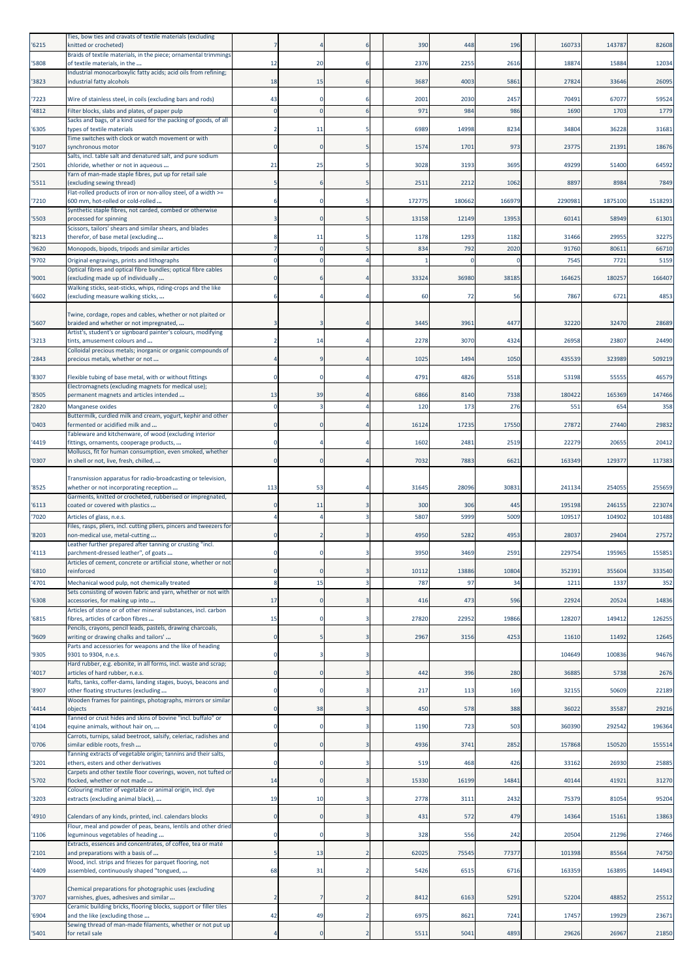| '6215          | Ties, bow ties and cravats of textile materials (excluding<br>knitted or crocheted)                                       |                     |    |                | 390         | 448         | 196          | 160733         | 143787         | 82608          |
|----------------|---------------------------------------------------------------------------------------------------------------------------|---------------------|----|----------------|-------------|-------------|--------------|----------------|----------------|----------------|
| '5808          | Braids of textile materials, in the piece; ornamental trimmings<br>of textile materials, in the                           | 12                  | 20 | -6             | 2376        | 2255        | 2616         | 18874          | 15884          | 12034          |
| '3823          | Industrial monocarboxylic fatty acids; acid oils from refining;<br>ndustrial fatty alcohols                               | 18                  | 15 | 6              | 3687        | 4003        | 5861         | 27824          | 33646          | 26095          |
| '7223          | Wire of stainless steel, in coils (excluding bars and rods)                                                               | 43                  |    |                | 2001        | 2030        | 2457         | 70491          | 67077          | 59524          |
| '4812          | Filter blocks, slabs and plates, of paper pulp                                                                            | $\Omega$            |    |                | 971         | 984         | 986          | 1690           | 1703           | 1779           |
| '6305          | Sacks and bags, of a kind used for the packing of goods, of all<br>types of textile materials                             |                     | 11 |                | 6989        | 14998       | 8234         | 34804          | 36228          | 31681          |
| '9107          | Time switches with clock or watch movement or with<br>synchronous motor                                                   | $\mathbf 0$         |    |                | 1574        | 1701        | 973          | 23775          | 21391          | 18676          |
| '2501          | Salts, incl. table salt and denatured salt, and pure sodium<br>chloride, whether or not in aqueous                        | 21                  | 25 | -5             | 3028        | 3193        | 3695         | 49299          | 51400          | 64592          |
|                | Yarn of man-made staple fibres, put up for retail sale                                                                    |                     |    |                |             |             |              |                |                |                |
| '5511          | (excluding sewing thread)<br>Flat-rolled products of iron or non-alloy steel, of a width >=                               | 5                   |    |                | 2511        | 2212        | 1062         | 8897           | 8984           | 7849           |
| '7210          | 600 mm, hot-rolled or cold-rolled<br>Synthetic staple fibres, not carded, combed or otherwise                             | 6                   |    | 5              | 172775      | 180662      | 166979       | 2290981        | 1875100        | 1518293        |
| '5503          | processed for spinning<br>Scissors, tailors' shears and similar shears, and blades                                        | 3                   |    | 5              | 13158       | 12149       | 13953        | 60141          | 58949          | 61301          |
| '8213<br>'9620 | therefor, of base metal (excluding<br>Monopods, bipods, tripods and similar articles                                      | 8<br>$\overline{7}$ | 11 |                | 1178<br>834 | 1293<br>792 | 1182<br>2020 | 31466<br>91760 | 29955<br>80611 | 32275<br>66710 |
| '9702          | Original engravings, prints and lithographs                                                                               | $\mathbf 0$         |    |                |             | $\Omega$    |              | 7545           | 7721           | 5159           |
| '9001          | Optical fibres and optical fibre bundles; optical fibre cables<br>(excluding made up of individually                      | $\Omega$            |    |                | 33324       | 36980       | 38185        | 164625         | 180257         | 166407         |
| '6602          | Walking sticks, seat-sticks, whips, riding-crops and the like<br>excluding measure walking sticks,                        |                     |    |                | 60          | 72          | 56           | 7867           | 6721           | 4853           |
|                | Twine, cordage, ropes and cables, whether or not plaited or                                                               |                     |    |                |             |             |              |                |                |                |
| '5607          | braided and whether or not impregnated,                                                                                   | з                   |    |                | 3445        | 3961        | 4477         | 32220          | 32470          | 28689          |
| '3213          | Artist's, student's or signboard painter's colours, modifying<br>tints, amusement colours and                             | 2                   | 14 |                | 2278        | 3070        | 4324         | 26958          | 23807          | 24490          |
| '2843          | Colloidal precious metals; inorganic or organic compounds of<br>precious metals, whether or not                           | 4                   |    |                | 1025        | 1494        | 1050         | 435539         | 323989         | 509219         |
| '8307          | Flexible tubing of base metal, with or without fittings                                                                   | $\mathbf 0$         |    |                | 4791        | 4826        | 5518         | 53198          | 55555          | 46579          |
| '8505          | Electromagnets (excluding magnets for medical use);<br>permanent magnets and articles intended                            | 13                  | 39 |                | 6866        | 8140        | 7338         | 180422         | 165369         | 147466         |
| '2820          | Manganese oxides                                                                                                          | $\mathbf 0$         |    |                | 120         | 173         | 276          | 551            | 654            | 358            |
| '0403          | Buttermilk, curdled milk and cream, yogurt, kephir and other<br>fermented or acidified milk and                           | $\Omega$            |    |                | 16124       | 17235       | 17550        | 27872          | 27440          | 29832          |
| '4419          | Tableware and kitchenware, of wood (excluding interior<br>fittings, ornaments, cooperage products,                        | 0                   |    |                | 1602        | 248         | 2519         | 22279          | 2065           | 20412          |
| '0307          | Molluscs, fit for human consumption, even smoked, whether<br>in shell or not, live, fresh, chilled,                       | $\Omega$            |    |                | 7032        | 7883        | 6621         | 163349         | 129377         | 117383         |
|                | Transmission apparatus for radio-broadcasting or television,                                                              |                     |    |                |             |             |              |                |                |                |
| '8525          | whether or not incorporating reception<br>Garments, knitted or crocheted, rubberised or impregnated,                      | 113                 | 53 |                | 31645       | 28096       | 30831        | 241134         | 254055         | 255659         |
| '6113          | coated or covered with plastics                                                                                           | 0                   | 11 |                | 300         | 306         | 445          | 195198         | 246155         | 223074         |
| '7020          | Articles of glass, n.e.s.<br>Files, rasps, pliers, incl. cutting pliers, pincers and tweezers for                         | $\overline{4}$      |    | 3              | 5807        | 5999        | 5009         | 109517         | 104902         | 101488         |
| '8203          | non-medical use, metal-cutting<br>Leather further prepared after tanning or crusting "incl.                               | $\mathbf 0$         |    |                | 4950        | 5282        | 4953         | 28037          | 29404          | 27572          |
| '4113          | parchment-dressed leather", of goats<br>Articles of cement, concrete or artificial stone, whether or not                  |                     |    |                | 3950        | 3469        | 2591         | 229754         | 195965         | 155851         |
| '6810          | reinforced                                                                                                                | $\Omega$            |    | 3              | 10112       | 13886       | 10804        | 352391         | 355604         | 333540         |
| '4701          | Mechanical wood pulp, not chemically treated<br>Sets consisting of woven fabric and yarn, whether or not with             | 8                   | 15 |                | 787         | 97          | 34           | 1211           | 1337           | 352            |
| '6308          | accessories, for making up into<br>Articles of stone or of other mineral substances, incl. carbon                         | 17                  |    | 3              | 416         | 473         | 596          | 22924          | 20524          | 14836          |
| '6815          | fibres, articles of carbon fibres<br>Pencils, crayons, pencil leads, pastels, drawing charcoals,                          | 15                  |    | 3              | 27820       | 22952       | 19866        | 128207         | 149412         | 126255         |
| '9609          | writing or drawing chalks and tailors'                                                                                    | $\mathbf 0$         |    | 3              | 2967        | 3156        | 4253         | 11610          | 11492          | 12645          |
| '9305          | Parts and accessories for weapons and the like of heading<br>9301 to 9304, n.e.s.                                         | $\mathbf 0$         |    | 3              |             |             |              | 104649         | 100836         | 94676          |
| '4017          | Hard rubber, e.g. ebonite, in all forms, incl. waste and scrap;<br>articles of hard rubber, n.e.s.                        | $\mathbf 0$         |    |                | 442         | 396         | 280          | 36885          | 5738           | 2676           |
| '8907          | Rafts, tanks, coffer-dams, landing stages, buoys, beacons and<br>other floating structures (excluding                     | $\mathbf 0$         |    | 3              | 217         | 113         | 169          | 32155          | 50609          | 22189          |
| '4414          | Wooden frames for paintings, photographs, mirrors or similar<br>objects                                                   | $\mathbf 0$         | 38 | 3              | 450         | 578         | 388          | 36022          | 35587          | 29216          |
| '4104          | Tanned or crust hides and skins of bovine "incl. buffalo" or<br>equine animals, without hair on,                          | $\mathbf 0$         |    | 3              | 1190        | 723         | 503          | 360390         | 292542         | 196364         |
| '0706          | Carrots, turnips, salad beetroot, salsify, celeriac, radishes and<br>similar edible roots, fresh                          | $\mathbf 0$         |    | $\overline{3}$ | 4936        | 3741        | 2852         | 157868         | 150520         | 155514         |
| '3201          | Tanning extracts of vegetable origin; tannins and their salts,<br>ethers, esters and other derivatives                    | $\mathbf 0$         |    | 3              | 519         | 468         | 426          | 33162          | 26930          | 25885          |
| '5702          | Carpets and other textile floor coverings, woven, not tufted or<br>flocked, whether or not made                           | 14                  |    | 3              | 15330       | 16199       | 14841        | 40144          | 41921          | 31270          |
| '3203          | Colouring matter of vegetable or animal origin, incl. dye                                                                 | 19                  | 10 | 3              | 2778        | 3111        | 2432         | 75379          | 81054          | 95204          |
|                | extracts (excluding animal black),                                                                                        |                     |    |                |             |             |              |                |                |                |
| '4910          | Calendars of any kinds, printed, incl. calendars blocks<br>Flour, meal and powder of peas, beans, lentils and other dried | $\mathbf 0$         |    | 3              | 431         | 572         | 479          | 14364          | 15161          | 13863          |
| '1106          | eguminous vegetables of heading<br>Extracts, essences and concentrates, of coffee, tea or maté                            | $\mathbf 0$         |    | 3              | 328         | 556         | 242          | 20504          | 21296          | 27466          |
| '2101          | and preparations with a basis of<br>Wood, incl. strips and friezes for parquet flooring, not                              | 5                   | 13 | $\overline{2}$ | 62025       | 75545       | 77377        | 101398         | 85564          | 74750          |
| '4409          | assembled, continuously shaped "tongued,                                                                                  | 68                  | 31 | $\overline{2}$ | 5426        | 6515        | 6716         | 163359         | 163895         | 144943         |
| '3707          | Chemical preparations for photographic uses (excluding<br>varnishes, glues, adhesives and similar                         | $\overline{2}$      |    | $\overline{2}$ | 8412        | 6163        | 5291         | 52204          | 48852          | 25512          |
| '6904          | Ceramic building bricks, flooring blocks, support or filler tiles<br>and the like (excluding those                        | 42                  | 49 | $\overline{2}$ | 6975        | 8621        | 7241         | 17457          | 19929          | 23671          |
| '5401          | Sewing thread of man-made filaments, whether or not put up<br>for retail sale                                             | $\overline{a}$      |    | $\overline{2}$ | 5511        | 5041        | 4893         | 29626          | 26967          | 21850          |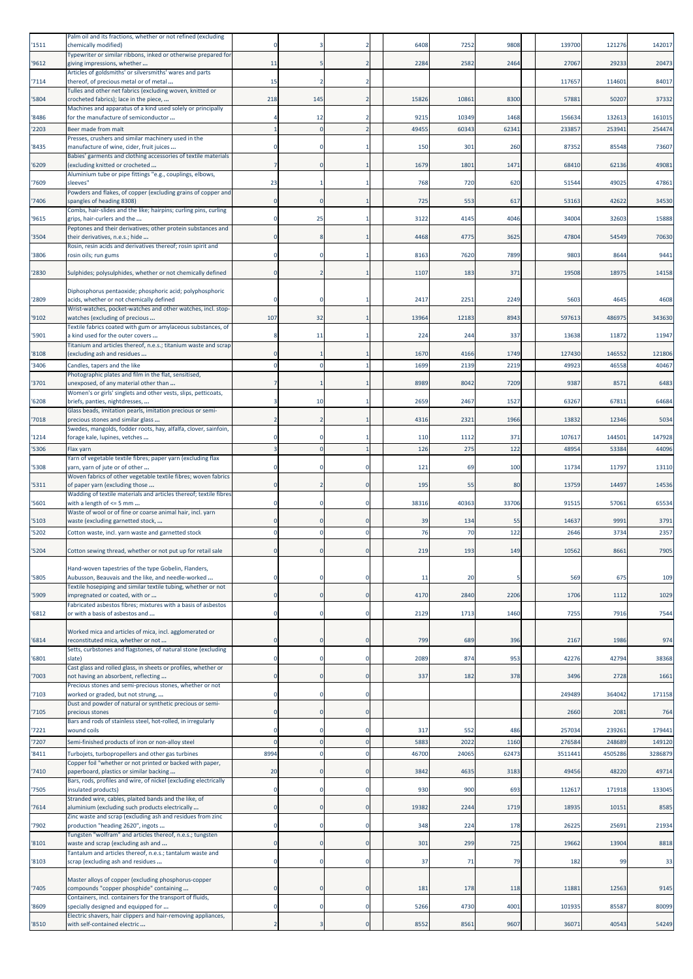| '1511          | Palm oil and its fractions, whether or not refined (excluding<br>chemically modified)                      | n                          |     |                     | 6408        | 7252        | 9808        | 139700           | 121276           | 142017           |
|----------------|------------------------------------------------------------------------------------------------------------|----------------------------|-----|---------------------|-------------|-------------|-------------|------------------|------------------|------------------|
| '9612          | Typewriter or similar ribbons, inked or otherwise prepared for<br>giving impressions, whether              | 11                         |     | 2                   | 2284        | 2582        | 2464        | 27067            | 29233            | 20473            |
| '7114          | Articles of goldsmiths' or silversmiths' wares and parts<br>thereof, of precious metal or of metal         | 15                         |     | 2                   |             |             |             | 117657           | 114601           | 84017            |
| '5804          | Tulles and other net fabrics (excluding woven, knitted or<br>crocheted fabrics); lace in the piece,        | 218                        | 145 | 2                   | 15826       | 10861       | 8300        | 5788             | 50207            | 37332            |
| '8486          | Machines and apparatus of a kind used solely or principally<br>for the manufacture of semiconductor        |                            | 12  |                     | 9215        | 10349       | 1468        | 156634           | 132613           | 161015           |
| '2203          | Beer made from malt                                                                                        | 1                          |     |                     | 49455       | 60343       | 62341       | 233857           | 25394            | 254474           |
| '8435          | Presses, crushers and similar machinery used in the<br>manufacture of wine, cider, fruit juices            |                            |     |                     | 150         | 301         | 260         | 87352            | 85548            | 73607            |
| '6209          | Babies' garments and clothing accessories of textile materials<br>excluding knitted or crocheted           |                            |     |                     | 1679        | 1801        | 1471        | 68410            | 62136            | 49081            |
| '7609          | Aluminium tube or pipe fittings "e.g., couplings, elbows,<br>sleeves"                                      | 23                         |     |                     | 768         | 720         | 620         | 5154             | 49025            | 47861            |
| '7406          | Powders and flakes, of copper (excluding grains of copper and<br>spangles of heading 8308)                 | 0                          |     |                     | 725         | 553         | 617         | 53163            | 42622            | 34530            |
| '9615          | Combs, hair-slides and the like; hairpins; curling pins, curling<br>grips, hair-curlers and the            | $\Omega$                   | 25  |                     | 3122        | 4145        | 4046        | 34004            | 32603            | 15888            |
| '3504          | Peptones and their derivatives; other protein substances and<br>their derivatives, n.e.s.; hide            | $\Omega$                   |     |                     | 4468        | 4775        | 3625        | 47804            | 54549            | 70630            |
| '3806          | Rosin, resin acids and derivatives thereof; rosin spirit and<br>rosin oils; run gums                       |                            |     |                     | 8163        | 7620        | 7899        | 980              | 8644             | 9441             |
| '2830          | Sulphides; polysulphides, whether or not chemically defined                                                | $\Omega$                   |     |                     | 1107        | 183         | 371         | 19508            | 18975            | 14158            |
| '2809          | Diphosphorus pentaoxide; phosphoric acid; polyphosphoric<br>acids, whether or not chemically defined       |                            |     |                     | 2417        | 2251        | 2249        | 5603             | 4645             | 4608             |
| '9102          | Wrist-watches, pocket-watches and other watches, incl. stop-<br>watches (excluding of precious             | 107                        | 32  |                     | 13964       | 12183       | 8943        | 59761            | 486975           | 343630           |
| '5901          | Textile fabrics coated with gum or amylaceous substances, of<br>a kind used for the outer covers           | 8                          | 11  |                     | 224         | 244         | 337         | 13638            | 11872            | 11947            |
| '8108          | Fitanium and articles thereof, n.e.s.; titanium waste and scrap<br>excluding ash and residues              | $\Omega$                   |     |                     | 1670        | 4166        | 1749        | 127430           | 146552           | 121806           |
| '3406          | Candles, tapers and the like                                                                               | $\Omega$                   |     |                     | 1699        | 2139        | 2219        | 49923            | 46558            | 40467            |
| '3701          | Photographic plates and film in the flat, sensitised,<br>unexposed, of any material other than             |                            |     |                     | 8989        | 8042        | 7209        | 9387             | 8571             | 6483             |
| '6208          | Women's or girls' singlets and other vests, slips, petticoats,<br>briefs, panties, nightdresses,           |                            | 10  |                     | 2659        | 2467        | 1527        | 63267            | 67811            | 64684            |
| '7018          | Glass beads, imitation pearls, imitation precious or semi-<br>precious stones and similar glass            |                            |     |                     | 4316        | 2321        | 1966        | 13832            | 12346            | 5034             |
| '1214          | Swedes, mangolds, fodder roots, hay, alfalfa, clover, sainfoin,<br>forage kale, lupines, vetches           | $\Omega$                   |     |                     | 110         | 1112        | 371         | 107617           | 144501           | 147928           |
| '5306          | Flax yarn<br>Yarn of vegetable textile fibres; paper yarn (excluding flax                                  | $\overline{3}$             |     |                     | 126         | 275         | 122         | 48954            | 53384            | 44096            |
| '5308          | yarn, yarn of jute or of other                                                                             | n                          |     |                     | 121         | 69          | 100         | 11734            | 11797            | 13110            |
| '5311          | Woven fabrics of other vegetable textile fibres; woven fabrics<br>of paper yarn (excluding those           |                            |     |                     | 195         | 55          | 80          | 13759            | 14497            | 14536            |
| '5601          | Wadding of textile materials and articles thereof; textile fibres<br>with a length of <= 5 mm              | 0                          |     | C                   | 38316       | 40363       | 33706       | 91515            | 57061            | 65534            |
| '5103          | Waste of wool or of fine or coarse animal hair, incl. yarn<br>waste (excluding garnetted stock,            | $\Omega$                   |     | <sup>C</sup>        | 39          | 134         | 55          | 1463             | 9991             | 3791             |
| '5202          | Cotton waste, incl. yarn waste and garnetted stock                                                         | $\mathbf 0$                |     | $\Omega$            | 76          | 70          | 122         | 2646             | 3734             | 2357             |
| '5204          | Cotton sewing thread, whether or not put up for retail sale                                                | $\Omega$                   |     | $\Omega$            | 219         | 193         | 149         | 10562            | 8661             | 7905             |
| '5805          | Hand-woven tapestries of the type Gobelin, Flanders,<br>Aubusson, Beauvais and the like, and needle-worked | 0                          |     | C                   | 11          | 20          |             | 569              | 675              | 109              |
| '5909          | Fextile hosepiping and similar textile tubing, whether or not<br>impregnated or coated, with or            | $\mathbf 0$                |     | $\overline{0}$      | 4170        | 2840        | 2206        | 1706             | 1112             | 1029             |
| '6812          | Fabricated asbestos fibres; mixtures with a basis of asbestos<br>or with a basis of asbestos and           | $\Omega$                   |     | $\mathsf{C}$        | 2129        | 1713        | 1460        | 7255             | 7916             | 7544             |
|                | Worked mica and articles of mica, incl. agglomerated or<br>reconstituted mica, whether or not              | $\mathbf{0}$               |     | C                   | 799         |             |             |                  |                  |                  |
| '6814          | Setts, curbstones and flagstones, of natural stone (excluding                                              |                            |     |                     |             | 689         | 396         | 2167             | 1986             | 974              |
| '6801          | slate)<br>Cast glass and rolled glass, in sheets or profiles, whether or                                   | $\mathbf 0$                |     | C                   | 2089        | 874         | 953         | 42276            | 42794            | 38368            |
| '7003          | not having an absorbent, reflecting<br>Precious stones and semi-precious stones, whether or not            | $\Omega$                   |     | $\Omega$            | 337         | 182         | 378         | 3496             | 2728             | 1661             |
| '7103          | worked or graded, but not strung,<br>Dust and powder of natural or synthetic precious or semi-             | 0                          |     | C                   |             |             |             | 249489           | 364042           | 171158           |
| 7105           | precious stones<br>Bars and rods of stainless steel, hot-rolled, in irregularly                            | $\mathbf{0}$               |     | C                   |             |             |             | 2660             | 2081             | 764              |
| '7221<br>'7207 | wound coils<br>Semi-finished products of iron or non-alloy steel                                           | $\Omega$<br>$\overline{0}$ |     | C<br>$\overline{0}$ | 317<br>5883 | 552<br>2022 | 486<br>1160 | 257034<br>276584 | 239261<br>248689 | 179441<br>149120 |
| '8411          | Turbojets, turbopropellers and other gas turbines                                                          | 8994                       |     | C                   | 46700       | 24065       | 62473       | 351144           | 4505286          | 3286879          |
| 7410           | Copper foil "whether or not printed or backed with paper,<br>paperboard, plastics or similar backing       | 20                         |     | C                   | 3842        | 4635        | 3183        | 49456            | 48220            | 49714            |
| '7505          | Bars, rods, profiles and wire, of nickel (excluding electrically<br>insulated products)                    | $\mathbf 0$                |     | C                   | 930         | 900         | 693         | 112617           | 171918           | 133045           |
| '7614          | Stranded wire, cables, plaited bands and the like, of<br>aluminium (excluding such products electrically   | $\mathbf 0$                |     | $\mathbf 0$         | 19382       | 2244        | 1719        | 18935            | 10151            | 8585             |
| '7902          | Zinc waste and scrap (excluding ash and residues from zinc<br>production "heading 2620", ingots            | $\Omega$                   |     | C                   | 348         | 224         | 178         | 26225            | 25691            | 21934            |
| '8101          | Tungsten "wolfram" and articles thereof, n.e.s.; tungsten<br>waste and scrap (excluding ash and            | $\Omega$                   |     | $\Omega$            | 301         | 299         | 725         | 19662            | 13904            | 8818             |
| '8103          | Tantalum and articles thereof, n.e.s.; tantalum waste and<br>scrap (excluding ash and residues             | 0                          |     | C                   | 37          | 71          | 79          | 182              | 99               | 33               |
|                | Master alloys of copper (excluding phosphorus-copper                                                       |                            |     |                     |             |             |             |                  |                  |                  |
| '7405          | compounds "copper phosphide" containing<br>Containers, incl. containers for the transport of fluids,       | $\mathbf{0}$               |     | C                   | 181         | 178         | 118         | 11881            | 12563            | 9145             |
| '8609          | specially designed and equipped for<br>Electric shavers, hair clippers and hair-removing appliances,       | $\Omega$                   |     | $\Omega$            | 5266        | 4730        | 4001        | 101935           | 85587            | 80099            |
| '8510          | with self-contained electric                                                                               | $\overline{2}$             |     | C                   | 8552        | 8561        | 9607        | 36071            | 40543            | 54249            |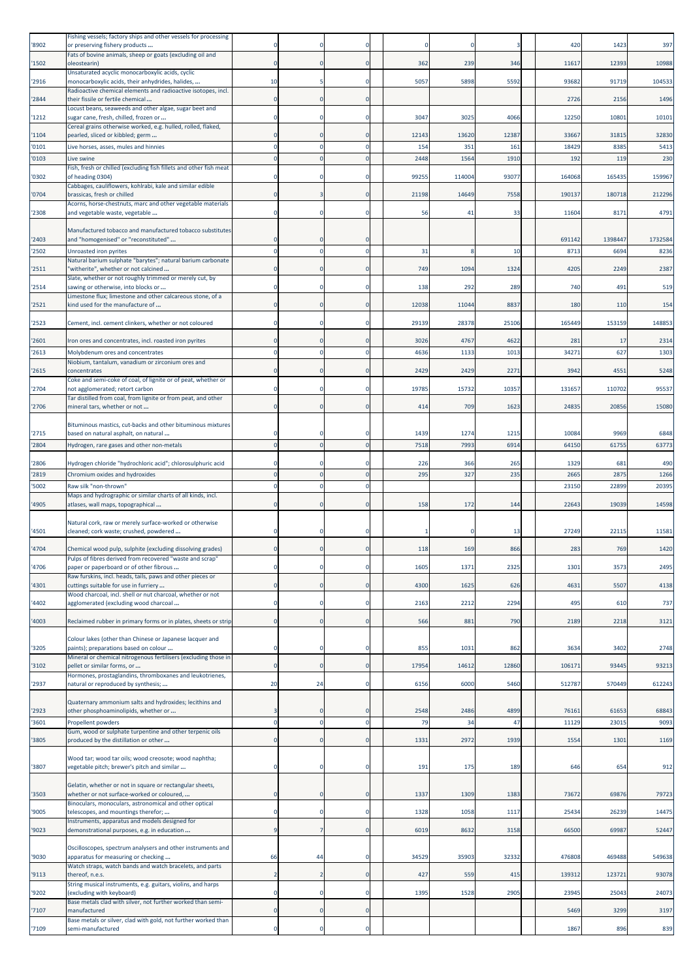| '8902          | Fishing vessels; factory ships and other vessels for processing<br>or preserving fishery products                      | O                |    |                |              |              |              | 420            | 1423           | 397           |
|----------------|------------------------------------------------------------------------------------------------------------------------|------------------|----|----------------|--------------|--------------|--------------|----------------|----------------|---------------|
| '1502          | Fats of bovine animals, sheep or goats (excluding oil and<br>oleostearin)                                              | $\Omega$         |    | $\Omega$       | 362          | 239          | 346          | 11617          | 12393          | 10988         |
| '2916          | Unsaturated acyclic monocarboxylic acids, cyclic<br>monocarboxylic acids, their anhydrides, halides,                   | 10               |    |                | 5057         | 5898         | 5592         | 93682          | 91719          | 104533        |
|                | Radioactive chemical elements and radioactive isotopes, incl.                                                          | $\Omega$         |    | $\Omega$       |              |              |              |                |                |               |
| '2844          | their fissile or fertile chemical<br>Locust beans, seaweeds and other algae, sugar beet and                            |                  |    |                |              |              |              | 2726           | 2156           | 1496          |
| '1212          | sugar cane, fresh, chilled, frozen or<br>Cereal grains otherwise worked, e.g. hulled, rolled, flaked,                  | $\Omega$         |    | $\Omega$       | 3047         | 3025         | 4066         | 12250          | 10801          | 10101         |
| '1104<br>'0101 | pearled, sliced or kibbled; germ<br>Live horses, asses, mules and hinnies                                              | $\Omega$<br>n    |    |                | 12143<br>154 | 13620<br>351 | 12387<br>161 | 33667<br>18429 | 31815<br>8385  | 32830<br>5413 |
| '0103          | Live swine                                                                                                             | $\mathbf 0$      |    |                | 2448         | 1564         | 1910         | 192            | 119            | 230           |
| '0302          | Fish, fresh or chilled (excluding fish fillets and other fish meat<br>of heading 0304)                                 | $\Omega$         |    | -0             | 99255        | 114004       | 93077        | 164068         | 165435         | 159967        |
| '0704          | Cabbages, cauliflowers, kohlrabi, kale and similar edible<br>brassicas, fresh or chilled                               | $\mathbf 0$      |    | 0              | 21198        | 14649        | 7558         | 190137         | 180718         | 212296        |
| '2308          | Acorns, horse-chestnuts, marc and other vegetable materials<br>and vegetable waste, vegetable                          | $\mathbf 0$      |    | $\Omega$       | 56           | 41           | 33           | 11604          | 8171           | 4791          |
|                | Manufactured tobacco and manufactured tobacco substitutes                                                              |                  |    |                |              |              |              |                |                |               |
| '2403          | and "homogenised" or "reconstituted"                                                                                   | $\Omega$         |    | $\Omega$       |              |              |              | 691142         | 1398447        | 1732584       |
| '2502          | Unroasted iron pyrites<br>Natural barium sulphate "barytes"; natural barium carbonate                                  | $\Omega$         |    | $\Omega$       | 31           |              | 10           | 8713           | 6694           | 8236          |
| '2511          | 'witherite", whether or not calcined<br>Slate, whether or not roughly trimmed or merely cut, by                        | n                |    |                | 749          | 1094         | 1324         | 4205           | 2249           | 2387          |
| 2514           | sawing or otherwise, into blocks or                                                                                    | O                |    |                | 138          | 292          | 289          | 740            | 491            | 519           |
| '2521          | Limestone flux; limestone and other calcareous stone, of a<br>kind used for the manufacture of                         | $\Omega$         |    | $\Omega$       | 12038        | 11044        | 8837         | 180            | 110            | 154           |
| '2523          | Cement, incl. cement clinkers, whether or not coloured                                                                 | $\Omega$         |    | $\Omega$       | 29139        | 28378        | 25106        | 165449         | 153159         | 148853        |
| '2601          | Iron ores and concentrates, incl. roasted iron pyrites                                                                 | $\Omega$         |    |                | 3026         | 4767         | 4622         | 281            | 17             | 2314          |
| '2613          | Molybdenum ores and concentrates                                                                                       | $\Omega$         |    | $\Omega$       | 4636         | 1133         | 1013         | 34271          | 627            | 1303          |
| '2615          | Niobium, tantalum, vanadium or zirconium ores and<br>concentrates                                                      | $\Omega$         |    |                | 2429         | 2429         | 2271         | 3942           | 4551           | 5248          |
| '2704          | Coke and semi-coke of coal, of lignite or of peat, whether or<br>not agglomerated; retort carbon                       | $\Omega$         |    | 0              | 19785        | 15732        | 10357        | 131657         | 110702         | 95537         |
| '2706          | Tar distilled from coal, from lignite or from peat, and other<br>mineral tars, whether or not                          | $\mathbf 0$      |    | $\Omega$       | 414          | 709          | 1623         | 24835          | 20856          | 15080         |
|                |                                                                                                                        |                  |    |                |              |              |              |                |                |               |
| '2715          | Bituminous mastics, cut-backs and other bituminous mixtures<br>based on natural asphalt, on natural                    |                  |    |                | 1439         | 1274         | 1215         | 10084          | 9969           | 6848          |
| '2804          | Hydrogen, rare gases and other non-metals                                                                              | $\Omega$         |    | $\Omega$       | 7518         | 7993         | 6914         | 64150          | 61755          | 63773         |
| '2806          | Hydrogen chloride "hydrochloric acid"; chlorosulphuric acid                                                            | $\Omega$         |    |                | 226          | 366          | 265          | 1329           | 681            | 490           |
| '2819          | Chromium oxides and hydroxides                                                                                         | $\Omega$         |    | $\Omega$       | 295          | 327          | 235          | 2665           | 2875           | 1266          |
| '5002          | Raw silk "non-thrown"<br>Maps and hydrographic or similar charts of all kinds, incl.                                   | $\mathbf 0$      |    |                |              |              |              | 23150          | 22899          | 20395         |
| '4905          | atlases, wall maps, topographical                                                                                      | $\Omega$         |    | $\Omega$       | 158          | 172          | 144          | 22643          | 19039          | 14598         |
|                | Natural cork, raw or merely surface-worked or otherwise                                                                |                  |    |                |              |              |              |                |                |               |
| '4501          | cleaned; cork waste; crushed, powdered                                                                                 | O                |    |                |              |              | 13           | 27249          | 22115          | 11581         |
| '4704          | Chemical wood pulp, sulphite (excluding dissolving grades)<br>Pulps of fibres derived from recovered "waste and scrap" | $\Omega$         |    | $\Omega$       | 118          | 169          | 866          | 283            | 769            | 1420          |
| '4706          | paper or paperboard or of other fibrous<br>Raw furskins, incl. heads, tails, paws and other pieces or                  | 0                |    | 0              | 1605         | 1371         | 2325         | 1301           | 3573           | 2495          |
| '4301          | cuttings suitable for use in furriery                                                                                  | $\mathbf{0}$     |    | $\overline{0}$ | 4300         | 1625         | 626          | 4631           | 5507           | 4138          |
| '4402          | Wood charcoal, incl. shell or nut charcoal, whether or not<br>agglomerated (excluding wood charcoal                    | $\mathbf 0$      |    | $\Omega$       | 2163         | 2212         | 2294         | 495            | 610            | 737           |
| '4003          | Reclaimed rubber in primary forms or in plates, sheets or strip                                                        | $\Omega$         |    | $\mathbf{0}$   | 566          | 881          | 790          | 2189           | 2218           | 3121          |
|                | Colour lakes (other than Chinese or Japanese lacquer and                                                               |                  |    |                |              |              |              |                |                |               |
| '3205          | paints); preparations based on colour<br>Mineral or chemical nitrogenous fertilisers (excluding those in               | $\mathbf 0$      |    | 0              | 855          | 1031         | 862          | 3634           | 3402           | 2748          |
| '3102          | pellet or similar forms, or<br>Hormones, prostaglandins, thromboxanes and leukotrienes,                                | $\mathbf{0}$     |    | $\mathbf{0}$   | 17954        | 14612        | 12860        | 106171         | 93445          | 93213         |
| '2937          | natural or reproduced by synthesis;                                                                                    | 20               | 24 | $\mathbf 0$    | 6156         | 6000         | 5460         | 512787         | 570449         | 612243        |
|                | Quaternary ammonium salts and hydroxides; lecithins and                                                                |                  |    |                |              |              |              |                |                |               |
| '2923<br>'3601 | other phosphoaminolipids, whether or<br>Propellent powders                                                             | 3<br>$\mathbf 0$ |    | 0<br>$\Omega$  | 2548<br>79   | 2486<br>34   | 4899<br>47   | 76161<br>11129 | 61653<br>23015 | 68843<br>9093 |
|                | Gum, wood or sulphate turpentine and other terpenic oils                                                               | $\mathbf 0$      |    | 0              | 1331         | 2972         | 1939         | 1554           |                |               |
| '3805          | produced by the distillation or other                                                                                  |                  |    |                |              |              |              |                | 1301           | 1169          |
| '3807          | Wood tar; wood tar oils; wood creosote; wood naphtha;<br>vegetable pitch; brewer's pitch and similar                   | $\mathbf 0$      |    | $\Omega$       | 191          | 175          | 189          | 646            | 654            | 912           |
|                | Gelatin, whether or not in square or rectangular sheets,                                                               |                  |    |                |              |              |              |                |                |               |
| '3503          | whether or not surface-worked or coloured,<br>Binoculars, monoculars, astronomical and other optical                   | $\mathbf 0$      |    | $\mathbf 0$    | 1337         | 1309         | 1383         | 73672          | 69876          | 79723         |
| '9005          | telescopes, and mountings therefor;<br>Instruments, apparatus and models designed for                                  | $\mathbf 0$      |    | $\mathbf 0$    | 1328         | 1058         | 1117         | 25434          | 26239          | 14475         |
| '9023          | demonstrational purposes, e.g. in education                                                                            | 9                |    | $\mathbf{0}$   | 6019         | 8632         | 3158         | 66500          | 69987          | 52447         |
| '9030          | Oscilloscopes, spectrum analysers and other instruments and<br>apparatus for measuring or checking                     | 66               | 44 | 0              | 34529        | 35903        | 32332        | 476808         | 469488         | 549638        |
| '9113          | Watch straps, watch bands and watch bracelets, and parts<br>thereof, n.e.s.                                            | $\overline{2}$   |    | $\overline{0}$ | 427          | 559          | 415          | 139312         | 123721         | 93078         |
| '9202          | String musical instruments, e.g. guitars, violins, and harps<br>(excluding with keyboard)                              | $\mathbf 0$      |    | $\Omega$       | 1395         | 1528         | 2905         | 23945          | 25043          | 24073         |
|                | Base metals clad with silver, not further worked than semi-                                                            |                  |    |                |              |              |              |                |                |               |
| '7107          | nanufactured<br>Base metals or silver, clad with gold, not further worked than                                         | $\mathbf 0$      |    | 0              |              |              |              | 5469           | 3299           | 3197          |
| '7109          | semi-manufactured                                                                                                      | 0                |    | 0              |              |              |              | 1867           | 896            | 839           |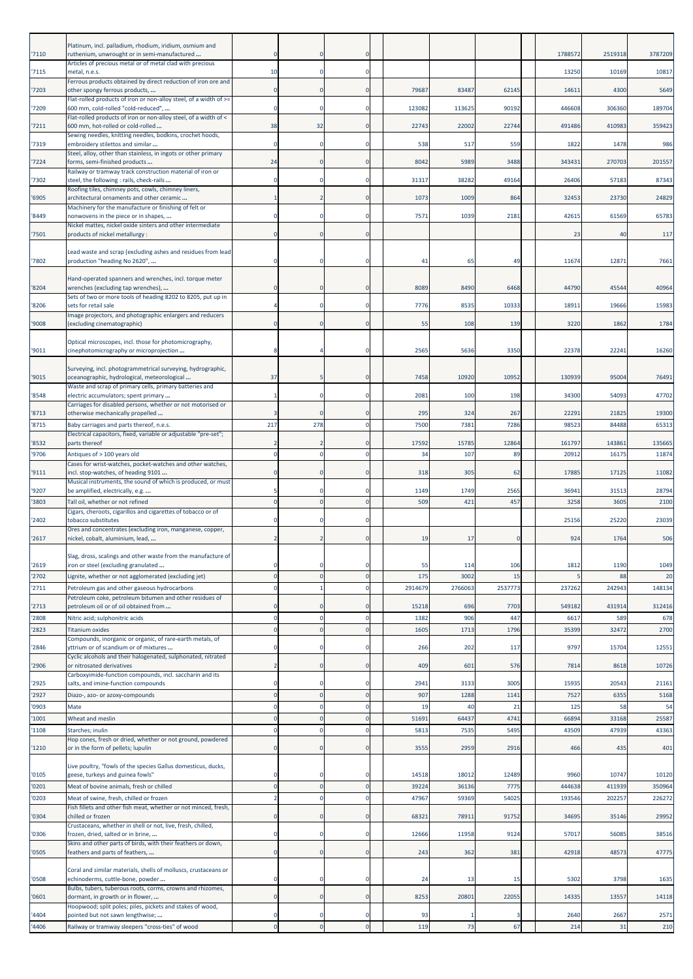|                | Platinum, incl. palladium, rhodium, iridium, osmium and                                                  |                            |     |                         |             |             |              |               |                |               |
|----------------|----------------------------------------------------------------------------------------------------------|----------------------------|-----|-------------------------|-------------|-------------|--------------|---------------|----------------|---------------|
| '7110          | ruthenium, unwrought or in semi-manufactured                                                             | $\Omega$                   |     |                         |             |             |              | 1788572       | 2519318        | 3787209       |
| '7115          | Articles of precious metal or of metal clad with precious<br>metal, n.e.s.                               | 10                         |     | $\Omega$                |             |             |              | 13250         | 10169          | 10817         |
| '7203          | Ferrous products obtained by direct reduction of iron ore and<br>other spongy ferrous products,          | 0                          |     | $\Omega$                | 79687       | 83487       | 62145        | 14611         | 4300           | 5649          |
| 7209           | Flat-rolled products of iron or non-alloy steel, of a width of >=<br>600 mm, cold-rolled "cold-reduced", | $\mathbf 0$                |     | $\Omega$                | 123082      | 113625      | 90192        | 446608        | 306360         | 189704        |
|                | Flat-rolled products of iron or non-alloy steel, of a width of <                                         |                            |     |                         |             |             |              |               |                |               |
| '7211          | 600 mm, hot-rolled or cold-rolled<br>Sewing needles, knitting needles, bodkins, crochet hoods,           | 38                         | 32  | $\Omega$                | 22743       | 22002       | 22744        | 491486        | 410983         | 359423        |
| '7319          | embroidery stilettos and similar<br>Steel, alloy, other than stainless, in ingots or other primary       | $\mathbf 0$                |     | $\Omega$                | 538         | 517         | 559          | 1822          | 1478           | 986           |
| '7224          | forms, semi-finished products                                                                            | 24                         |     |                         | 8042        | 5989        | 3488         | 343431        | 270703         | 201557        |
| '7302          | Railway or tramway track construction material of iron or<br>steel, the following : rails, check-rails   | $\mathbf 0$                |     | $\Omega$                | 31317       | 38282       | 49164        | 26406         | 57183          | 87343         |
| '6905          | Roofing tiles, chimney pots, cowls, chimney liners,<br>architectural ornaments and other ceramic         |                            |     |                         | 1073        | 1009        | 864          | 32453         | 23730          | 24829         |
| 8449           | Machinery for the manufacture or finishing of felt or                                                    | 0                          |     |                         |             | 1039        | 2181         | 42615         |                |               |
|                | nonwovens in the piece or in shapes,<br>Nickel mattes, nickel oxide sinters and other intermediate       |                            |     |                         | 7571        |             |              |               | 61569          | 65783         |
| '7501          | products of nickel metallurgy :                                                                          | $\Omega$                   |     | $\Omega$                |             |             |              | 23            | 40             | 117           |
| '7802          | Lead waste and scrap (excluding ashes and residues from lead<br>production "heading No 2620",            | Ω                          |     |                         | 41          | 65          | 49           | 11674         | 12871          | 7661          |
|                |                                                                                                          |                            |     |                         |             |             |              |               |                |               |
| '8204          | Hand-operated spanners and wrenches, incl. torque meter<br>wrenches (excluding tap wrenches),            | $\Omega$                   |     | $\Omega$                | 8089        | 8490        | 6468         | 44790         | 45544          | 40964         |
| '8206          | Sets of two or more tools of heading 8202 to 8205, put up in<br>sets for retail sale                     | 4                          |     | $\Omega$                | 7776        | 8535        | 10333        | 18911         | 19666          | 15983         |
|                | Image projectors, and photographic enlargers and reducers                                                | $\Omega$                   |     |                         | 55          | 108         | 139          | 3220          |                | 1784          |
| '9008          | (excluding cinematographic)                                                                              |                            |     |                         |             |             |              |               | 1862           |               |
| '9011          | Optical microscopes, incl. those for photomicrography,<br>cinephotomicrography or microprojection        | 8                          |     | $\Omega$                | 2565        | 5636        | 3350         | 22378         | 22241          | 16260         |
|                | Surveying, incl. photogrammetrical surveying, hydrographic,                                              |                            |     |                         |             |             |              |               |                |               |
| '9015          | oceanographic, hydrological, meteorological                                                              | 37                         |     | 0                       | 7458        | 10920       | 10952        | 130939        | 95004          | 76491         |
| '8548          | Waste and scrap of primary cells, primary batteries and<br>electric accumulators; spent primary          | $\mathbf{1}$               |     | 0                       | 2081        | 100         | 198          | 34300         | 54093          | 47702         |
| '8713          | Carriages for disabled persons, whether or not motorised or<br>otherwise mechanically propelled          | 3                          |     |                         | 295         | 324         | 267          | 22291         | 21825          | 19300         |
| '8715          | Baby carriages and parts thereof, n.e.s.                                                                 | 217                        | 278 |                         | 7500        | 738         | 7286         | 9852          | 84488          | 65313         |
| '8532          | Electrical capacitors, fixed, variable or adjustable "pre-set";<br>parts thereof                         | 2                          |     |                         | 17592       | 15785       | 12864        | 161797        | 143861         | 135665        |
| '9706          | Antiques of > 100 years old                                                                              | $\mathbf 0$                |     | $\Omega$                | 34          | 107         | 89           | 20912         | 16175          | 11874         |
| '9111          | Cases for wrist-watches, pocket-watches and other watches,<br>incl. stop-watches, of heading 9101        | $\mathbf 0$                |     | $\Omega$                | 318         | 305         | 62           | 17885         | 17125          | 11082         |
|                | Musical instruments, the sound of which is produced, or must                                             |                            |     |                         |             |             |              |               |                |               |
|                |                                                                                                          |                            |     | n                       |             |             |              |               |                |               |
| '9207<br>'3803 | be amplified, electrically, e.g<br>Tall oil, whether or not refined                                      | 5<br>$\overline{0}$        |     | $\Omega$                | 1149<br>509 | 1749<br>421 | 2565<br>457  | 36941<br>3258 | 31513<br>3605  | 28794<br>2100 |
| '2402          | Cigars, cheroots, cigarillos and cigarettes of tobacco or of<br>tobacco substitutes                      | $\Omega$                   |     | -0                      |             |             |              | 25156         | 25220          | 23039         |
|                | Ores and concentrates (excluding iron, manganese, copper,                                                |                            |     |                         |             |             |              |               |                |               |
| '2617          | nickel, cobalt, aluminium, lead,                                                                         | $\overline{2}$             |     | $\mathbf 0$             | 19          | 17          | $\epsilon$   | 924           | 1764           | 506           |
| '2619          | Slag, dross, scalings and other waste from the manufacture of<br>ron or steel (excluding granulated      | 0                          |     |                         | 55          | 114         | 106          | 1812          | 1190           | 1049          |
| '2702          | Lignite, whether or not agglomerated (excluding jet)                                                     | $\mathbf 0$                |     | $\mathbf{0}$            | 175         | 3002        | 15           |               | 88             | 20            |
| '2711          | Petroleum gas and other gaseous hydrocarbons                                                             | $\mathbf 0$                |     | $\Omega$                | 291467      | 2766063     | 2537773      | 237262        | 242943         | 148134        |
| '2713          | Petroleum coke, petroleum bitumen and other residues of<br>petroleum oil or of oil obtained from         | $\mathbf 0$                |     | $\Omega$                | 15218       | 696         | 7703         | 549182        | 431914         | 312416        |
| '2808          | Nitric acid; sulphonitric acids                                                                          | $\mathbf 0$                |     | $\Omega$                | 1382        | 906         | 447          | 6617          | 589            | 678           |
| '2823          | <b>Titanium oxides</b><br>Compounds, inorganic or organic, of rare-earth metals, of                      | $\mathbf 0$                |     | $\mathbf{0}$            | 1605        | 1713        | 1796         | 35399         | 32472          | 2700          |
| '2846          | yttrium or of scandium or of mixtures                                                                    | $\Omega$                   |     | $\mathbf 0$             | 266         | 202         | 117          | 9797          | 15704          | 12551         |
| '2906          | Cyclic alcohols and their halogenated, sulphonated, nitrated<br>or nitrosated derivatives                | $\overline{2}$             |     |                         | 409         | 601         | 576          | 7814          | 8618           | 10726         |
| '2925          | Carboxyimide-function compounds, incl. saccharin and its<br>salts, and imine-function compounds          | $\mathbf 0$                |     | $\Omega$                | 2941        | 3133        | 3005         | 15935         | 20543          | 21161         |
| '2927          | Diazo-, azo- or azoxy-compounds                                                                          | $\mathbf 0$                |     | $\mathbf{0}$            | 907         | 1288        | 1141         | 7527          | 6355           | 5168          |
| '0903          | Mate                                                                                                     | $\mathbf 0$                |     | $\overline{0}$          | 19          | 40          | 21           | 125           | 58             | 54            |
| '1001          | Wheat and meslin                                                                                         | $\mathbf 0$<br>$\mathbf 0$ |     | $\mathbf 0$<br>$\Omega$ | 51691       | 64437       | 4741<br>5495 | 66894         | 33168<br>47939 | 25587         |
| '1108          | Starches; inulin<br>Hop cones, fresh or dried, whether or not ground, powdered                           |                            |     |                         | 5813        | 7535        |              | 43509         |                | 43363         |
| '1210          | or in the form of pellets; lupulin                                                                       | $\mathbf 0$                |     | $\Omega$                | 3555        | 2959        | 2916         | 466           | 435            | 401           |
| '0105          | Live poultry, "fowls of the species Gallus domesticus, ducks,<br>geese, turkeys and guinea fowls"        | $\Omega$                   |     | -0                      | 14518       | 18012       | 12489        | 9960          | 10747          | 10120         |
| '0201          | Meat of bovine animals, fresh or chilled                                                                 | $\mathbf 0$                |     | $\overline{0}$          | 39224       | 36136       | 7775         | 444638        | 411939         | 350964        |
| '0203          | Meat of swine, fresh, chilled or frozen                                                                  | $\overline{2}$             |     |                         | 47967       | 59369       | 54025        | 193546        | 202257         | 226272        |
| '0304          | Fish fillets and other fish meat, whether or not minced, fresh,<br>chilled or frozen                     | $\Omega$                   |     | $\mathbf 0$             | 68321       | 78911       | 91752        | 34695         | 35146          | 29952         |
| '0306          | Crustaceans, whether in shell or not, live, fresh, chilled,<br>frozen, dried, salted or in brine,        | $\mathbf 0$                |     | $\Omega$                | 12666       | 11958       | 9124         | 57017         | 56085          | 38516         |
| '0505          | Skins and other parts of birds, with their feathers or down,<br>feathers and parts of feathers,          | $\mathbf 0$                |     | $\mathbf 0$             | 243         | 362         | 381          | 42918         | 48573          | 47775         |
|                |                                                                                                          |                            |     |                         |             |             |              |               |                |               |
| '0508          | Coral and similar materials, shells of molluscs, crustaceans or<br>echinoderms, cuttle-bone, powder      | $\Omega$                   |     | $\Omega$                | 24          | 13          | 15           | 5302          | 3798           | 1635          |
| '0601          | Bulbs, tubers, tuberous roots, corms, crowns and rhizomes,<br>dormant, in growth or in flower,           | $\mathbf 0$                |     | $\mathbf 0$             | 8253        | 20801       | 22055        | 14335         | 13557          | 14118         |
| '4404          | Hoopwood; split poles; piles, pickets and stakes of wood,<br>pointed but not sawn lengthwise;            | 0                          |     | 0                       | 93          |             |              | 2640          | 2667           | 2571          |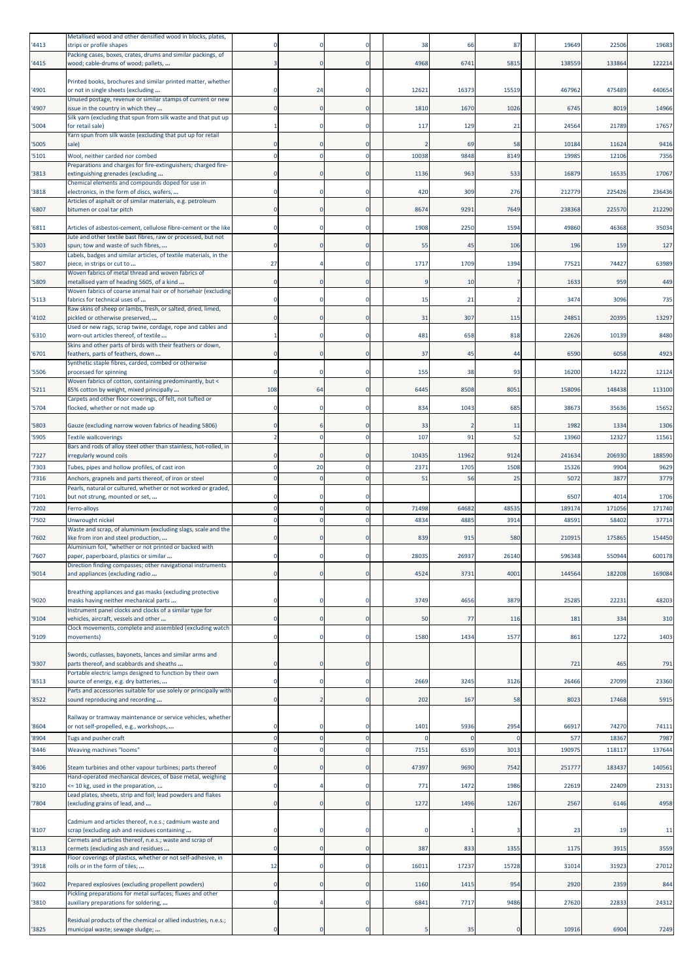| '4413          | Metallised wood and other densified wood in blocks, plates,<br>strips or profile shapes                                          |                      |    |                  | 38               | 66               | 87         | 19649          | 22506          | 19683          |
|----------------|----------------------------------------------------------------------------------------------------------------------------------|----------------------|----|------------------|------------------|------------------|------------|----------------|----------------|----------------|
| '4415          | Packing cases, boxes, crates, drums and similar packings, of<br>wood; cable-drums of wood; pallets,                              |                      |    | 0                | 4968             | 6741             | 5815       | 138559         | 133864         | 122214         |
| '4901          | Printed books, brochures and similar printed matter, whether<br>or not in single sheets (excluding                               |                      | 24 |                  | 1262:            | 16373            | 15519      | 467962         | 475489         | 440654         |
| '4907          | Unused postage, revenue or similar stamps of current or new<br>issue in the country in which they                                |                      |    | $\Omega$         | 1810             | 1670             | 1026       | 6745           | 8019           | 14966          |
| '5004          | Silk yarn (excluding that spun from silk waste and that put up<br>for retail sale)                                               |                      |    | 0                | 117              | 129              | 21         | 24564          | 21789          | 17657          |
| '5005          | Yarn spun from silk waste (excluding that put up for retail<br>sale)                                                             |                      |    | о                |                  | 69               | 58         | 10184          | 11624          | 9416           |
| '5101          | Wool, neither carded nor combed                                                                                                  |                      |    | $\mathbf 0$      | 10038            | 9848             | 8149       | 19985          | 12106          | 7356           |
| '3813          | Preparations and charges for fire-extinguishers; charged fire-<br>extinguishing grenades (excluding                              |                      |    | $\Omega$         | 1136             | 963              | 533        | 16879          | 16535          | 17067          |
| '3818          | Chemical elements and compounds doped for use in<br>electronics, in the form of discs, wafers,                                   |                      |    | -0               | 420              | 309              | 276        | 212779         | 225426         | 236436         |
| '6807          | Articles of asphalt or of similar materials, e.g. petroleum<br>bitumen or coal tar pitch                                         |                      |    | 0                | 8674             | 9291             | 7649       | 238368         | 225570         | 212290         |
|                |                                                                                                                                  |                      |    |                  |                  |                  |            |                |                |                |
| '6811          | Articles of asbestos-cement, cellulose fibre-cement or the like<br>Jute and other textile bast fibres, raw or processed, but not |                      |    | 0                | 1908             | 2250             | 1594       | 49860          | 46368          | 35034          |
| '5303          | spun; tow and waste of such fibres,<br>Labels, badges and similar articles, of textile materials, in the                         | n                    |    | $\mathbf 0$      | 55               | 45               | 106        | 196            | 159            | 127            |
| '5807          | piece, in strips or cut to<br>Woven fabrics of metal thread and woven fabrics of                                                 | 27                   |    | 0                | 1717             | 1709             | 1394       | 77521          | 74427          | 63989          |
| '5809          | metallised yarn of heading 5605, of a kind<br>Woven fabrics of coarse animal hair or of horsehair (excluding                     | $\Omega$             |    | $\Omega$         |                  | 10               |            | 1633           | 959            | 449            |
| '5113          | fabrics for technical uses of                                                                                                    |                      |    | 0                | 15               | 21               |            | 3474           | 3096           | 735            |
| '4102          | Raw skins of sheep or lambs, fresh, or salted, dried, limed,<br>pickled or otherwise preserved,                                  |                      |    |                  | 31               | 307              | 115        | 24851          | 20395          | 13297          |
| '6310          | Used or new rags, scrap twine, cordage, rope and cables and<br>worn-out articles thereof, of textile                             |                      |    | 0                | 481              | 658              | 818        | 22626          | 10139          | 8480           |
| '6701          | Skins and other parts of birds with their feathers or down,<br>feathers, parts of feathers, down                                 |                      |    | $\mathbf 0$      | 37               | 45               | 44         | 6590           | 6058           | 4923           |
| '5506          | Synthetic staple fibres, carded, combed or otherwise<br>processed for spinning                                                   |                      |    | 0                | 155              | 38               | 93         | 16200          | 14222          | 12124          |
|                | Woven fabrics of cotton, containing predominantly, but <                                                                         |                      |    |                  |                  |                  |            |                |                |                |
| '5211          | 85% cotton by weight, mixed principally<br>Carpets and other floor coverings, of felt, not tufted or                             | 108                  | 64 | $\mathbf 0$      | 6445             | 8508             | 8051       | 158096         | 148438         | 113100         |
| '5704          | flocked, whether or not made up                                                                                                  |                      |    | -0               | 834              | 1043             | 685        | 38673          | 35636          | 15652          |
| '5803          | Gauze (excluding narrow woven fabrics of heading 5806)                                                                           |                      |    | 0                | 33               |                  | 11         | 1982           | 1334           | 1306           |
| '5905          | <b>Textile wallcoverings</b><br>Bars and rods of alloy steel other than stainless, hot-rolled, in                                |                      |    | 0                | 107              | 91               | 52         | 13960          | 12327          | 11561          |
| '7227          | irregularly wound coils                                                                                                          |                      |    | $\mathbf 0$      | 10435            | 11962            | 9124       | 241634         | 206930         | 188590         |
| '7303<br>'7316 | Tubes, pipes and hollow profiles, of cast iron<br>Anchors, grapnels and parts thereof, of iron or steel                          |                      | 20 | 0<br>$\mathbf 0$ | 2371<br>51       | 1705<br>56       | 1508<br>25 | 15326<br>5072  | 9904<br>3877   | 9629<br>3779   |
|                | Pearls, natural or cultured, whether or not worked or graded,                                                                    |                      |    |                  |                  |                  |            |                |                |                |
| '7101<br>'7202 | but not strung, mounted or set,<br>Ferro-alloys                                                                                  |                      |    | 0<br>0           | 71498            | 64682            | 48535      | 6507<br>189174 | 4014<br>171056 | 1706<br>171740 |
| '7502          | Unwrought nickel                                                                                                                 |                      |    |                  | 4834             | 4885             | 3914       | 4859           | 5840           | 37714          |
| '7602          | Waste and scrap, of aluminium (excluding slags, scale and the<br>like from iron and steel production,                            |                      |    | $\mathbf{0}$     | 839              | 915              | 580        | 210915         | 175865         | 154450         |
| 7607           | Aluminium foil, "whether or not printed or backed with<br>paper, paperboard, plastics or similar                                 |                      |    |                  | 2803             | 2693             | 26140      | 596348         | 550944         | 600178         |
| '9014          | Direction finding compasses; other navigational instruments<br>and appliances (excluding radio                                   | 0                    |    | $\mathbf 0$      | 4524             | 3731             | 4001       | 144564         | 182208         | 169084         |
| '9020          | Breathing appliances and gas masks (excluding protective<br>masks having neither mechanical parts                                |                      |    | 0                | 3749             | 4656             | 3879       | 25285          | 22231          | 48203          |
| '9104          | Instrument panel clocks and clocks of a similar type for<br>vehicles, aircraft, vessels and other                                | $\Omega$             |    | $\mathbf 0$      | 50               | 77               | 116        | 181            | 334            | 310            |
| '9109          | Clock movements, complete and assembled (excluding watch<br>movements)                                                           | 0                    |    | 0                | 1580             | 1434             | 1577       | 861            | 1272           | 1403           |
|                | Swords, cutlasses, bayonets, lances and similar arms and                                                                         |                      |    |                  |                  |                  |            |                |                |                |
| '9307          | parts thereof, and scabbards and sheaths<br>Portable electric lamps designed to function by their own                            | $\Omega$             |    | $\mathbf 0$      |                  |                  |            | 721            | 465            | 791            |
| '8513          | source of energy, e.g. dry batteries,                                                                                            | n                    |    | $\mathbf 0$      | 2669             | 3245             | 3126       | 26466          | 27099          | 23360          |
| '8522          | Parts and accessories suitable for use solely or principally with<br>sound reproducing and recording                             | $\mathbf{0}$         |    | $\mathbf 0$      | 202              | 167              | 58         | 8023           | 17468          | 5915           |
|                | Railway or tramway maintenance or service vehicles, whether                                                                      |                      |    |                  |                  |                  |            |                |                |                |
| '8604<br>'8904 | or not self-propelled, e.g., workshops,<br>Tugs and pusher craft                                                                 | $\Omega$<br>$\Omega$ |    | 0<br>$\mathbf 0$ | 1401<br>$\Omega$ | 5936<br>$\Omega$ | 2954       | 66917<br>577   | 74270<br>18367 | 74111<br>7987  |
| '8446          | Weaving machines "looms"                                                                                                         | $\Omega$             |    | $\mathbf 0$      | 7151             | 6539             | 3013       | 190975         | 118117         | 137644         |
| '8406          | Steam turbines and other vapour turbines; parts thereof                                                                          |                      |    | $\mathbf 0$      | 47397            | 9690             | 7542       | 251777         | 183437         | 140561         |
| '8210          | Hand-operated mechanical devices, of base metal, weighing<br><= 10 kg, used in the preparation,                                  | $\Omega$             |    | 0                | 771              | 1472             | 1986       | 22619          | 22409          | 23131          |
|                | Lead plates, sheets, strip and foil; lead powders and flakes                                                                     | $\Omega$             |    |                  |                  |                  |            |                |                |                |
| '7804          | (excluding grains of lead, and<br>Cadmium and articles thereof, n.e.s.; cadmium waste and                                        |                      |    | $\mathbf 0$      | 1272             | 1496             | 1267       | 2567           | 6146           | 4958           |
| '8107          | scrap (excluding ash and residues containing<br>Cermets and articles thereof, n.e.s.; waste and scrap of                         |                      |    | 0                |                  |                  |            | 23             | 19             | 11             |
| '8113          | cermets (excluding ash and residues<br>Floor coverings of plastics, whether or not self-adhesive, in                             | $\Omega$             |    | $\mathbf 0$      | 387              | 833              | 1355       | 1175           | 3915           | 3559           |
| '3918          | rolls or in the form of tiles;                                                                                                   | 12                   |    | 0                | 16011            | 17237            | 15728      | 31014          | 31923          | 27012          |
| '3602          | Prepared explosives (excluding propellent powders)<br>Pickling preparations for metal surfaces; fluxes and other                 | $\mathbf{0}$         |    | $\mathbf 0$      | 1160             | 1415             | 954        | 2920           | 2359           | 844            |
| '3810          | auxiliary preparations for soldering,                                                                                            | $\Omega$             |    | $\mathbf 0$      | 6841             | 7717             | 9486       | 27620          | 22833          | 24312          |
| '3825          | Residual products of the chemical or allied industries, n.e.s.;<br>municipal waste; sewage sludge;                               | 0                    | C  | $\mathbf 0$      |                  | 35               | O          | 10916          | 6904           | 7249           |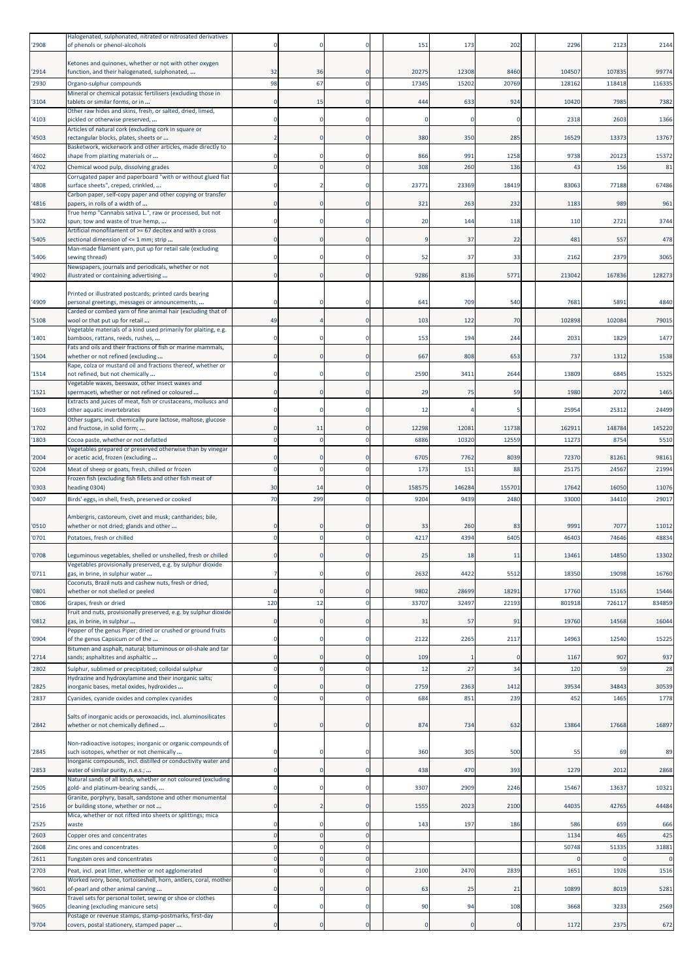| '2908          | Halogenated, sulphonated, nitrated or nitrosated derivatives<br>of phenols or phenol-alcohols                                |                         |          |                              | 151            | 173                | 202           | 2296             | 2123             | 2144                  |
|----------------|------------------------------------------------------------------------------------------------------------------------------|-------------------------|----------|------------------------------|----------------|--------------------|---------------|------------------|------------------|-----------------------|
|                | Ketones and quinones, whether or not with other oxygen                                                                       |                         |          |                              |                |                    |               |                  |                  |                       |
| '2914<br>'2930 | function, and their halogenated, sulphonated,<br>Organo-sulphur compounds                                                    | 32<br>98                | 36<br>67 | <sup>C</sup><br>$\mathsf{C}$ | 20275<br>17345 | 12308<br>15202     | 8460<br>20769 | 104507<br>128162 | 107835<br>118418 | 99774<br>116335       |
| '3104          | Mineral or chemical potassic fertilisers (excluding those in<br>tablets or similar forms, or in                              | $\Omega$                | 15       | $\mathsf{C}$                 | 444            | 633                | 924           | 10420            | 7985             | 7382                  |
|                | Other raw hides and skins, fresh, or salted, dried, limed,                                                                   | n                       |          | £                            |                | n                  |               |                  |                  |                       |
| '4103          | pickled or otherwise preserved,<br>Articles of natural cork (excluding cork in square or                                     |                         |          |                              |                |                    |               | 2318             | 2603             | 1366                  |
| '4503          | rectangular blocks, plates, sheets or<br>Basketwork, wickerwork and other articles, made directly to                         |                         |          | C                            | 380            | 350                | 285           | 16529            | 13373            | 13767                 |
| '4602          | shape from plaiting materials or                                                                                             | $\Omega$                |          | C                            | 866            | 991                | 1258          | 9738             | 20123            | 15372                 |
| '4702          | Chemical wood pulp, dissolving grades<br>Corrugated paper and paperboard "with or without glued flat                         | $\mathbf 0$             |          | C                            | 308            | 260                | 136           | 43               | 156              | 81                    |
| '4808          | surface sheets", creped, crinkled,<br>Carbon paper, self-copy paper and other copying or transfer                            |                         |          |                              | 23771          | 23369              | 18419         | 83063            | 77188            | 67486                 |
| '4816          | papers, in rolls of a width of                                                                                               | $\Omega$                |          | C                            | 321            | 263                | 232           | 118              | 989              | 961                   |
| '5302          | True hemp "Cannabis sativa L.", raw or processed, but not<br>spun; tow and waste of true hemp,                               |                         |          | C                            | 20             | 144                | 118           | 110              | 2721             | 3744                  |
| '5405          | Artificial monofilament of >= 67 decitex and with a cross<br>sectional dimension of <= 1 mm; strip                           |                         |          | $\mathsf{C}$                 |                | 37                 | 22            | 481              | 557              | 478                   |
| '5406          | Man-made filament yarn, put up for retail sale (excluding<br>sewing thread)                                                  | n                       |          | C.                           | 52             | 37                 | 33            | 2162             | 2379             | 3065                  |
| '4902          | Newspapers, journals and periodicals, whether or not<br>llustrated or containing advertising                                 | 0                       |          | C                            | 9286           | 8136               | 5771          | 213042           | 167836           | 128273                |
|                |                                                                                                                              |                         |          |                              |                |                    |               |                  |                  |                       |
| '4909          | Printed or illustrated postcards; printed cards bearing<br>personal greetings, messages or announcements,                    |                         |          |                              | 641            | <b>709</b>         | 540           | 768              | 5891             | 4840                  |
| '5108          | Carded or combed yarn of fine animal hair (excluding that of<br>wool or that put up for retail                               | 49                      |          | $\mathsf{C}$                 | 103            | 122                | 70            | 102898           | 102084           | 79015                 |
| '1401          | Vegetable materials of a kind used primarily for plaiting, e.g.<br>bamboos, rattans, reeds, rushes,                          | $\mathbf 0$             |          | C                            | 153            | 194                | 244           | 2031             | 1829             | 1477                  |
|                | Fats and oils and their fractions of fish or marine mammals,                                                                 |                         |          |                              |                |                    |               |                  |                  |                       |
| '1504          | whether or not refined (excluding<br>Rape, colza or mustard oil and fractions thereof, whether or                            | $\Omega$                |          | $\mathsf{C}$                 | 667            | 808                | 653           | 737              | 1312             | 1538                  |
| '1514          | not refined, but not chemically<br>Vegetable waxes, beeswax, other insect waxes and                                          | n                       |          | c                            | 2590           | 3411               | 2644          | 13809            | 6845             | 15325                 |
| '1521          | spermaceti, whether or not refined or coloured                                                                               |                         |          | C                            | 29             | 75                 | 59            | 1980             | 2072             | 1465                  |
| '1603          | Extracts and juices of meat, fish or crustaceans, molluscs and<br>other aquatic invertebrates                                |                         |          |                              | 12             |                    |               | 25954            | 25312            | 24499                 |
| '1702          | Other sugars, incl. chemically pure lactose, maltose, glucose<br>and fructose, in solid form;                                | $\Omega$                | 11       | $\mathsf{C}$                 | 12298          | 12081              | 11738         | 16291:           | 148784           | 145220                |
| '1803          | Cocoa paste, whether or not defatted                                                                                         | $\Omega$                |          | C                            | 6886           | 10320              | 12559         | 11273            | 8754             | 5510                  |
| '2004          | Vegetables prepared or preserved otherwise than by vinegar<br>or acetic acid, frozen (excluding                              | $\Omega$                |          | c                            | 6705           | 7762               | 8039          | 72370            | 81261            | 98161                 |
| '0204          | Meat of sheep or goats, fresh, chilled or frozen                                                                             | $\mathbf 0$             |          |                              | 173            | 151                | 88            | 2517             | 24567            | 21994                 |
| '0303          | Frozen fish (excluding fish fillets and other fish meat of<br>heading 0304)                                                  | 30                      | 14       | c                            | 158575         | 146284             | 155701        | 17642            | 16050            | 11076                 |
| '0407          | Birds' eggs, in shell, fresh, preserved or cooked                                                                            | 70                      | 299      | $\epsilon$                   | 9204           | 9439               | 2480          | 33000            | 34410            | 29017                 |
|                | Ambergris, castoreum, civet and musk; cantharides; bile,                                                                     |                         |          |                              |                |                    |               |                  |                  |                       |
| '0510<br>'0701 | whether or not dried; glands and other<br>Potatoes, fresh or chilled                                                         | $\Omega$<br>$\Omega$    |          | <sup>C</sup><br>$\mathsf{C}$ | 33<br>4217     | <b>260</b><br>4394 | 83<br>6405    | 999<br>46403     | 7077<br>74646    | 11012<br>48834        |
|                |                                                                                                                              |                         |          |                              |                |                    |               |                  |                  |                       |
| '0708          | Leguminous vegetables, shelled or unshelled, fresh or chilled<br>Vegetables provisionally preserved, e.g. by sulphur dioxide |                         |          |                              |                |                    |               | 13461            | 14850            | 13302                 |
| '0711          | gas, in brine, in sulphur water<br>Coconuts, Brazil nuts and cashew nuts, fresh or dried,                                    | 7                       |          | C                            | 2632           | 4422               | 5512          | 18350            | 19098            | 16760                 |
| '0801          | whether or not shelled or peeled                                                                                             | $\mathbf{0}$            |          | $\mathsf{C}$                 | 9802           | 28699              | 18291         | 17760            | 15165            | 15446                 |
| '0806          | Grapes, fresh or dried<br>Fruit and nuts, provisionally preserved, e.g. by sulphur dioxide                                   | 120                     | 12       | $\mathbf 0$                  | 33707          | 32497              | 22193         | 801918           | 726117           | 834859                |
| '0812          | gas, in brine, in sulphur                                                                                                    | $\mathbf{0}$            |          | $\mathbf 0$                  | 31             | 57                 | 91            | 19760            | 14568            | 16044                 |
| '0904          | Pepper of the genus Piper; dried or crushed or ground fruits<br>of the genus Capsicum or of the                              | $\Omega$                |          | £                            | 2122           | 2265               | 2117          | 14963            | 12540            | 15225                 |
| '2714          | Bitumen and asphalt, natural; bituminous or oil-shale and tar<br>sands; asphaltites and asphaltic                            | $\mathbf{0}$            |          | C                            | 109            |                    |               | 1167             | 907              | 937                   |
| '2802          | Sulphur, sublimed or precipitated; colloidal sulphur                                                                         | $\mathbf 0$             |          | £                            | 12             | 27                 | 34            | 120              | 59               | 28                    |
| '2825          | Hydrazine and hydroxylamine and their inorganic salts;<br>norganic bases, metal oxides, hydroxides                           | $\mathbf{0}$            |          | C                            | 2759           | 2363               | 1412          | 39534            | 34843            | 30539                 |
| '2837          | Cyanides, cyanide oxides and complex cyanides                                                                                | $\mathbf 0$             |          | C                            | 684            | 851                | 239           | 452              | 1465             | 1778                  |
|                | Salts of inorganic acids or peroxoacids, incl. aluminosilicates                                                              |                         |          |                              |                |                    |               |                  |                  |                       |
| '2842          | whether or not chemically defined                                                                                            | 0                       |          | C                            | 874            | 734                | 632           | 13864            | 17668            | 16897                 |
| '2845          | Non-radioactive isotopes; inorganic or organic compounds of<br>such isotopes, whether or not chemically                      | $\Omega$                |          | C                            | 360            | 305                | 500           | 55               | 69               | 89                    |
|                | Inorganic compounds, incl. distilled or conductivity water and                                                               |                         |          | $\mathbf 0$                  |                |                    |               | 1279             |                  |                       |
| '2853          | water of similar purity, n.e.s.;<br>Natural sands of all kinds, whether or not coloured (excluding                           | $\mathbf 0$             |          |                              | 438            | 470                | 393           |                  | 2012             | 2868                  |
| '2505          | gold- and platinum-bearing sands,<br>Granite, porphyry, basalt, sandstone and other monumental                               | $\mathbf 0$             |          | $\mathbf 0$                  | 3307           | 2909               | 2246          | 15467            | 13637            | 10321                 |
| '2516          | or building stone, whether or not<br>Mica, whether or not rifted into sheets or splittings; mica                             | $\mathbf{0}$            |          | $\mathsf{C}$                 | 1555           | 2023               | 2100          | 44035            | 42765            | 44484                 |
| '2525          | waste                                                                                                                        | $\Omega$                |          | £                            | 143            | 197                | 186           | 586              | 659              | 666                   |
| '2603          | Copper ores and concentrates                                                                                                 | $\mathbf 0$             |          | $\mathsf{C}$<br>C            |                |                    |               | 1134             | 465              | 425                   |
| '2608<br>'2611 | Zinc ores and concentrates<br>Tungsten ores and concentrates                                                                 | $\mathbf 0$<br>$\Omega$ |          | $\mathsf{C}$                 |                |                    |               | 50748            | 51335            | 31881<br>$\mathbf{0}$ |
| '2703          | Peat, incl. peat litter, whether or not agglomerated                                                                         | $\mathbf 0$             |          | $\Omega$                     | 2100           | 2470               | 2839          | 1651             | 1926             | 1516                  |
| '9601          | Worked ivory, bone, tortoiseshell, horn, antlers, coral, mother<br>of-pearl and other animal carving                         | 0                       |          | $\mathbf 0$                  | 63             | 25                 | 21            | 10899            | 8019             | 5281                  |
| '9605          | Travel sets for personal toilet, sewing or shoe or clothes<br>cleaning (excluding manicure sets)                             | $\mathbf 0$             |          | $\mathbf 0$                  | 90             | 94                 | 108           | 3668             | 3233             | 2569                  |
|                | Postage or revenue stamps, stamp-postmarks, first-day                                                                        |                         |          |                              |                |                    |               |                  |                  |                       |
| '9704          | covers, postal stationery, stamped paper                                                                                     | $\mathbf 0$             |          | $\Omega$                     | $\Omega$       | $\mathbf 0$        | $\sqrt{ }$    | 1172             | 2375             | 672                   |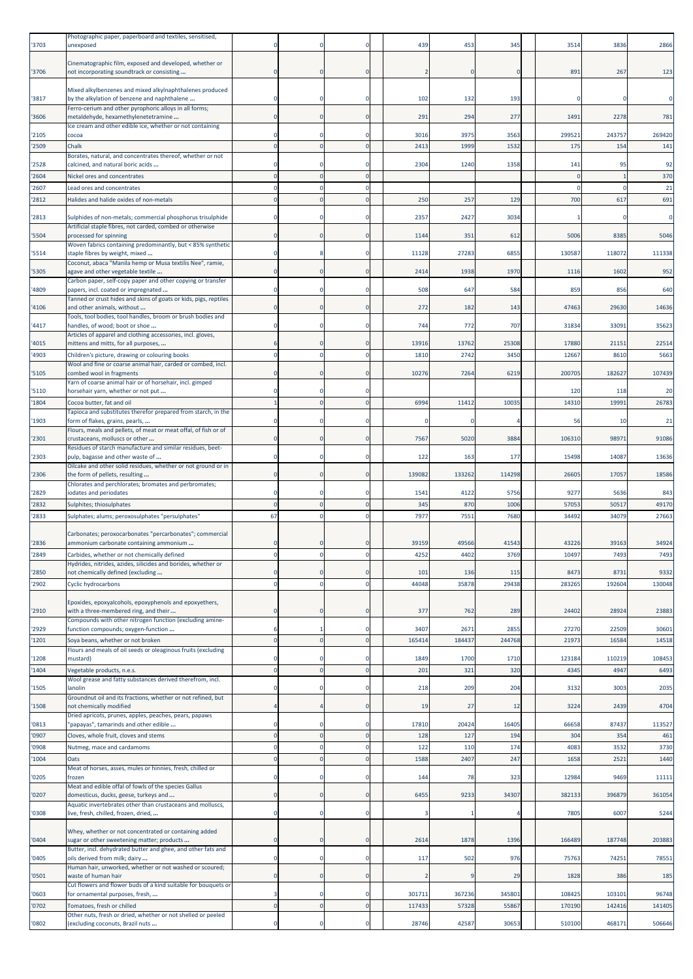| '3703          | Photographic paper, paperboard and textiles, sensitised,<br>unexposed                                                   |                            |                              | 439           | 453           | 345          | 3514           | 3836           | 2866           |
|----------------|-------------------------------------------------------------------------------------------------------------------------|----------------------------|------------------------------|---------------|---------------|--------------|----------------|----------------|----------------|
| '3706          | Cinematographic film, exposed and developed, whether or<br>not incorporating soundtrack or consisting                   | $\Omega$                   | <sup>C</sup>                 |               |               | C            | 891            | 267            | 123            |
| '3817          | Mixed alkylbenzenes and mixed alkylnaphthalenes produced<br>by the alkylation of benzene and naphthalene                |                            |                              | 102           | 132           | 193          |                |                |                |
| '3606          | Ferro-cerium and other pyrophoric alloys in all forms;<br>metaldehyde, hexamethylenetetramine                           | $\mathbf{0}$               | $\mathsf{C}$                 | 291           | 294           | 277          | 1491           | 2278           | 781            |
| '2105          | Ice cream and other edible ice, whether or not containing<br>cocoa                                                      | $\Omega$                   | C.                           | 3016          | 3975          | 3563         | 29952          | 243757         | 269420         |
| '2509          | Chalk                                                                                                                   | $\Omega$                   |                              | 2413          | 1999          | 1532         | 175            | 154            | 141            |
| '2528          | Borates, natural, and concentrates thereof, whether or not<br>calcined, and natural boric acids                         | 0                          |                              | 2304          | 1240          | 1358         | 141            | 95             | 92             |
| '2604          | Nickel ores and concentrates                                                                                            | $\Omega$                   |                              |               |               |              |                |                | 370            |
| '2607          | Lead ores and concentrates                                                                                              | $\mathbf 0$                | C<br>$\epsilon$              |               |               |              |                |                | 21             |
| '2812          | Halides and halide oxides of non-metals                                                                                 | $\Omega$                   |                              | 250           | 257           | 129          | 700            | 617            | 691            |
| 2813           | Sulphides of non-metals; commercial phosphorus trisulphide<br>Artificial staple fibres, not carded, combed or otherwise |                            |                              | 2357          | 2427          | 3034         |                |                | 0              |
| '5504          | processed for spinning<br>Woven fabrics containing predominantly, but < 85% synthetic                                   | $\Omega$                   |                              | 1144          | 351           | 612          | 5006           | 8385           | 5046           |
| '5514          | staple fibres by weight, mixed<br>Coconut, abaca "Manila hemp or Musa textilis Nee", ramie,                             | $\Omega$                   | C.                           | 11128         | 27283         | 6855         | 13058          | 118072         | 111338         |
| '5305          | agave and other vegetable textile<br>Carbon paper, self-copy paper and other copying or transfer                        | 0                          | $\mathsf{C}$                 | 2414          | 1938          | 1970         | 1116           | 1602           | 952            |
| '4809          | papers, incl. coated or impregnated                                                                                     |                            |                              | 508           | 647           | 584          | 859            | 856            | 640            |
| '4106          | Tanned or crust hides and skins of goats or kids, pigs, reptiles<br>and other animals, without                          | n                          | C                            | 272           | 182           | 143          | 47463          | 29630          | 14636          |
| '4417          | Tools, tool bodies, tool handles, broom or brush bodies and<br>nandles, of wood; boot or shoe                           |                            |                              | 744           | 772           | 707          | 31834          | 33091          | 35623          |
| '4015          | Articles of apparel and clothing accessories, incl. gloves,<br>mittens and mitts, for all purposes,                     |                            |                              | 13916         | 13762         | 25308        | 17880          | 21151          | 22514          |
| '4903          | Children's picture, drawing or colouring books                                                                          | $\mathbf 0$                | £                            | 1810          | 2742          | 3450         | 12667          | 8610           | 5663           |
| '5105          | Wool and fine or coarse animal hair, carded or combed, incl.<br>combed wool in fragments                                |                            |                              | 10276         | 7264          | 6219         | 200705         | 182627         | 107439         |
| '5110          | Yarn of coarse animal hair or of horsehair, incl. gimped<br>horsehair yarn, whether or not put                          | n                          |                              |               |               |              | 120            | 118            | 20             |
| '1804          | Cocoa butter, fat and oil                                                                                               | $\overline{1}$             | $\mathsf{C}$                 | 6994          | 11412         | 10035        | 14310          | 19991          | 26783          |
| '1903          | Tapioca and substitutes therefor prepared from starch, in the<br>form of flakes, grains, pearls,                        | $\Omega$                   | C.                           |               |               |              | 56             | -10            | 21             |
| '2301          | Flours, meals and pellets, of meat or meat offal, of fish or of<br>crustaceans, molluscs or other                       | 0                          | <sup>C</sup>                 | 7567          | 5020          | 3884         | 106310         | 98971          | 91086          |
| '2303          | Residues of starch manufacture and similar residues, beet-<br>pulp, bagasse and other waste of                          | $\Omega$                   |                              | 122           | 163           | 177          | 15498          | 14087          | 13636          |
| '2306          | Oilcake and other solid residues, whether or not ground or in<br>the form of pellets, resulting                         | $\Omega$                   | $\mathsf{C}$                 | 139082        | 133262        | 114298       | 26605          | 17057          | 18586          |
| '2829          | Chlorates and perchlorates; bromates and perbromates;<br>odates and periodates                                          |                            |                              | 1541          | 4122          | 5756         | 9277           | 5636           | 843            |
| '2832          | Sulphites; thiosulphates                                                                                                | $\mathbf 0$                | C                            | 345           | <b>870</b>    | 1006         | 5705           | 50517          | 49170          |
| '2833          | Sulphates; alums; peroxosulphates "persulphates"                                                                        | 67                         |                              | 7977          | 7551          | 7680         | 34492          | 34079          | 27663          |
|                | Carbonates; peroxocarbonates "percarbonates"; commercial                                                                |                            |                              |               |               |              |                |                |                |
| '2836<br>'2849 | ammonium carbonate containing ammonium<br>Carbides, whether or not chemically defined                                   |                            |                              | 39159<br>4252 | 49566<br>4402 | 4154<br>3769 | 43220<br>10497 | 39163<br>7493  | 34924<br>7493  |
|                | Hydrides, nitrides, azides, silicides and borides, whether or                                                           |                            |                              |               |               |              |                |                |                |
| '2850<br>'2902 | not chemically defined (excluding<br><b>Cyclic hydrocarbons</b>                                                         | $\Omega$<br>$\mathbf 0$    | $\mathsf{C}$<br>$\mathsf{C}$ | 101<br>44048  | 136<br>35878  | 115<br>29438 | 8473<br>283265 | 8731<br>192604 | 9332<br>130048 |
|                | Epoxides, epoxyalcohols, epoxyphenols and epoxyethers,                                                                  |                            |                              |               |               |              |                |                |                |
| '2910          | with a three-membered ring, and their<br>Compounds with other nitrogen function (excluding amine-                       | $\Omega$                   | $\mathsf{C}$                 | 377           | 762           | 289          | 24402          | 28924          | 23883          |
| '2929          | function compounds; oxygen-function                                                                                     | 6                          | C                            | 3407          | 2671          | 2855         | 27270          | 22509          | 30601          |
| '1201          | Soya beans, whether or not broken<br>Flours and meals of oil seeds or oleaginous fruits (excluding                      | $\mathbf 0$                | $\Omega$                     | 16541         | 184437        | 244768       | 21973          | 16584          | 14518          |
| '1208          | mustard)                                                                                                                | $\mathbf 0$                | C                            | 1849          | 1700          | 1710         | 123184         | 110219         | 108453         |
| '1404          | Vegetable products, n.e.s.<br>Wool grease and fatty substances derived therefrom, incl.                                 | $\mathbf 0$                | $\Omega$                     | 201           | 321           | 320          | 434            | 4947           | 6493           |
| '1505          | anolin<br>Groundnut oil and its fractions, whether or not refined, but                                                  |                            | C                            | 218           | 209           | 204          | 3132           | 3003           | 2035           |
| '1508          | not chemically modified                                                                                                 |                            | C                            | 19            | 27            | 12           | 3224           | 2439           | 4704           |
| '0813          | Dried apricots, prunes, apples, peaches, pears, papaws<br>'papayas", tamarinds and other edible                         | $\Omega$                   | C.                           | 17810         | 20424         | 16405        | 66658          | 87437          | 113527         |
| '0907          | Cloves, whole fruit, cloves and stems                                                                                   | $\mathbf 0$                | $\overline{0}$               | 128           | 127           | 194          | 304            | 354            | 461            |
| '0908<br>'1004 | Nutmeg, mace and cardamoms<br>Oats                                                                                      | $\mathbf 0$<br>$\mathbf 0$ | C<br>$\mathsf{C}$            | 122<br>1588   | 110<br>2407   | 174<br>247   | 4083<br>1658   | 3532<br>2521   | 3730<br>1440   |
| '0205          | Meat of horses, asses, mules or hinnies, fresh, chilled or<br>frozen                                                    | 0                          | C                            | 144           | 78            | 323          | 12984          | 9469           | 11111          |
| '0207          | Meat and edible offal of fowls of the species Gallus<br>domesticus, ducks, geese, turkeys and                           | $\Omega$                   | $\Omega$                     | 6455          | 9233          | 34307        | 382133         | 396879         | 361054         |
| '0308          | Aquatic invertebrates other than crustaceans and molluscs,<br>live, fresh, chilled, frozen, dried,                      | $\Omega$                   | C                            |               |               |              | 7805           | 6007           | 5244           |
|                | Whey, whether or not concentrated or containing added                                                                   |                            |                              |               |               |              |                |                |                |
| '0404          | sugar or other sweetening matter; products                                                                              | $\mathbf{0}$               | C                            | 2614          | 1878          | 1396         | 166489         | 187748         | 203883         |
| '0405          | Butter, incl. dehydrated butter and ghee, and other fats and<br>oils derived from milk; dairy                           | $\Omega$                   | $\Omega$                     | 117           | 502           | 976          | 75763          | 74251          | 78551          |
| '0501          | Human hair, unworked, whether or not washed or scoured;<br>waste of human hair                                          | $\Omega$                   | $\mathsf{C}$                 |               | q             | 29           | 1828           | 386            | 185            |
| '0603          | Cut flowers and flower buds of a kind suitable for bouquets or<br>for ornamental purposes, fresh,                       | 3                          | C                            | 301711        | 367236        | 345801       | 108425         | 103101         | 96748          |
| '0702          | Tomatoes, fresh or chilled                                                                                              | $\mathbf 0$                | $\overline{0}$               | 117433        | 57328         | 55867        | 170190         | 142416         | 141405         |
| '0802          | Other nuts, fresh or dried, whether or not shelled or peeled<br>(excluding coconuts, Brazil nuts                        | $\mathbf 0$                | C                            | 28746         | 42587         | 30653        | 510100         | 468171         | 506646         |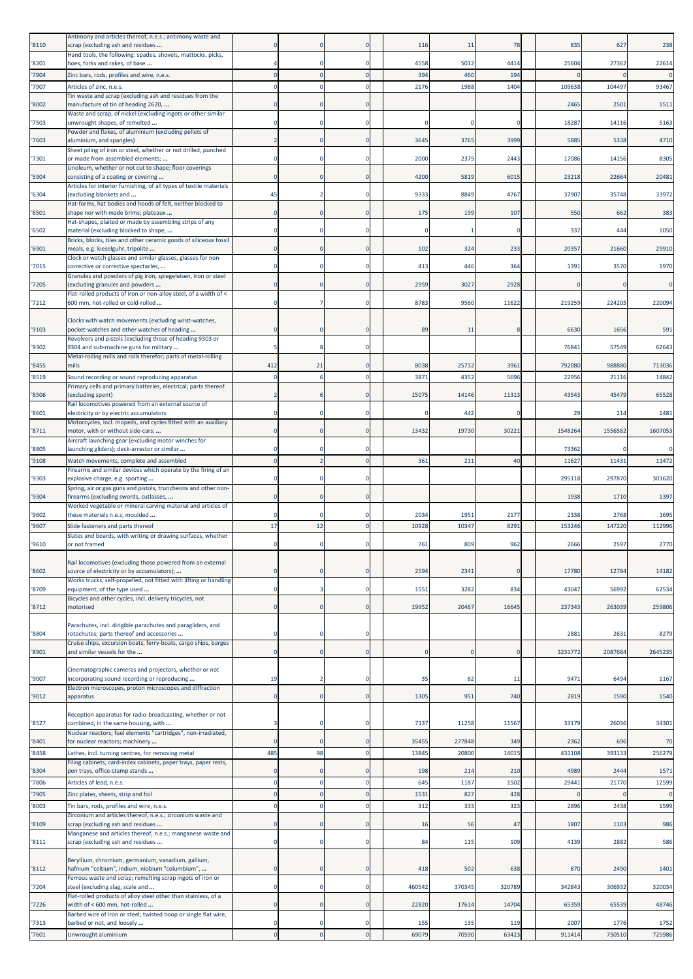| '8110          | Antimony and articles thereof, n.e.s.; antimony waste and<br>scrap (excluding ash and residues                   |              |          |               | 116           | 11           | 78             | 835            | 627            | 238            |
|----------------|------------------------------------------------------------------------------------------------------------------|--------------|----------|---------------|---------------|--------------|----------------|----------------|----------------|----------------|
| '8201          | Hand tools, the following: spades, shovels, mattocks, picks,                                                     |              |          | $\Omega$      | 4558          | 5012         | 4414           | 25604          | 27362          | 22614          |
| '7904          | hoes, forks and rakes, of base<br>Zinc bars, rods, profiles and wire, n.e.s.                                     | $\mathbf 0$  |          |               | 394           | 460          | 194            |                |                | $\Omega$       |
| '7907          | Articles of zinc, n.e.s.                                                                                         | $\mathbf 0$  |          | $\Omega$      | 2176          | 1988         | 1404           | 109638         | 104497         | 93467          |
| '8002          | Tin waste and scrap (excluding ash and residues from the<br>manufacture of tin of heading 2620,                  | $\Omega$     |          | $\Omega$      |               |              |                | 2465           | 2501           | 1511           |
| '7503          | Waste and scrap, of nickel (excluding ingots or other similar<br>unwrought shapes, of remelted                   | n            |          |               |               |              |                | 18287          | 14116          | 5163           |
| 7603           | Powder and flakes, of aluminium (excluding pellets of<br>aluminium, and spangles)                                | 2            |          |               | 3645          | 3765         | 3999           | 5885           | 5338           | 4710           |
| '7301          | Sheet piling of iron or steel, whether or not drilled, punched<br>or made from assembled elements;               | $\Omega$     |          |               | 2000          | 2375         | 2443           | 17086          | 14156          | 8305           |
|                | Linoleum, whether or not cut to shape; floor coverings                                                           | $\mathbf 0$  |          | $\Omega$      | 4200          |              |                |                | 22664          | 20481          |
| '5904          | consisting of a coating or covering<br>Articles for interior furnishing, of all types of textile materials       |              |          |               |               | 5819         | 6015           | 23218          |                |                |
| '6304          | (excluding blankets and<br>Hat-forms, hat bodies and hoods of felt, neither blocked to                           | 45           |          | $\Omega$      | 9333          | 8849         | 4767           | 37907          | 35748          | 33972          |
| '6501          | shape nor with made brims; plateaux<br>Hat-shapes, plaited or made by assembling strips of any                   | $\Omega$     |          | $\Omega$      | 175           | 199          | 107            | 550            | 662            | 383            |
| '6502          | material (excluding blocked to shape,<br>Bricks, blocks, tiles and other ceramic goods of siliceous fossil       | n            |          | $\Omega$      |               |              |                | 337            | 444            | 1050           |
| '6901          | meals, e.g. kieselguhr, tripolite<br>Clock or watch glasses and similar glasses, glasses for non-                | $\Omega$     |          |               | 102           | 324          | 233            | 20357          | 21660          | 29910          |
| '7015          | corrective or corrective spectacles,                                                                             | $\Omega$     |          | 0             | 413           | 446          | 364            | 1391           | 3570           | 1970           |
| '7205          | Granules and powders of pig iron, spiegeleisen, iron or steel<br>excluding granules and powders                  | $\Omega$     |          | $\Omega$      | 2959          | 3027         | 2928           |                |                | $\Omega$       |
| '7212          | Flat-rolled products of iron or non-alloy steel, of a width of <<br>600 mm, hot-rolled or cold-rolled            | 0            |          | 0             | 8783          | 9560         | 11622          | 219259         | 224205         | 220094         |
|                | Clocks with watch movements (excluding wrist-watches,                                                            |              |          |               |               |              |                |                |                |                |
| '9103          | pocket-watches and other watches of heading<br>Revolvers and pistols (excluding those of heading 9303 or         | $\Omega$     |          | $\Omega$      | 89            | 11           | ۶              | 6630           | 1656           | 591            |
| '9302          | 9304 and sub-machine guns for military<br>Metal-rolling mills and rolls therefor; parts of metal-rolling         | -5           |          | -0            |               |              |                | 76841          | 57549          | 62643          |
| '8455          | mills                                                                                                            | 412          | 21       | $\Omega$      | 8038          | 25732        | 3961           | 792080         | 988880         | 713036         |
| '8519          | Sound recording or sound reproducing apparatus<br>Primary cells and primary batteries, electrical; parts thereof | $\Omega$     |          | $\Omega$      | 3871          | 4352         | 5696           | 22956          | 21116          | 14842          |
| '8506          | (excluding spent)                                                                                                |              |          |               | 15075         | 14146        | 11313          | 43543          | 45479          | 65528          |
| '8601          | Rail locomotives powered from an external source of<br>electricity or by electric accumulators                   | $\Omega$     |          | 0             |               | 442          | C              | 29             | 214            | 1481           |
| '8711          | Motorcycles, incl. mopeds, and cycles fitted with an auxiliary<br>motor, with or without side-cars;              | $\Omega$     |          | $\Omega$      | 13432         | 19730        | 30221          | 1548264        | 1556582        | 1607053        |
| '8805          | Aircraft launching gear (excluding motor winches for<br>launching gliders); deck-arrestor or similar             | 0            |          |               |               |              |                | 73362          |                | 0              |
| '9108          | Watch movements, complete and assembled                                                                          | $\Omega$     |          | $\Omega$      | 361           | 211          | 40             | 11627          | 11431          | 11472          |
| '9303          | Firearms and similar devices which operate by the firing of an<br>explosive charge, e.g. sporting                |              |          |               |               |              |                | 295118         | 297870         | 301620         |
| '9304          | Spring, air or gas guns and pistols, truncheons and other non-<br>firearms (excluding swords, cutlasses,         | $\Omega$     |          | $\Omega$      |               |              |                | 1938           | 1710           | 1397           |
|                | Worked vegetable or mineral carving material and articles of                                                     |              |          |               |               |              |                |                |                |                |
| '9602<br>'9607 | these materials n.e.s; moulded<br>Slide fasteners and parts thereof                                              | 17           | 12       | 0<br>$\Omega$ | 2034<br>10928 | 195<br>10347 | 2177<br>8291   | 2338<br>153246 | 2768<br>147220 | 1695<br>112996 |
|                | Slates and boards, with writing or drawing surfaces, whether                                                     |              |          |               |               |              |                |                |                |                |
| '9610          | or not framed                                                                                                    |              |          |               | 761           | 809          | 962            | 2666           | 2597           | 2770           |
| '8602          | Rail locomotives (excluding those powered from an external<br>source of electricity or by accumulators);         | 0            |          | $\Omega$      | 2594          | 2341         |                | 17780          | 12784          | 14182          |
| '8709          | Works trucks, self-propelled, not fitted with lifting or handling<br>equipment, of the type used                 | $\mathbf 0$  |          | $\Omega$      | 1551          | 3282         | 834            | 43047          | 56992          | 62534          |
| '8712          | Bicycles and other cycles, incl. delivery tricycles, not<br>motorised                                            | $\Omega$     |          | $\Omega$      | 19952         | 20467        | 16645          | 237343         | 263039         | 259806         |
|                | Parachutes, incl. dirigible parachutes and paragliders, and                                                      |              |          |               |               |              |                |                |                |                |
| '8804          | rotochutes; parts thereof and accessories<br>Cruise ships, excursion boats, ferry-boats, cargo ships, barges     | 0            |          | $\Omega$      |               |              |                | 2881           | 2631           | 8279           |
| '8901          | and similar vessels for the                                                                                      | $\mathbf 0$  |          | $\mathbf{0}$  |               | $\Omega$     | $\mathfrak{c}$ | 3231772        | 2087684        | 2645235        |
| '9007          | Cinematographic cameras and projectors, whether or not<br>ncorporating sound recording or reproducing            | 19           |          | $\mathbf 0$   | 35            | 62           | 11             | 9471           | 6494           | 1167           |
|                | Electron microscopes, proton microscopes and diffraction                                                         |              |          |               |               |              |                |                |                |                |
| '9012          | apparatus                                                                                                        | $\mathbf 0$  | $\Omega$ | $\mathbf 0$   | 1305          | 951          | 740            | 2819           | 1590           | 1540           |
| '8527          | Reception apparatus for radio-broadcasting, whether or not<br>combined, in the same housing, with                | 3            |          | $\Omega$      | 7137          | 11258        | 11567          | 33179          | 26036          | 34301          |
| '8401          | Nuclear reactors; fuel elements "cartridges", non-irradiated,<br>for nuclear reactors; machinery                 | $\Omega$     |          | $\Omega$      | 35455         | 277848       | 349            | 2362           | 696            | 70             |
| '8458          | Lathes, incl. turning centres, for removing metal                                                                | 485          | 98       | $\Omega$      | 13845         | 20800        | 14015          | 431108         | 393133         | 256279         |
| '8304          | Filing cabinets, card-index cabinets, paper trays, paper rests,<br>pen trays, office-stamp stands                | $\Omega$     |          |               | 198           | 214          | 210            | 4989           | 2444           | 1571           |
| '7806          | Articles of lead, n.e.s.                                                                                         | $\mathbf 0$  |          | 0             | 645           | 1187         | 1502           | 29441          | 21770          | 12599          |
| '7905          | Zinc plates, sheets, strip and foil                                                                              | $\mathbf{0}$ |          |               | 1531          | 827          | 428            |                |                | $\mathbf 0$    |
| '8003          | Tin bars, rods, profiles and wire, n.e.s.                                                                        | $\Omega$     |          | $\Omega$      | 312           | 333          | 323            | 2896           | 2438           | 1599           |
| '8109          | Zirconium and articles thereof, n.e.s.; zirconium waste and<br>scrap (excluding ash and residues                 | $\mathbf 0$  |          | 0             | 16            | 56           | 47             | 1807           | 1103           | 986            |
| '8111          | Manganese and articles thereof, n.e.s.; manganese waste and<br>scrap (excluding ash and residues                 | $\Omega$     |          | $\Omega$      | 84            | 115          | 109            | 4139           | 2882           | 586            |
|                | Beryllium, chromium, germanium, vanadium, gallium,                                                               |              |          |               |               |              |                |                |                |                |
| '8112          | nafnium "celtium", indium, niobium "columbium",<br>Ferrous waste and scrap; remelting scrap ingots of iron or    | 0            |          |               | 418           | 502          | 638            | 870            | 2490           | 1401           |
| '7204          | steel (excluding slag, scale and<br>Flat-rolled products of alloy steel other than stainless, of a               | $\mathbf 0$  |          | 0             | 460542        | 370345       | 320789         | 342843         | 306932         | 320034         |
| '7226          | width of < 600 mm, hot-rolled                                                                                    | $\mathbf 0$  |          | $\Omega$      | 22820         | 17614        | 14704          | 65359          | 65539          | 48746          |
| '7313          | Barbed wire of iron or steel; twisted hoop or single flat wire,<br>barbed or not, and loosely                    | $\mathbf 0$  |          | -0            | 155           | 135          | 119            | 2007           | 1776           | 1752           |
| '7601          | Unwrought aluminium                                                                                              | $\Omega$     |          |               | 69079         | 70590        | 63423          | 911414         | 750510         | 725986         |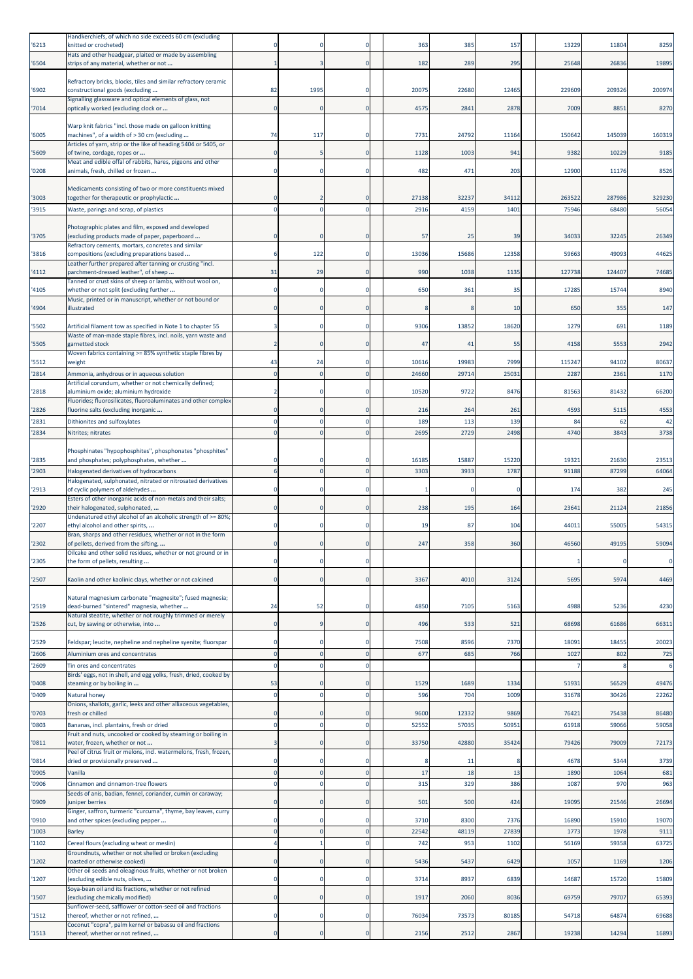|                | Handkerchiefs, of which no side exceeds 60 cm (excluding                                                 |                         |      |                      |       |       |       |        |          |        |
|----------------|----------------------------------------------------------------------------------------------------------|-------------------------|------|----------------------|-------|-------|-------|--------|----------|--------|
| '6213          | knitted or crocheted)<br>Hats and other headgear, plaited or made by assembling                          |                         |      |                      | 363   | 385   | 157   | 13229  | 11804    | 8259   |
| '6504          | strips of any material, whether or not                                                                   |                         |      | 0                    | 182   | 289   | 295   | 25648  | 26836    | 19895  |
|                |                                                                                                          |                         |      |                      |       |       |       |        |          |        |
| '6902          | Refractory bricks, blocks, tiles and similar refractory ceramic<br>constructional goods (excluding       | 82                      | 1995 | $\Omega$             | 20075 | 22680 | 12465 | 229609 | 209326   | 200974 |
|                | Signalling glassware and optical elements of glass, not                                                  |                         |      |                      |       |       |       |        |          |        |
| '7014          | optically worked (excluding clock or                                                                     | O                       |      | $\Omega$             | 4575  | 2841  | 2878  | 7009   | 8851     | 8270   |
|                | Warp knit fabrics "incl. those made on galloon knitting                                                  |                         |      |                      |       |       |       |        |          |        |
| '6005          | machines", of a width of > 30 cm (excluding                                                              | 74                      | 117  |                      | 7731  | 24792 | 11164 | 15064  | 145039   | 160319 |
|                | Articles of yarn, strip or the like of heading 5404 or 5405, or                                          |                         |      |                      |       |       |       |        |          |        |
| '5609          | of twine, cordage, ropes or<br>Meat and edible offal of rabbits, hares, pigeons and other                | $\Omega$                |      | $\mathbf{0}$         | 1128  | 1003  | 941   | 9382   | 10229    | 9185   |
| '0208          | animals, fresh, chilled or frozen                                                                        |                         |      |                      | 482   | 471   | 203   | 12900  | 11176    | 8526   |
|                |                                                                                                          |                         |      |                      |       |       |       |        |          |        |
| '3003          | Medicaments consisting of two or more constituents mixed<br>together for therapeutic or prophylactic     | O                       |      |                      | 27138 | 32237 | 34112 | 263522 | 287986   | 329230 |
| '3915          | Waste, parings and scrap, of plastics                                                                    |                         |      |                      | 2916  | 4159  | 1401  | 7594   | 68480    | 56054  |
|                |                                                                                                          |                         |      |                      |       |       |       |        |          |        |
|                | Photographic plates and film, exposed and developed                                                      |                         |      |                      |       |       |       |        |          |        |
| '3705          | excluding products made of paper, paperboard<br>Refractory cements, mortars, concretes and similar       |                         |      |                      | 57    | 25    | 39    | 3403   | 32245    | 26349  |
| '3816          | compositions (excluding preparations based                                                               |                         | 122  | $\Omega$             | 13036 | 15686 | 12358 | 59663  | 49093    | 44625  |
|                | Leather further prepared after tanning or crusting "incl.                                                |                         |      |                      |       |       |       |        |          |        |
| '4112          | parchment-dressed leather", of sheep<br>Tanned or crust skins of sheep or lambs, without wool on,        | 31                      | 29   |                      | 990   | 1038  | 1135  | 127738 | 124407   | 74685  |
| '4105          | whether or not split (excluding further                                                                  | $\Omega$                |      | $\Omega$             | 650   | 361   | 35    | 1728   | 15744    | 8940   |
|                | Music, printed or in manuscript, whether or not bound or                                                 |                         |      |                      |       |       |       |        |          |        |
| '4904          | illustrated                                                                                              | $\Omega$                |      | $\mathbf 0$          |       |       | 10    | 650    | 355      | 147    |
| '5502          | Artificial filament tow as specified in Note 1 to chapter 55                                             |                         |      | 0                    | 9306  | 13852 | 18620 | 1279   | 691      | 1189   |
|                | Waste of man-made staple fibres, incl. noils, yarn waste and                                             |                         |      |                      |       |       |       |        |          |        |
| '5505          | garnetted stock<br>Woven fabrics containing >= 85% synthetic staple fibres by                            | $\overline{2}$          |      | $\Omega$             | 47    | 41    | 55    | 4158   | 5553     | 2942   |
| '5512          | weight                                                                                                   | 43                      | 24   | $\Omega$             | 10616 | 19983 | 7999  | 115247 | 94102    | 80637  |
| '2814          | Ammonia, anhydrous or in aqueous solution                                                                | $\mathbf{0}$            |      | $\Omega$             | 24660 | 29714 | 25031 | 2287   | 2361     | 1170   |
|                | Artificial corundum, whether or not chemically defined;                                                  |                         |      |                      |       |       |       |        |          |        |
| '2818          | aluminium oxide; aluminium hydroxide<br>Fluorides; fluorosilicates, fluoroaluminates and other complex   |                         |      | -0                   | 10520 | 9722  | 8476  | 81563  | 81432    | 66200  |
| '2826          | fluorine salts (excluding inorganic                                                                      | 0                       |      | $\Omega$             | 216   | 264   | 261   | 4593   | 5115     | 4553   |
| '2831          | Dithionites and sulfoxylates                                                                             | $\Omega$                |      | $\mathbf{0}$         | 189   | 113   | 139   |        | 84<br>62 | 42     |
| '2834          | Nitrites; nitrates                                                                                       | $\Omega$                |      | $\Omega$             | 2695  | 2729  | 2498  | 4740   | 3843     | 3738   |
|                |                                                                                                          |                         |      |                      |       |       |       |        |          |        |
| '2835          | Phosphinates "hypophosphites", phosphonates "phosphites"<br>and phosphates; polyphosphates, whether      |                         |      |                      | 16185 | 15887 | 15220 | 1932:  | 21630    | 23513  |
| '2903          | Halogenated derivatives of hydrocarbons                                                                  | 6                       |      |                      | 3303  | 3933  | 1787  | 91188  | 87299    | 64064  |
|                | Halogenated, sulphonated, nitrated or nitrosated derivatives                                             |                         |      |                      |       |       |       |        |          |        |
| '2913          | of cyclic polymers of aldehydes                                                                          |                         |      | -0                   |       | -0    | -C    | 174    | 382      | 245    |
| '2920          | Esters of other inorganic acids of non-metals and their salts;<br>their halogenated, sulphonated,        |                         |      | $\mathbf 0$          | 238   | 195   | 164   | 2364   | 21124    | 21856  |
|                | Undenatured ethyl alcohol of an alcoholic strength of >= 80%;                                            |                         |      |                      |       |       |       |        |          |        |
| '2207          | ethyl alcohol and other spirits,                                                                         |                         |      | $\Omega$             | 19    | 87    | 104   | 4401   | 55005    | 54315  |
| '2302          | Bran, sharps and other residues, whether or not in the form<br>of pellets, derived from the sifting,     |                         |      | $\Omega$             | 247   | 358   | 360   | 46560  | 49195    | 59094  |
|                | Oilcake and other solid residues, whether or not ground or in                                            |                         |      |                      |       |       |       |        |          |        |
| '2305          | the form of pellets, resulting                                                                           |                         |      |                      |       |       |       |        |          | 0      |
| '2507          | Kaolin and other kaolinic clays, whether or not calcined                                                 | $\mathbf 0$             |      | $\Omega$             | 3367  | 4010  | 3124  | 5695   | 5974     | 4469   |
|                |                                                                                                          |                         |      |                      |       |       |       |        |          |        |
|                | Natural magnesium carbonate "magnesite"; fused magnesia;                                                 |                         |      |                      |       |       |       |        |          |        |
| '2519          | dead-burned "sintered" magnesia, whether<br>Natural steatite, whether or not roughly trimmed or merely   | 24                      | 52   | $\Omega$             | 4850  | 7105  | 5163  | 4988   | 5236     | 4230   |
| '2526          | cut, by sawing or otherwise, into                                                                        | 0                       |      | $\Omega$             | 496   | 533   | 521   | 68698  | 61686    | 66311  |
|                |                                                                                                          |                         |      |                      |       |       |       |        |          |        |
| '2529          | Feldspar; leucite, nepheline and nepheline syenite; fluorspar                                            | $\Omega$                |      | 0                    | 7508  | 8596  | 7370  | 1809:  | 18455    | 20023  |
| '2606          | Aluminium ores and concentrates                                                                          | $\mathbf 0$<br>$\Omega$ |      | $\Omega$<br>$\Omega$ | 677   | 685   | 766   | 102    | 802      | 725    |
| '2609          | Tin ores and concentrates<br>Birds' eggs, not in shell, and egg yolks, fresh, dried, cooked by           |                         |      |                      |       |       |       |        |          | 6      |
| '0408          | steaming or by boiling in                                                                                | 53                      |      |                      | 1529  | 1689  | 1334  | 51931  | 56529    | 49476  |
| '0409          | Natural honey                                                                                            | $\mathbf 0$             |      | $\Omega$             | 596   | 704   | 1009  | 31678  | 30426    | 22262  |
| '0703          | Onions, shallots, garlic, leeks and other alliaceous vegetables,<br>fresh or chilled                     | 0                       |      | $\Omega$             | 9600  | 12332 | 9869  | 7642   | 75438    | 86480  |
|                |                                                                                                          | O                       |      | $\Omega$             |       |       |       |        |          |        |
| '0803          | Bananas, incl. plantains, fresh or dried<br>Fruit and nuts, uncooked or cooked by steaming or boiling in |                         |      |                      | 52552 | 57035 | 50951 | 6191   | 59066    | 59058  |
| '0811          | water, frozen, whether or not                                                                            |                         |      | $\Omega$             | 33750 | 42880 | 35424 | 79426  | 79009    | 72173  |
| '0814          | Peel of citrus fruit or melons, incl. watermelons, fresh, frozen<br>dried or provisionally preserved     | $\Omega$                |      | $\Omega$             |       | 11    | -8    | 4678   | 5344     | 3739   |
|                | Vanilla                                                                                                  | $\overline{0}$          |      | $\mathbf{0}$         | 17    | 18    | 13    | 1890   | 1064     | 681    |
| '0905<br>'0906 | Cinnamon and cinnamon-tree flowers                                                                       | $\Omega$                |      | $\Omega$             | 315   | 329   | 386   | 1087   | 970      | 963    |
|                | Seeds of anis, badian, fennel, coriander, cumin or caraway;                                              |                         |      |                      |       |       |       |        |          |        |
| '0909          | juniper berries                                                                                          |                         |      | $\Omega$             | 501   | 500   | 424   | 19095  | 21546    | 26694  |
| '0910          | Ginger, saffron, turmeric "curcuma", thyme, bay leaves, curry<br>and other spices (excluding pepper      | 0                       |      | 0                    | 3710  | 8300  | 7376  | 16890  | 15910    | 19070  |
| '1003          | <b>Barley</b>                                                                                            | $\Omega$                |      | $\Omega$             | 22542 | 48119 | 27839 | 1773   | 1978     | 9111   |
| '1102          | Cereal flours (excluding wheat or meslin)                                                                | Δ                       |      | $\Omega$             | 742   | 953   | 1102  | 56169  | 59358    | 63725  |
|                | Groundnuts, whether or not shelled or broken (excluding                                                  |                         |      |                      |       |       |       |        |          |        |
| '1202          | roasted or otherwise cooked)                                                                             | O                       |      |                      | 5436  | 5437  | 6429  | 1057   | 1169     | 1206   |
| '1207          | Other oil seeds and oleaginous fruits, whether or not broken<br>(excluding edible nuts, olives,          | $\Omega$                |      | $\Omega$             | 3714  | 8937  | 6839  | 1468   | 15720    | 15809  |
|                | Soya-bean oil and its fractions, whether or not refined                                                  |                         |      |                      |       |       |       |        |          |        |
| '1507          | excluding chemically modified)                                                                           | $\Omega$                |      | $\mathbf{0}$         | 1917  | 2060  | 8036  | 69759  | 79707    | 65393  |
| '1512          | Sunflower-seed, safflower or cotton-seed oil and fractions<br>thereof, whether or not refined,           | 0                       |      | 0                    | 76034 | 73573 | 80185 | 54718  | 64874    | 69688  |
|                | Coconut "copra", palm kernel or babassu oil and fractions                                                |                         |      |                      |       |       |       |        |          |        |
| '1513          | thereof, whether or not refined,                                                                         | $\Omega$                |      | $\Omega$             | 2156  | 2512  | 2867  | 19238  | 14294    | 16893  |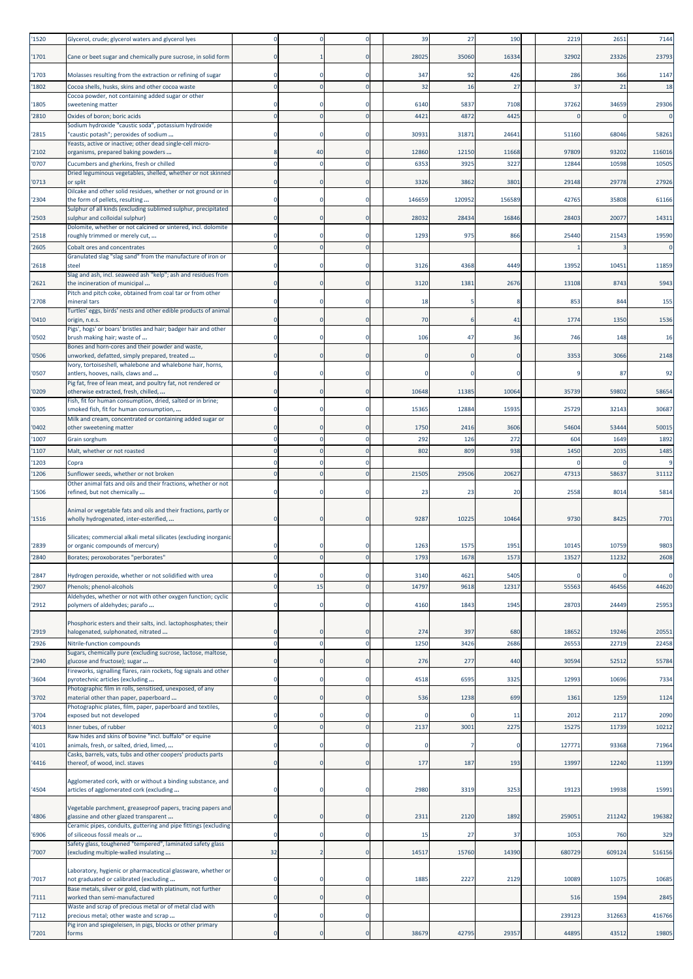| '1520          | Glycerol, crude; glycerol waters and glycerol lyes                                                              | n                          |    |             | 39           | 27           | 190          | 2219      | 2651      | 7144                   |
|----------------|-----------------------------------------------------------------------------------------------------------------|----------------------------|----|-------------|--------------|--------------|--------------|-----------|-----------|------------------------|
| '1701          | Cane or beet sugar and chemically pure sucrose, in solid form                                                   | $\mathbf 0$                |    | $\Omega$    | 28025        | 35060        | 16334        | 32902     | 23326     | 23793                  |
|                |                                                                                                                 |                            |    |             |              |              |              |           |           |                        |
| '1703<br>'1802 | Molasses resulting from the extraction or refining of sugar<br>Cocoa shells, husks, skins and other cocoa waste | $\Omega$<br>$\mathbf 0$    |    | $\Omega$    | 347<br>32    | 92<br>16     | 426<br>27    | 286<br>37 | 366<br>21 | 1147<br>18             |
|                | Cocoa powder, not containing added sugar or other                                                               |                            |    |             |              |              |              |           |           |                        |
| '1805<br>'2810 | sweetening matter<br>Oxides of boron; boric acids                                                               | O<br>$\mathbf{0}$          |    | $\Omega$    | 6140<br>4421 | 5837<br>4872 | 7108<br>4425 | 37262     | 34659     | 29306<br>$\mathbf 0$   |
|                | Sodium hydroxide "caustic soda", potassium hydroxide                                                            |                            |    |             |              |              |              |           |           |                        |
| '2815          | 'caustic potash"; peroxides of sodium<br>Yeasts, active or inactive; other dead single-cell micro-              | $\Omega$                   |    |             | 30931        | 31871        | 24641        | 51160     | 68046     | 58261                  |
| '2102          | organisms, prepared baking powders                                                                              | 8                          | 40 | $\Omega$    | 12860        | 12150        | 11668        | 97809     | 93202     | 116016                 |
| '0707          | Cucumbers and gherkins, fresh or chilled<br>Dried leguminous vegetables, shelled, whether or not skinned        | $\mathbf 0$                |    |             | 6353         | 3925         | 3227         | 12844     | 10598     | 10505                  |
| '0713          | or split                                                                                                        | $\Omega$                   |    | $\Omega$    | 3326         | 3862         | 3801         | 29148     | 29778     | 27926                  |
| '2304          | Oilcake and other solid residues, whether or not ground or in<br>the form of pellets, resulting                 | $\mathbf 0$                |    | 0           | 146659       | 120952       | 156589       | 42765     | 35808     | 61166                  |
| '2503          | Sulphur of all kinds (excluding sublimed sulphur, precipitated<br>sulphur and colloidal sulphur)                | $\mathbf 0$                |    | $\Omega$    | 28032        | 28434        | 16846        | 28403     | 20077     | 14311                  |
| '2518          | Dolomite, whether or not calcined or sintered, incl. dolomite<br>roughly trimmed or merely cut,                 | $\Omega$                   |    | $\Omega$    | 1293         | 975          | 866          | 25440     | 21543     | 19590                  |
| '2605          | Cobalt ores and concentrates                                                                                    | $\mathbf 0$                |    |             |              |              |              |           |           | $\mathbf 0$            |
| '2618          | Granulated slag "slag sand" from the manufacture of iron or<br>steel                                            | $\Omega$                   |    |             | 3126         | 4368         | 4449         | 13952     | 10451     | 11859                  |
|                | Slag and ash, incl. seaweed ash "kelp"; ash and residues from                                                   |                            |    |             |              |              |              |           |           |                        |
| '2621          | the incineration of municipal<br>Pitch and pitch coke, obtained from coal tar or from other                     | $\mathbf 0$                |    | $\Omega$    | 3120         | 138          | 2676         | 13108     | 8743      | 5943                   |
| '2708          | mineral tars                                                                                                    | $\mathbf 0$                |    |             | 18           |              |              | 853       | 844       | 155                    |
| '0410          | Turtles' eggs, birds' nests and other edible products of animal<br>origin, n.e.s.                               | $\mathbf 0$                |    | $\Omega$    | 70           |              | 41           | 1774      | 1350      | 1536                   |
|                | Pigs', hogs' or boars' bristles and hair; badger hair and other                                                 |                            |    |             |              |              |              |           |           |                        |
| '0502          | brush making hair; waste of<br>Bones and horn-cores and their powder and waste,                                 | 0                          |    |             | 106          | 47           | 36           | 746       | 148       | 16                     |
| '0506          | unworked, defatted, simply prepared, treated<br>Ivory, tortoiseshell, whalebone and whalebone hair, horns,      | $\mathbf 0$                |    | 0           |              |              |              | 3353      | 3066      | 2148                   |
| '0507          | antlers, hooves, nails, claws and                                                                               | $\Omega$                   |    | 0           |              |              |              |           | 87        | 92                     |
| '0209          | Pig fat, free of lean meat, and poultry fat, not rendered or<br>otherwise extracted, fresh, chilled,            | $\mathbf 0$                |    | $\Omega$    | 10648        | 11385        | 10064        | 35739     | 59802     | 58654                  |
|                | Fish, fit for human consumption, dried, salted or in brine;                                                     |                            |    |             |              |              |              |           |           |                        |
| '0305          | smoked fish, fit for human consumption,<br>Milk and cream, concentrated or containing added sugar or            | 0                          |    | $\Omega$    | 15365        | 12884        | 15935        | 25729     | 32143     | 30687                  |
| '0402          | other sweetening matter                                                                                         | $\Omega$                   |    |             | 1750         | 2416         | 3606         | 54604     | 53444     | 50015                  |
| '1007          | Grain sorghum                                                                                                   | $\Omega$                   |    | $\Omega$    | 292          | 126          | 272          | 604       | 1649      | 1892                   |
| '1107<br>'1203 | Malt, whether or not roasted<br>Copra                                                                           | $\mathbf 0$<br>$\mathbf 0$ |    |             | 802          | 809          | 938          | 1450      | 2035      | 1485<br>$\overline{9}$ |
| '1206          | Sunflower seeds, whether or not broken                                                                          | $\overline{0}$             |    |             | 21505        | 29506        | 20627        | 47313     | 58637     | 31112                  |
| '1506          | Other animal fats and oils and their fractions, whether or not<br>refined, but not chemically                   | $\Omega$                   |    |             | 23           | 23           | 20           | 2558      | 8014      | 5814                   |
|                |                                                                                                                 |                            |    |             |              |              |              |           |           |                        |
| '1516          | Animal or vegetable fats and oils and their fractions, partly or<br>wholly hydrogenated, inter-esterified,      |                            |    |             | 9287         | 10225        | 10464        | 9730      | 8425      | 7701                   |
|                | Silicates; commercial alkali metal silicates (excluding inorganic                                               |                            |    |             |              |              |              |           |           |                        |
| '2839          | or organic compounds of mercury)                                                                                |                            |    |             | 1263         | 1575         | 1951         | 10145     | 10759     | 9803                   |
| '2840          | Borates; peroxoborates "perborates"                                                                             | 0                          |    |             | 1793         | 1678         | 1573         | 13527     | 11232     | 2608                   |
| '2847          | Hydrogen peroxide, whether or not solidified with urea                                                          | $\mathbf 0$                |    | $\Omega$    | 3140         | 4621         | 5405         |           |           | $\mathbf 0$            |
| '2907          | Phenols; phenol-alcohols<br>Aldehydes, whether or not with other oxygen function; cyclic                        | $\mathbf 0$                | 15 | $\mathbf 0$ | 14797        | 9618         | 12317        | 55563     | 46456     | 44620                  |
| '2912          | polymers of aldehydes; parafo                                                                                   | $\mathbf 0$                |    | $\mathbf 0$ | 4160         | 1843         | 1945         | 28703     | 24449     | 25953                  |
|                | Phosphoric esters and their salts, incl. lactophosphates; their                                                 |                            |    |             |              |              |              |           |           |                        |
| '2919          | halogenated, sulphonated, nitrated                                                                              | $\mathbf 0$                |    | $\Omega$    | 274          | 397          | 680          | 18652     | 19246     | 20551                  |
| '2926          | Nitrile-function compounds<br>Sugars, chemically pure (excluding sucrose, lactose, maltose,                     | $\mathbf 0$                |    | $\mathbf 0$ | 1250         | 3426         | 2686         | 26553     | 22719     | 22458                  |
| '2940          | glucose and fructose); sugar                                                                                    | $\Omega$                   |    | $\Omega$    | 276          | 277          | 440          | 30594     | 52512     | 55784                  |
| '3604          | Fireworks, signalling flares, rain rockets, fog signals and other<br>oyrotechnic articles (excluding            | 0                          |    | $\Omega$    | 4518         | 6595         | 3325         | 12993     | 10696     | 7334                   |
|                | Photographic film in rolls, sensitised, unexposed, of any                                                       |                            |    |             |              |              |              |           |           |                        |
| '3702          | material other than paper, paperboard<br>Photographic plates, film, paper, paperboard and textiles,             | $\mathbf 0$                |    | 0           | 536          | 1238         | 699          | 1361      | 1259      | 1124                   |
| '3704          | exposed but not developed                                                                                       | $\mathbf 0$                |    | $\mathbf 0$ |              |              | 11           | 2012      | 2117      | 2090                   |
| '4013          | Inner tubes, of rubber<br>Raw hides and skins of bovine "incl. buffalo" or equine                               | $\mathbf 0$                |    | $\Omega$    | 2137         | 3001         | 2275         | 15275     | 11739     | 10212                  |
| '4101          | animals, fresh, or salted, dried, limed,                                                                        | $\Omega$                   |    | $\mathbf 0$ |              |              |              | 127771    | 93368     | 71964                  |
| '4416          | Casks, barrels, vats, tubs and other coopers' products parts<br>thereof, of wood, incl. staves                  | $\mathbf 0$                |    | $\Omega$    | 177          | 187          | 193          | 13997     | 12240     | 11399                  |
|                | Agglomerated cork, with or without a binding substance, and                                                     |                            |    |             |              |              |              |           |           |                        |
| '4504          | articles of agglomerated cork (excluding                                                                        | $\mathbf 0$                |    | $\mathbf 0$ | 2980         | 3319         | 3253         | 19123     | 19938     | 15991                  |
|                | Vegetable parchment, greaseproof papers, tracing papers and                                                     |                            |    |             |              |              |              |           |           |                        |
| '4806          | glassine and other glazed transparent                                                                           | $\mathbf 0$                |    | $\mathbf 0$ | 2311         | 2120         | 1892         | 259051    | 211242    | 196382                 |
| '6906          | Ceramic pipes, conduits, guttering and pipe fittings (excluding<br>of siliceous fossil meals or                 | $\mathbf 0$                |    | $\mathbf 0$ | 15           | 27           | 37           | 1053      | 760       | 329                    |
|                | Safety glass, toughened "tempered", laminated safety glass                                                      | 32                         |    | $\mathbf 0$ |              |              | 14390        |           |           |                        |
| 7007           | (excluding multiple-walled insulating                                                                           |                            |    |             | 14517        | 15760        |              | 680729    | 609124    | 516156                 |
| '7017          | Laboratory, hygienic or pharmaceutical glassware, whether or<br>not graduated or calibrated (excluding          | $\mathbf 0$                |    | 0           | 1885         | 2227         | 2129         | 10089     | 11075     | 10685                  |
|                | Base metals, silver or gold, clad with platinum, not further                                                    |                            |    |             |              |              |              |           |           |                        |
| '7111          | worked than semi-manufactured<br>Waste and scrap of precious metal or of metal clad with                        | $\mathbf 0$                |    | $\mathbf 0$ |              |              |              | 516       | 1594      | 2845                   |
| 7112           | precious metal; other waste and scrap                                                                           | $\mathbf 0$                |    | $\Omega$    |              |              |              | 239123    | 312663    | 416766                 |
| '7201          | Pig iron and spiegeleisen, in pigs, blocks or other primary<br>forms                                            | $\overline{0}$             |    | $\mathbf 0$ | 38679        | 42795        | 29357        | 44895     | 43512     | 19805                  |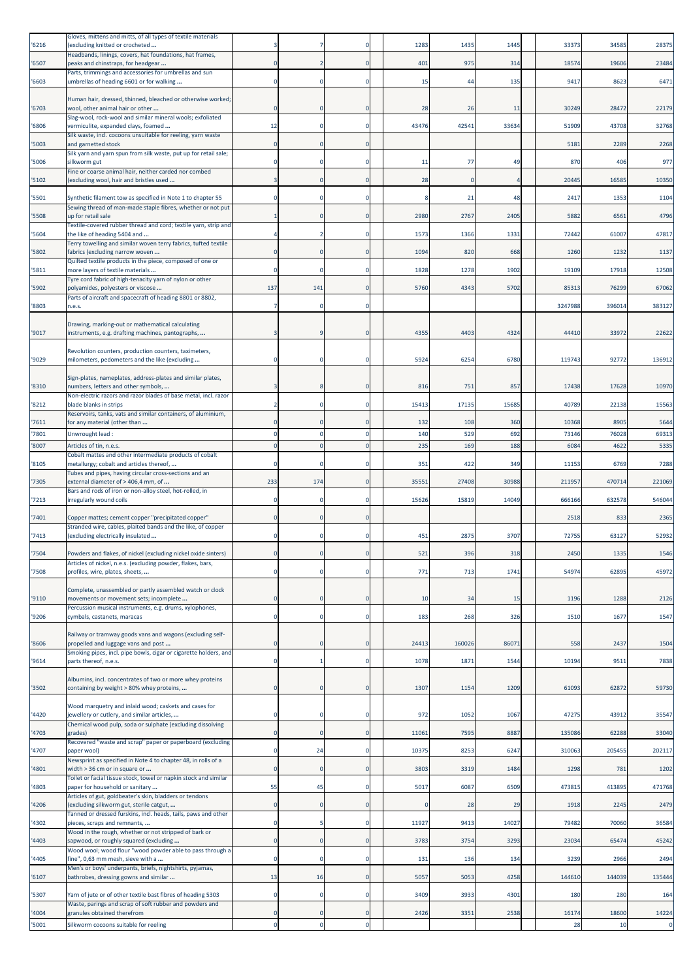| '6216 | Gloves, mittens and mitts, of all types of textile materials<br>(excluding knitted or crocheted            |                         |     |                | 1283  | 1435     | 1445  | 33373   | 34585  | 28375       |
|-------|------------------------------------------------------------------------------------------------------------|-------------------------|-----|----------------|-------|----------|-------|---------|--------|-------------|
| '6507 | Headbands, linings, covers, hat foundations, hat frames,<br>peaks and chinstraps, for headgear             | $\Omega$                |     | C              | 401   | 975      | 314   | 18574   | 19606  | 23484       |
| '6603 | Parts, trimmings and accessories for umbrellas and sun<br>umbrellas of heading 6601 or for walking         | 0                       |     |                | 15    | 44       | 135   | 9417    | 8623   | 6471        |
|       |                                                                                                            |                         |     |                |       |          |       |         |        |             |
| '6703 | Human hair, dressed, thinned, bleached or otherwise worked;<br>wool, other animal hair or other            | $\Omega$                |     | $\mathsf{C}$   | 28    | 26       | 11    | 30249   | 28472  | 22179       |
| '6806 | Slag-wool, rock-wool and similar mineral wools; exfoliated<br>vermiculite, expanded clays, foamed          | 12                      |     | C              | 43476 | 42541    | 33634 | 51909   | 43708  | 32768       |
| '5003 | Silk waste, incl. cocoons unsuitable for reeling, yarn waste<br>and garnetted stock                        | $\Omega$                |     |                |       |          |       | 5181    | 2289   | 2268        |
| '5006 | Silk yarn and yarn spun from silk waste, put up for retail sale;<br>silkworm gut                           | $\Omega$                |     | C              | 11    | 77       | 49    | 870     | 406    | 977         |
| '5102 | Fine or coarse animal hair, neither carded nor combed<br>(excluding wool, hair and bristles used           |                         |     | $\mathsf{C}$   | 28    | $\Omega$ |       | 20445   | 16585  | 10350       |
|       | Synthetic filament tow as specified in Note 1 to chapter 55                                                |                         |     | C              |       | 21       | 48    | 2417    | 1353   | 1104        |
| '5501 | Sewing thread of man-made staple fibres, whether or not put                                                |                         |     |                |       |          |       |         |        |             |
| '5508 | up for retail sale<br>Textile-covered rubber thread and cord; textile yarn, strip and                      |                         |     | $\mathsf{C}$   | 2980  | 2767     | 2405  | 5882    | 6561   | 4796        |
| '5604 | the like of heading 5404 and<br>Terry towelling and similar woven terry fabrics, tufted textile            |                         |     |                | 1573  | 1366     | 1331  | 72442   | 61007  | 47817       |
| '5802 | fabrics (excluding narrow woven<br>Quilted textile products in the piece, composed of one or               | O                       |     | C              | 1094  | 820      | 668   | 1260    | 1232   | 1137        |
| '5811 | more layers of textile materials<br>Tyre cord fabric of high-tenacity yarn of nylon or other               | $\Omega$                |     | C              | 1828  | 1278     | 1902  | 19109   | 17918  | 12508       |
| '5902 | polyamides, polyesters or viscose                                                                          | 137                     | 141 | $\mathsf{C}$   | 5760  | 4343     | 5702  | 8531    | 76299  | 67062       |
| '8803 | Parts of aircraft and spacecraft of heading 8801 or 8802,<br>n.e.s.                                        | $\overline{7}$          |     | C              |       |          |       | 3247988 | 396014 | 383127      |
|       | Drawing, marking-out or mathematical calculating                                                           |                         |     |                |       |          |       |         |        |             |
| '9017 | nstruments, e.g. drafting machines, pantographs,                                                           |                         |     | $\mathsf{C}$   | 4355  | 4403     | 4324  | 44410   | 33972  | 22622       |
| '9029 | Revolution counters, production counters, taximeters,<br>milometers, pedometers and the like (excluding    |                         |     | C              | 5924  | 6254     | 6780  | 119743  | 92772  | 136912      |
|       | Sign-plates, nameplates, address-plates and similar plates,                                                |                         |     |                |       |          |       |         |        |             |
| '8310 | numbers, letters and other symbols,                                                                        |                         |     |                | 816   | 751      | 857   | 17438   | 17628  | 10970       |
| '8212 | Non-electric razors and razor blades of base metal, incl. razor<br>blade blanks in strips                  | $\overline{\mathbf{z}}$ |     | C              | 15413 | 17135    | 15685 | 40789   | 22138  | 15563       |
| '7611 | Reservoirs, tanks, vats and similar containers, of aluminium,<br>for any material (other than              |                         |     |                | 132   | 108      | 360   | 10368   | 8905   | 5644        |
| 7801  | Unwrought lead:                                                                                            | $\Omega$                |     | C              | 140   | 529      | 692   | 7314    | 76028  | 69313       |
| '8007 | Articles of tin, n.e.s.<br>Cobalt mattes and other intermediate products of cobalt                         | $\Omega$                |     |                | 235   | 169      | 188   | 6084    | 4622   | 5335        |
| '8105 | metallurgy; cobalt and articles thereof,<br>Tubes and pipes, having circular cross-sections and an         |                         |     |                | 351   | 422      | 349   | 11153   | 6769   | 7288        |
| '7305 | external diameter of > 406,4 mm, of                                                                        | 233                     | 174 | C              | 35551 | 27408    | 30988 | 211957  | 470714 | 221069      |
| '7213 | Bars and rods of iron or non-alloy steel, hot-rolled, in<br>rregularly wound coils                         | $\Omega$                |     |                | 15626 | 15819    | 14049 | 666166  | 632578 | 546044      |
| '7401 | Copper mattes; cement copper "precipitated copper"                                                         | $\Omega$                |     | $\mathsf{C}$   |       |          |       | 2518    | 833    | 2365        |
| '7413 | Stranded wire, cables, plaited bands and the like, of copper<br>(excluding electrically insulated          | $\Omega$                |     | C.             | 451   | 2875     | 3707  | 7275    | 63127  | 52932       |
| '7504 | Powders and flakes, of nickel (excluding nickel oxide sinters)                                             |                         |     |                | 521   | 396      | 318   | 2450    | 1335   | 1546        |
| '7508 | Articles of nickel, n.e.s. (excluding powder, flakes, bars,<br>profiles, wire, plates, sheets,             | $\mathbf 0$             |     | $\mathsf{C}$   | 771   | 713      | 1741  | 54974   | 62895  | 45972       |
|       |                                                                                                            |                         |     |                |       |          |       |         |        |             |
| '9110 | Complete, unassembled or partly assembled watch or clock<br>movements or movement sets; incomplete         | $\mathbf 0$             |     | $\mathsf{C}$   | 10    | 34       | 15    | 1196    | 1288   | 2126        |
| '9206 | Percussion musical instruments, e.g. drums, xylophones,<br>cymbals, castanets, maracas                     | $\mathbf 0$             |     | $\mathbf 0$    | 183   | 268      | 326   | 1510    | 1677   | 1547        |
|       | Railway or tramway goods vans and wagons (excluding self-                                                  |                         |     |                |       |          |       |         |        |             |
| '8606 | propelled and luggage vans and post<br>Smoking pipes, incl. pipe bowls, cigar or cigarette holders, and    | $\mathbf{0}$            |     | $\mathbf 0$    | 24413 | 160026   | 86071 | 558     | 2437   | 1504        |
| '9614 | parts thereof, n.e.s.                                                                                      | $\mathbf 0$             |     | $\mathbf 0$    | 1078  | 1871     | 1544  | 10194   | 9511   | 7838        |
|       | Albumins, incl. concentrates of two or more whey proteins                                                  |                         |     |                |       |          |       |         |        |             |
| '3502 | containing by weight > 80% whey proteins,                                                                  | $\mathbf 0$             |     | C              | 1307  | 1154     | 1209  | 61093   | 62872  | 59730       |
| '4420 | Wood marquetry and inlaid wood; caskets and cases for<br>jewellery or cutlery, and similar articles,       | $\Omega$                |     | $\mathsf{C}$   | 972   | 1052     | 1067  | 47275   | 43912  | 35547       |
| '4703 | Chemical wood pulp, soda or sulphate (excluding dissolving<br>grades)                                      | $\mathbf{0}$            |     | C              | 11061 | 7595     | 8887  | 135086  | 62288  | 33040       |
| '4707 | Recovered "waste and scrap" paper or paperboard (excluding<br>paper wool)                                  | $\mathbf 0$             | 24  | C              | 10375 | 8253     | 6247  | 310063  | 205455 | 202117      |
| '4801 | Newsprint as specified in Note 4 to chapter 48, in rolls of a<br>width > 36 cm or in square or             | $\mathbf 0$             |     | $\overline{0}$ | 3803  | 3319     | 1484  | 1298    | 781    | 1202        |
|       | Toilet or facial tissue stock, towel or napkin stock and similar                                           |                         |     |                |       |          |       |         |        |             |
| '4803 | paper for household or sanitary<br>Articles of gut, goldbeater's skin, bladders or tendons                 | 55                      | 45  | $\mathbf 0$    | 5017  | 6087     | 6509  | 473815  | 413895 | 471768      |
| '4206 | (excluding silkworm gut, sterile catgut,<br>Tanned or dressed furskins, incl. heads, tails, paws and other | $\mathbf 0$             |     | $\mathbf 0$    |       | 28       | 29    | 1918    | 2245   | 2479        |
| '4302 | pieces, scraps and remnants,<br>Wood in the rough, whether or not stripped of bark or                      | $\mathbf 0$             |     | $\Omega$       | 11927 | 9413     | 14027 | 79482   | 70060  | 36584       |
| '4403 | sapwood, or roughly squared (excluding<br>Wood wool; wood flour "wood powder able to pass through a        | $\Omega$                |     | $\Omega$       | 3783  | 3754     | 3293  | 23034   | 65474  | 45242       |
| '4405 | fine", 0,63 mm mesh, sieve with a<br>Men's or boys' underpants, briefs, nightshirts, pyjamas,              | $\mathbf 0$             |     | C              | 131   | 136      | 134   | 3239    | 2966   | 2494        |
| '6107 | bathrobes, dressing gowns and similar                                                                      | 13                      | 16  | $\mathbf 0$    | 5057  | 5053     | 4258  | 144610  | 144039 | 135444      |
| '5307 | Yarn of jute or of other textile bast fibres of heading 5303                                               | $\bf{0}$                |     | $\mathbf 0$    | 3409  | 3933     | 4301  | 180     | 280    | 164         |
| '4004 | Waste, parings and scrap of soft rubber and powders and<br>granules obtained therefrom                     | $\mathbf{0}$            |     | $\mathbf 0$    | 2426  | 3351     | 2538  | 16174   | 18600  | 14224       |
| '5001 | Silkworm cocoons suitable for reeling                                                                      | $\mathbf 0$             |     | Ċ              |       |          |       | 28      | 10     | $\mathbf 0$ |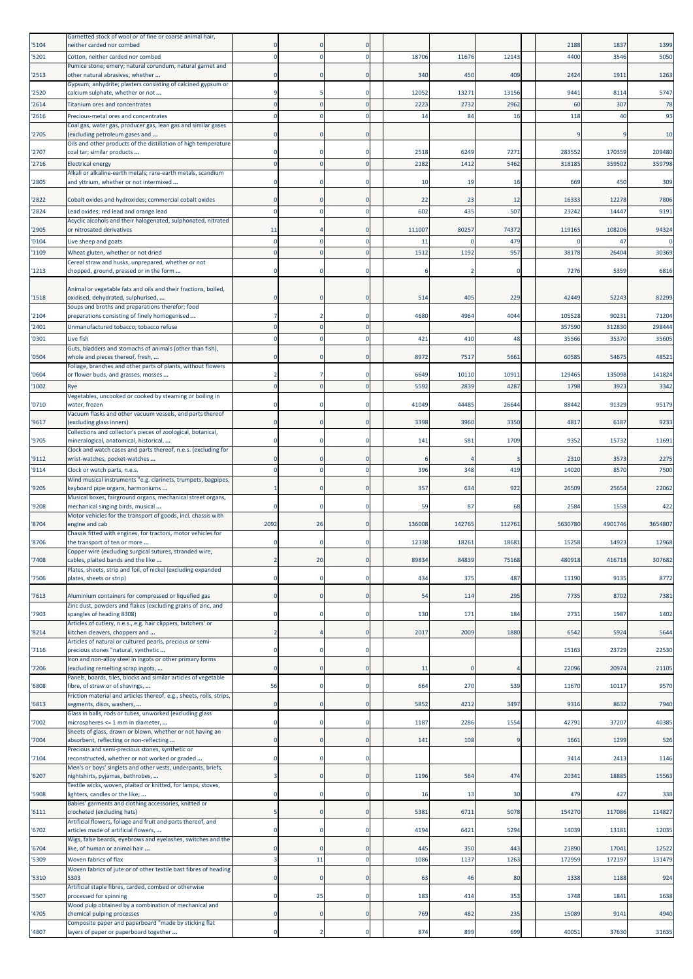|       | Garnetted stock of wool or of fine or coarse animal hair,                                                      |                |    |              |        |        |        |         |         |         |
|-------|----------------------------------------------------------------------------------------------------------------|----------------|----|--------------|--------|--------|--------|---------|---------|---------|
| '5104 | neither carded nor combed                                                                                      |                |    |              |        |        |        | 2188    | 1837    | 1399    |
| '5201 | Cotton, neither carded nor combed                                                                              | $\mathbf 0$    |    | $\Omega$     | 18706  | 11676  | 12143  | 4400    | 3546    | 5050    |
| '2513 | Pumice stone; emery; natural corundum, natural garnet and<br>other natural abrasives, whether                  | n              |    | $\Omega$     | 340    | 450    | 409    | 2424    | 1911    | 1263    |
|       | Gypsum; anhydrite; plasters consisting of calcined gypsum or                                                   |                |    |              |        |        |        |         |         |         |
| '2520 | calcium sulphate, whether or not                                                                               |                |    |              | 12052  | 13271  | 13156  | 9441    | 8114    | 5747    |
| '2614 | Titanium ores and concentrates                                                                                 | $\Omega$       |    | $\Omega$     | 2223   | 2732   | 2962   | 60      | 307     | 78      |
| '2616 | Precious-metal ores and concentrates                                                                           | $\mathbf 0$    |    |              | 14     | 84     | 16     | 118     | 40      | 93      |
| '2705 | Coal gas, water gas, producer gas, lean gas and similar gases<br>excluding petroleum gases and                 | n              |    |              |        |        |        |         |         | 10      |
|       | Oils and other products of the distillation of high temperature                                                |                |    |              |        |        |        |         |         |         |
| '2707 | coal tar; similar products                                                                                     | O              |    |              | 2518   | 6249   | 7271   | 283552  | 170359  | 209480  |
| '2716 | <b>Electrical energy</b><br>Alkali or alkaline-earth metals; rare-earth metals, scandium                       | $\Omega$       |    | $\Omega$     | 2182   | 1412   | 5462   | 318185  | 359502  | 359798  |
| '2805 | and yttrium, whether or not intermixed                                                                         | 0              |    |              | 10     | 19     | 16     | 669     | 450     | 309     |
|       |                                                                                                                |                |    |              |        |        |        |         |         |         |
| '2822 | Cobalt oxides and hydroxides; commercial cobalt oxides                                                         | $\Omega$       |    | $\Omega$     | 22     | 23     | 12     | 16333   | 12278   | 7806    |
| 2824  | Lead oxides; red lead and orange lead<br>Acyclic alcohols and their halogenated, sulphonated, nitrated         | $\Omega$       |    |              | 602    | 435    | 507    | 23242   | 14447   | 9191    |
| '2905 | or nitrosated derivatives                                                                                      | 11             |    |              | 111007 | 80257  | 74372  | 119165  | 108206  | 94324   |
| '0104 | Live sheep and goats                                                                                           | $\mathbf 0$    |    |              | 11     |        | 479    |         | 47      | $\circ$ |
| '1109 | Wheat gluten, whether or not dried                                                                             | $\Omega$       |    | $\mathbf{0}$ | 1512   | 1192   | 957    | 38178   | 26404   | 30369   |
|       | Cereal straw and husks, unprepared, whether or not                                                             |                |    |              |        |        |        |         |         |         |
| '1213 | chopped, ground, pressed or in the form                                                                        | $\Omega$       |    |              |        |        |        | 7276    | 5359    | 6816    |
| '1518 | Animal or vegetable fats and oils and their fractions, boiled,<br>oxidised, dehydrated, sulphurised,           | $\Omega$       |    |              | 514    | 405    | 229    | 42449   | 52243   | 82299   |
| '2104 | Soups and broths and preparations therefor; food<br>preparations consisting of finely homogenised              | $\overline{7}$ |    |              | 4680   | 4964   | 4044   | 105528  | 90231   | 71204   |
| '2401 | Unmanufactured tobacco; tobacco refuse                                                                         | $\Omega$       |    |              |        |        |        | 357590  | 312830  | 298444  |
| '0301 | Live fish                                                                                                      | $\Omega$       |    |              | 421    | 410    | 48     | 35566   | 35370   | 35605   |
|       | Guts, bladders and stomachs of animals (other than fish),                                                      |                |    |              |        |        |        |         |         |         |
| '0504 | whole and pieces thereof, fresh,                                                                               | $\Omega$       |    |              | 8972   | 7517   | 5661   | 60585   | 54675   | 48521   |
| '0604 | Foliage, branches and other parts of plants, without flowers<br>or flower buds, and grasses, mosses            | 2              |    | n            | 6649   | 10110  | 10911  | 129465  | 135098  | 141824  |
| '1002 | Rye                                                                                                            | $\Omega$       |    |              | 5592   | 2839   | 4287   | 1798    | 3923    | 3342    |
|       | Vegetables, uncooked or cooked by steaming or boiling in                                                       |                |    |              |        |        |        |         |         |         |
| '0710 | water, frozen                                                                                                  | $\Omega$       |    | 0            | 41049  | 44485  | 26644  | 88442   | 91329   | 95179   |
| '9617 | Vacuum flasks and other vacuum vessels, and parts thereof<br>(excluding glass inners)                          | $\mathbf 0$    |    | $\Omega$     | 3398   | 3960   | 3350   | 4817    | 6187    | 9233    |
| '9705 | Collections and collector's pieces of zoological, botanical,<br>mineralogical, anatomical, historical,         | $\Omega$       |    |              | 141    | 581    | 1709   | 9352    | 15732   | 11691   |
|       | Clock and watch cases and parts thereof, n.e.s. (excluding for                                                 |                |    |              |        |        |        |         |         |         |
| '9112 | wrist-watches, pocket-watches                                                                                  | n              |    |              |        |        |        | 2310    | 3573    | 2275    |
| '9114 | Clock or watch parts, n.e.s.<br>Wind musical instruments "e.g. clarinets, trumpets, bagpipes,                  | $\mathbf 0$    |    |              | 396    | 348    | 419    | 14020   | 8570    | 7500    |
| '9205 | keyboard pipe organs, harmoniums                                                                               | $\mathbf{1}$   |    | $\Omega$     | 357    | 634    | 922    | 26509   | 25654   | 22062   |
|       | Musical boxes, fairground organs, mechanical street organs,                                                    |                |    |              |        |        |        |         |         |         |
| '9208 | mechanical singing birds, musical<br>Motor vehicles for the transport of goods, incl. chassis with             | 0              |    | $\Omega$     | 59     | 87     | 68     | 2584    | 1558    | 422     |
| '8704 | engine and cab                                                                                                 | 2092           | 26 | $\Omega$     | 136008 | 142765 | 112761 | 5630780 | 4901746 | 3654807 |
|       | Chassis fitted with engines, for tractors, motor vehicles for                                                  |                |    |              |        |        |        |         |         |         |
| '8706 | the transport of ten or more<br>Copper wire (excluding surgical sutures, stranded wire,                        |                |    |              | 12338  | 18261  | 18681  | 15258   | 14923   | 12968   |
| '7408 | cables, plaited bands and the like                                                                             |                | 20 |              | 89834  | 84839  | 75168  | 480918  | 416718  | 307682  |
|       | Plates, sheets, strip and foil, of nickel (excluding expanded                                                  |                |    |              |        |        |        |         |         |         |
| '7506 | plates, sheets or strip)                                                                                       | $\mathbf 0$    |    | 0            | 434    | 375    | 487    | 11190   | 9135    | 8772    |
| '7613 | Aluminium containers for compressed or liquefied gas                                                           | $\mathbf 0$    |    | $\mathbf 0$  | 54     | 114    | 295    | 7735    | 8702    | 7381    |
|       | Zinc dust, powders and flakes (excluding grains of zinc, and                                                   |                |    |              |        |        |        |         |         |         |
| '7903 | spangles of heading 8308)                                                                                      | $\mathbf 0$    |    | 0            | 130    | 171    | 184    | 2731    | 1987    | 1402    |
| '8214 | Articles of cutlery, n.e.s., e.g. hair clippers, butchers' or<br>kitchen cleavers, choppers and                | $\overline{2}$ |    | $\Omega$     | 2017   | 2009   | 1880   | 6542    | 5924    | 5644    |
|       | Articles of natural or cultured pearls, precious or semi-                                                      |                |    |              |        |        |        |         |         |         |
| '7116 | precious stones "natural, synthetic<br>Iron and non-alloy steel in ingots or other primary forms               | $\Omega$       |    | $\Omega$     |        |        |        | 15163   | 23729   | 22530   |
| '7206 | (excluding remelting scrap ingots,                                                                             | $\mathbf 0$    |    | 0            | 11     |        |        | 22096   | 20974   | 21105   |
|       | Panels, boards, tiles, blocks and similar articles of vegetable                                                |                |    |              |        |        |        |         |         |         |
| '6808 | fibre, of straw or of shavings,<br>Friction material and articles thereof, e.g., sheets, rolls, strips,        | 56             |    | 0            | 664    | 270    | 539    | 11670   | 10117   | 9570    |
| '6813 | segments, discs, washers,                                                                                      | $\mathbf 0$    |    | $\mathbf 0$  | 5852   | 4212   | 3497   | 9316    | 8632    | 7940    |
|       | Glass in balls, rods or tubes, unworked (excluding glass                                                       |                |    |              |        |        |        |         |         |         |
| '7002 | microspheres <= 1 mm in diameter,<br>Sheets of glass, drawn or blown, whether or not having an                 | $\mathbf 0$    |    | $\mathbf 0$  | 1187   | 2286   | 1554   | 42791   | 37207   | 40385   |
| '7004 | absorbent, reflecting or non-reflecting                                                                        | $\mathbf 0$    |    | 0            | 141    | 108    |        | 1661    | 1299    | 526     |
|       | Precious and semi-precious stones, synthetic or                                                                | $\Omega$       |    | $\mathbf 0$  |        |        |        |         |         |         |
| '7104 | reconstructed, whether or not worked or graded<br>Men's or boys' singlets and other vests, underpants, briefs, |                |    |              |        |        |        | 3414    | 2413    | 1146    |
| '6207 | nightshirts, pyjamas, bathrobes,                                                                               | 3              |    |              | 1196   | 564    | 474    | 20341   | 18885   | 15563   |
| '5908 | Textile wicks, woven, plaited or knitted, for lamps, stoves,<br>ighters, candles or the like;                  | $\mathbf 0$    |    | 0            | 16     | 13     | 30     | 479     | 427     | 338     |
|       | Babies' garments and clothing accessories, knitted or                                                          |                |    |              |        |        |        |         |         |         |
| '6111 | crocheted (excluding hats)                                                                                     | 5              |    | $\mathbf 0$  | 5381   | 6711   | 5078   | 154270  | 117086  | 114827  |
| '6702 | Artificial flowers, foliage and fruit and parts thereof, and<br>articles made of artificial flowers,           | $\mathbf 0$    |    | $\mathbf 0$  | 4194   | 6421   | 5294   | 14039   | 13181   | 12035   |
|       | Wigs, false beards, eyebrows and eyelashes, switches and the                                                   |                |    |              |        |        |        |         |         |         |
| '6704 | like, of human or animal hair                                                                                  | $\mathbf 0$    |    | $\mathbf 0$  | 445    | 350    | 443    | 21890   | 17041   | 12522   |
| '5309 | Woven fabrics of flax                                                                                          | 3              | 11 | $\Omega$     | 1086   | 1137   | 1263   | 172959  | 172197  | 131479  |
| '5310 | Woven fabrics of jute or of other textile bast fibres of heading<br>5303                                       | $\mathbf 0$    |    | 0            | 63     | 46     | 80     | 1338    | 1188    | 924     |
| '5507 | Artificial staple fibres, carded, combed or otherwise<br>processed for spinning                                | $\mathbf 0$    | 25 | 0            | 183    | 414    | 353    | 1748    | 1841    | 1638    |
|       | Wood pulp obtained by a combination of mechanical and                                                          |                |    |              |        |        |        |         |         |         |
| '4705 | chemical pulping processes<br>Composite paper and paperboard "made by sticking flat                            | $\mathbf 0$    |    | $\mathbf 0$  | 769    | 482    | 235    | 15089   | 9141    | 4940    |
| '4807 | layers of paper or paperboard together                                                                         | $\mathbf 0$    |    | $\mathbf 0$  | 874    | 899    | 699    | 40051   | 37630   | 31635   |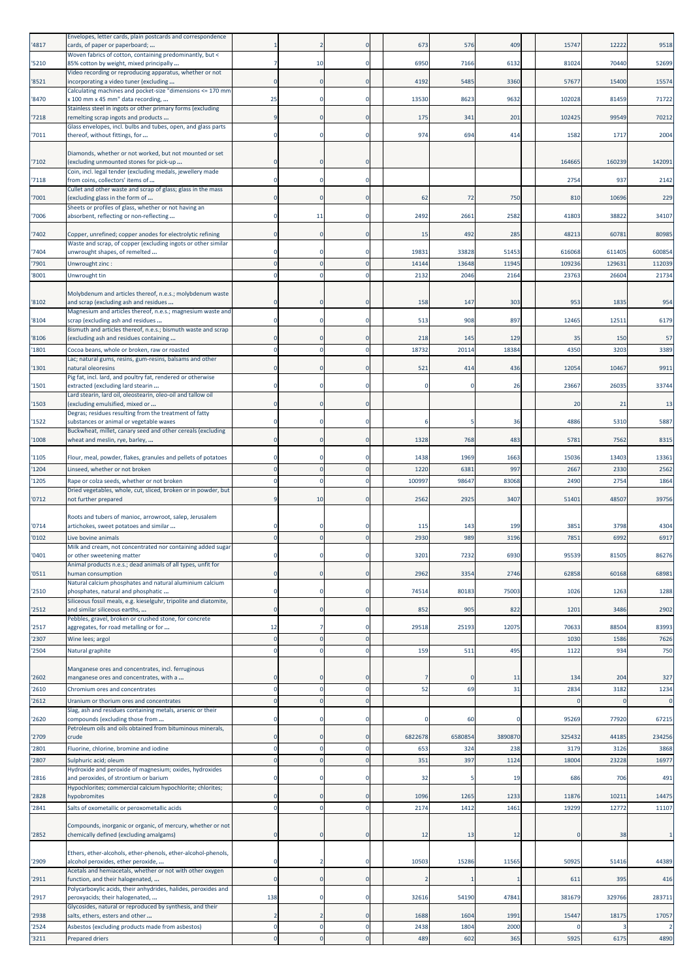| '4817          | Envelopes, letter cards, plain postcards and correspondence<br>cards, of paper or paperboard;                                                                    |                            |    |              | 673            | 576            | 409            | 15747            | 12222            | 9518             |
|----------------|------------------------------------------------------------------------------------------------------------------------------------------------------------------|----------------------------|----|--------------|----------------|----------------|----------------|------------------|------------------|------------------|
| '5210          | Woven fabrics of cotton, containing predominantly, but <<br>85% cotton by weight, mixed principally                                                              | 7                          | 10 | $\Omega$     | 6950           | 7166           | 6132           | 81024            | 70440            | 52699            |
| '8521          | Video recording or reproducing apparatus, whether or not<br>ncorporating a video tuner (excluding                                                                | $\Omega$                   |    | $\Omega$     | 4192           | 5485           | 3360           | 57677            | 15400            | 15574            |
| '8470          | Calculating machines and pocket-size "dimensions <= 170 mm<br>x 100 mm x 45 mm" data recording,                                                                  | 25                         |    | -0           | 13530          | 8623           | 9632           | 102028           | 81459            | 71722            |
| '7218          | Stainless steel in ingots or other primary forms (excluding<br>remelting scrap ingots and products                                                               | 9                          |    | $\Omega$     | 175            | 341            | 201            | 102425           | 99549            | 70212            |
|                | Glass envelopes, incl. bulbs and tubes, open, and glass parts                                                                                                    |                            |    |              |                |                |                |                  |                  |                  |
| '7011          | thereof, without fittings, for                                                                                                                                   | $\mathbf 0$                |    |              | 974            | 694            | 414            | 1582             | 1717             | 2004             |
| '7102          | Diamonds, whether or not worked, but not mounted or set<br>(excluding unmounted stones for pick-up                                                               | $\Omega$                   |    | $\Omega$     |                |                |                | 164665           | 160239           | 142091           |
| '7118          | Coin, incl. legal tender (excluding medals, jewellery made<br>from coins, collectors' items of                                                                   | $\mathbf 0$                |    | $\mathbf 0$  |                |                |                | 2754             | 937              | 2142             |
| '7001          | Cullet and other waste and scrap of glass; glass in the mass<br>(excluding glass in the form of                                                                  | $\Omega$                   |    | $\Omega$     | 62             | 72             | 750            | 810              | 10696            | 229              |
| '7006          | Sheets or profiles of glass, whether or not having an<br>absorbent, reflecting or non-reflecting                                                                 | $\Omega$                   | 11 | $\Omega$     | 2492           | 2661           | 2582           | 41803            | 38822            | 34107            |
|                |                                                                                                                                                                  |                            |    |              |                |                | 285            | 48213            |                  |                  |
| '7402          | Copper, unrefined; copper anodes for electrolytic refining<br>Waste and scrap, of copper (excluding ingots or other similar                                      | 0                          |    |              | 15             | 492            |                |                  | 6078             | 80985            |
| '7404<br>'7901 | unwrought shapes, of remelted<br>Unwrought zinc :                                                                                                                | $\Omega$<br>$\mathbf 0$    |    | $\Omega$     | 19831<br>14144 | 33828<br>13648 | 51453<br>11945 | 616068<br>109236 | 611405<br>129631 | 600854<br>112039 |
| '8001          | Unwrought tin                                                                                                                                                    | $\Omega$                   |    | $\mathbf{0}$ | 2132           | 2046           | 2164           | 23763            | 26604            | 21734            |
| '8102          | Molybdenum and articles thereof, n.e.s.; molybdenum waste<br>and scrap (excluding ash and residues                                                               | 0                          |    | $\Omega$     | 158            | 147            | 303            | 953              | 1835             | 954              |
| '8104          | Magnesium and articles thereof, n.e.s.; magnesium waste and<br>scrap (excluding ash and residues                                                                 | $\mathbf 0$                |    | $\mathbf 0$  | 513            | 908            | 897            | 12465            | 12511            | 6179             |
| '8106          | Bismuth and articles thereof, n.e.s.; bismuth waste and scrap<br>(excluding ash and residues containing                                                          | n                          |    |              | 218            | 145            | 129            | 35               | 150              | 57               |
| '1801          | Cocoa beans, whole or broken, raw or roasted                                                                                                                     | $\mathbf 0$                |    | $\Omega$     | 18732          | 20114          | 18384          | 4350             | 3203             | 3389             |
| '1301          | Lac; natural gums, resins, gum-resins, balsams and other<br>natural oleoresins                                                                                   | $\Omega$                   |    | $\Omega$     | 521            | 414            | 436            | 12054            | 10467            | 9911             |
| '1501          | Pig fat, incl. lard, and poultry fat, rendered or otherwise<br>extracted (excluding lard stearin                                                                 | 0                          |    | 0            |                |                | 26             | 23667            | 26035            | 33744            |
| '1503          | Lard stearin, lard oil, oleostearin, oleo-oil and tallow oil<br>(excluding emulsified, mixed or                                                                  | $\Omega$                   |    | $\Omega$     |                |                |                | 20               | 21               | 13               |
| 1522           | Degras; residues resulting from the treatment of fatty<br>substances or animal or vegetable waxes                                                                | $\Omega$                   |    | n            |                |                | 36             | 4886             | 5310             | 5887             |
|                | Buckwheat, millet, canary seed and other cereals (excluding                                                                                                      |                            |    |              |                |                |                |                  |                  |                  |
| '1008          | wheat and meslin, rye, barley,                                                                                                                                   | 0                          |    | $\Omega$     | 1328           | 768            | 483            | 5781             | 7562             | 8315             |
| '1105<br>'1204 | Flour, meal, powder, flakes, granules and pellets of potatoes<br>Linseed, whether or not broken                                                                  | $\Omega$<br>$\overline{0}$ |    | $\Omega$     | 1438<br>1220   | 1969<br>6381   | 1663<br>997    | 15036<br>2667    | 13403<br>2330    | 13361<br>2562    |
| '1205          | Rape or colza seeds, whether or not broken                                                                                                                       | $\Omega$                   |    | $\Omega$     | 100997         | 98647          | 83068          | 2490             | 2754             | 1864             |
| '0712          | Dried vegetables, whole, cut, sliced, broken or in powder, but<br>not further prepared                                                                           |                            | 10 |              | 2562           | 2925           | 3407           | 51401            | 48507            | 39756            |
|                | Roots and tubers of manioc, arrowroot, salep, Jerusalem                                                                                                          |                            |    |              |                |                |                |                  |                  |                  |
| '0714          | artichokes, sweet potatoes and similar                                                                                                                           | $\Omega$                   |    |              | 115            | 143            | 199            | 3851             | 3798             | 4304             |
| '0102          | Live bovine animals<br>Milk and cream, not concentrated nor containing added sugar                                                                               | $\Omega$                   |    |              | 2930           | 989            | 3196           | 7851             | 6992             | 6917             |
| "0401          | or other sweetening matter<br>Animal products n.e.s.; dead animals of all types, unfit for                                                                       |                            |    |              | 3201           | 1234           | 6930           | 9553             | 8150             | 86276            |
| '0511          | human consumption                                                                                                                                                | $\mathbf 0$                |    | $\mathbf 0$  | 2962           | 3354           | 2746           | 62858            | 60168            | 68981            |
| '2510          | Natural calcium phosphates and natural aluminium calcium<br>phosphates, natural and phosphatic                                                                   | $\mathbf 0$                |    | $\mathbf 0$  | 74514          | 80183          | 75003          | 1026             | 1263             | 1288             |
| '2512          | Siliceous fossil meals, e.g. kieselguhr, tripolite and diatomite,<br>and similar siliceous earths,                                                               | $\mathbf 0$                |    | $\Omega$     | 852            | 905            | 822            | 1201             | 3486             | 2902             |
| '2517          | Pebbles, gravel, broken or crushed stone, for concrete<br>aggregates, for road metalling or for                                                                  | 12                         |    | $\mathbf 0$  | 29518          | 25193          | 12075          | 70633            | 88504            | 83993            |
| '2307          | Wine lees; argol                                                                                                                                                 | $\mathbf 0$                |    | $\Omega$     |                |                |                | 1030             | 1586             | 7626             |
| '2504          | Natural graphite                                                                                                                                                 | $\mathbf 0$                |    | $\mathbf 0$  | 159            | 511            | 495            | 1122             | 934              | 750              |
| '2602          | Manganese ores and concentrates, incl. ferruginous<br>manganese ores and concentrates, with a                                                                    | $\Omega$                   |    | $\Omega$     |                |                | 11             | 134              | 204              | 327              |
| '2610          | Chromium ores and concentrates                                                                                                                                   | $\mathbf 0$                |    | $\Omega$     | 52             | 69             | 31             | 2834             | 3182             | 1234             |
| '2612          | Uranium or thorium ores and concentrates<br>Slag, ash and residues containing metals, arsenic or their                                                           | $\Omega$                   |    | $\Omega$     |                |                |                |                  |                  | $\overline{0}$   |
| '2620          | compounds (excluding those from                                                                                                                                  | $\mathbf 0$                |    | 0            |                | 60             |                | 95269            | 77920            | 67215            |
| '2709          | Petroleum oils and oils obtained from bituminous minerals,<br>crude                                                                                              | $\Omega$                   |    | $\Omega$     | 6822678        | 6580854        | 3890870        | 325432           | 44185            | 234256           |
| '2801          | Fluorine, chlorine, bromine and iodine                                                                                                                           | $\mathbf 0$<br>$\Omega$    |    | $\Omega$     | 653            | 324            | 238            | 3179             | 3126             | 3868             |
| '2807          | Sulphuric acid; oleum<br>Hydroxide and peroxide of magnesium; oxides, hydroxides                                                                                 |                            |    | $\Omega$     | 351            | 397            | 1124           | 18004            | 23228            | 16977            |
| '2816          | and peroxides, of strontium or barium<br>Hypochlorites; commercial calcium hypochlorite; chlorites;                                                              | 0                          |    |              | 32             |                | 19             | 686              | 706              | 491              |
| '2828          | hypobromites                                                                                                                                                     | $\Omega$                   |    | $\Omega$     | 1096           | 1265           | 1233           | 11876            | 10211            | 14475            |
| '2841          | Salts of oxometallic or peroxometallic acids                                                                                                                     | $\mathbf 0$                |    | $\Omega$     | 2174           | 1412           | 1461           | 19299            | 12772            | 11107            |
| '2852          | Compounds, inorganic or organic, of mercury, whether or not<br>chemically defined (excluding amalgams)                                                           | $\mathbf 0$                |    | $\mathbf 0$  | 12             | 13             | 12             |                  | 38               |                  |
| '2909          | Ethers, ether-alcohols, ether-phenols, ether-alcohol-phenols,<br>alcohol peroxides, ether peroxide,<br>Acetals and hemiacetals, whether or not with other oxygen | 0                          |    | $\Omega$     | 10503          | 15286          | 11565          | 50925            | 51416            | 44389            |
| '2911          | function, and their halogenated,                                                                                                                                 | $\mathbf 0$                |    | 0            |                |                |                | 611              | 395              | 416              |
| '2917          | Polycarboxylic acids, their anhydrides, halides, peroxides and<br>peroxyacids; their halogenated,                                                                | 138                        |    | $\Omega$     | 32616          | 54190          | 47841          | 381679           | 329766           | 283711           |
| '2938          | Glycosides, natural or reproduced by synthesis, and their<br>salts, ethers, esters and other                                                                     | 2                          |    | $\Omega$     | 1688           | 1604           | 1991           | 15447            | 18175            | 17057            |
| '2524          | Asbestos (excluding products made from asbestos)                                                                                                                 | $\mathbf 0$                |    | $\Omega$     | 2438           | 1804           | 2000           |                  |                  | $\overline{2}$   |
| '3211          | <b>Prepared driers</b>                                                                                                                                           | $\overline{0}$             |    |              | 489            | 602            | 365            | 5925             | 6175             | 4890             |